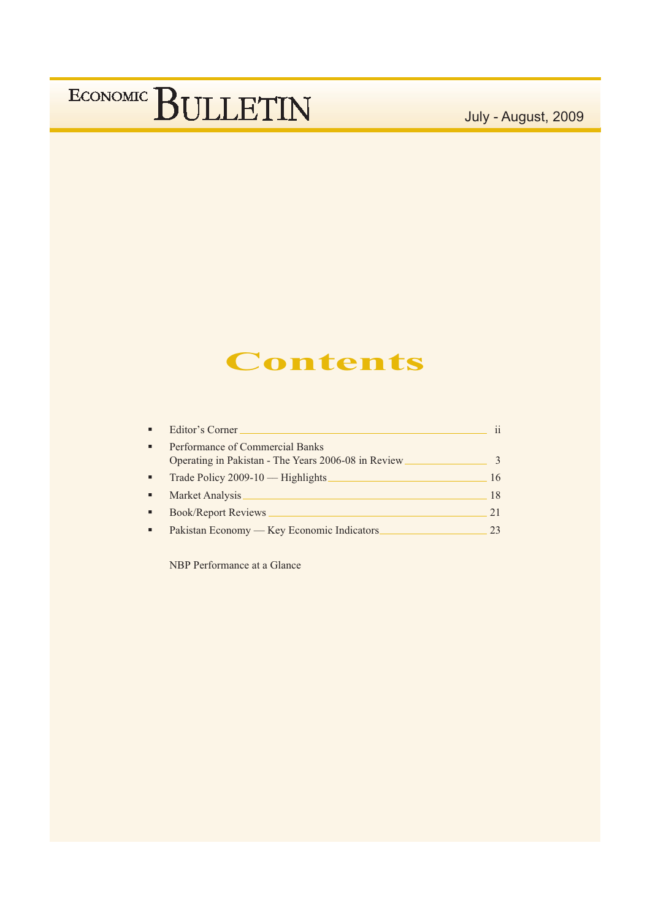July - August, 2009

### Contents

| $\blacksquare$ | Editor's Corner                                                                         |              |
|----------------|-----------------------------------------------------------------------------------------|--------------|
| ٠              | Performance of Commercial Banks<br>Operating in Pakistan - The Years 2006-08 in Review. | $\mathbf{R}$ |
| ٠              | Trade Policy 2009-10 — Highlights                                                       | 16           |
| ٠              | Market Analysis                                                                         | 18           |
|                | <b>Book/Report Reviews</b>                                                              | 21           |
|                | Pakistan Economy - Key Economic Indicators.                                             | 23           |

NBP Performance at a Glance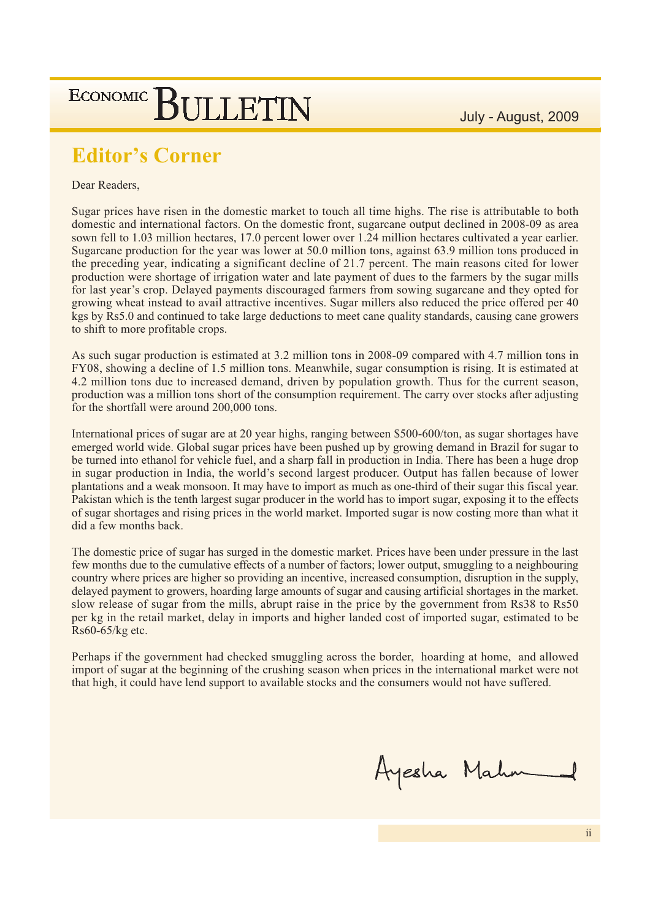#### **Editor's Corner**

#### Dear Readers,

Sugar prices have risen in the domestic market to touch all time highs. The rise is attributable to both domestic and international factors. On the domestic front, sugarcane output declined in 2008-09 as area sown fell to 1.03 million hectares, 17.0 percent lower over 1.24 million hectares cultivated a year earlier. Sugarcane production for the year was lower at 50.0 million tons, against 63.9 million tons produced in the preceding year, indicating a significant decline of 21.7 percent. The main reasons cited for lower production were shortage of irrigation water and late payment of dues to the farmers by the sugar mills for last year's crop. Delayed payments discouraged farmers from sowing sugarcane and they opted for growing wheat instead to avail attractive incentives. Sugar millers also reduced the price offered per 40 kgs by Rs5.0 and continued to take large deductions to meet cane quality standards, causing cane growers to shift to more profitable crops.

As such sugar production is estimated at 3.2 million tons in 2008-09 compared with 4.7 million tons in FY08, showing a decline of 1.5 million tons. Meanwhile, sugar consumption is rising. It is estimated at 4.2 million tons due to increased demand, driven by population growth. Thus for the current season, production was a million tons short of the consumption requirement. The carry over stocks after adjusting for the shortfall were around 200,000 tons.

International prices of sugar are at 20 year highs, ranging between \$500-600/ton, as sugar shortages have emerged world wide. Global sugar prices have been pushed up by growing demand in Brazil for sugar to be turned into ethanol for vehicle fuel, and a sharp fall in production in India. There has been a huge drop in sugar production in India, the world's second largest producer. Output has fallen because of lower plantations and a weak monsoon. It may have to import as much as one-third of their sugar this fiscal year. Pakistan which is the tenth largest sugar producer in the world has to import sugar, exposing it to the effects of sugar shortages and rising prices in the world market. Imported sugar is now costing more than what it did a few months back.

The domestic price of sugar has surged in the domestic market. Prices have been under pressure in the last few months due to the cumulative effects of a number of factors; lower output, smuggling to a neighbouring country where prices are higher so providing an incentive, increased consumption, disruption in the supply, delayed payment to growers, hoarding large amounts of sugar and causing artificial shortages in the market. slow release of sugar from the mills, abrupt raise in the price by the government from Rs38 to Rs50 per kg in the retail market, delay in imports and higher landed cost of imported sugar, estimated to be  $Rs60-65/kg$  etc.

Perhaps if the government had checked smuggling across the border, hoarding at home, and allowed import of sugar at the beginning of the crushing season when prices in the international market were not that high, it could have lend support to available stocks and the consumers would not have suffered.

Ayesha Mahn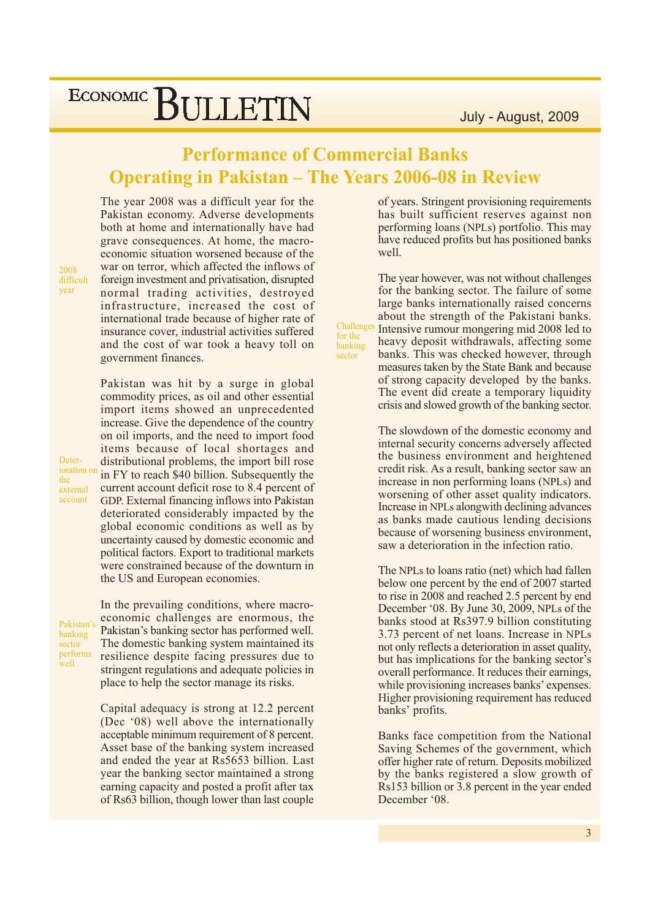#### **Performance of Commercial Banks Operating in Pakistan - The Years 2006-08 in Review**

Challenges

for the

sector

banking

The year 2008 was a difficult year for the Pakistan economy. Adverse developments both at home and internationally have had grave consequences. At home, the macroeconomic situation worsened because of the war on terror, which affected the inflows of foreign investment and privatisation, disrupted normal trading activities, destroyed infrastructure, increased the cost of international trade because of higher rate of insurance cover, industrial activities suffered and the cost of war took a heavy toll on government finances.

Pakistan was hit by a surge in global commodity prices, as oil and other essential import items showed an unprecedented increase. Give the dependence of the country on oil imports, and the need to import food items because of local shortages and distributional problems, the import bill rose in FY to reach \$40 billion. Subsequently the current account deficit rose to 8.4 percent of GDP. External financing inflows into Pakistan deteriorated considerably impacted by the global economic conditions as well as by uncertainty caused by domestic economic and political factors. Export to traditional markets were constrained because of the downturn in the US and European economies.

Pakistan's banking sector performs well

In the prevailing conditions, where macroeconomic challenges are enormous, the Pakistan's banking sector has performed well. The domestic banking system maintained its resilience despite facing pressures due to stringent regulations and adequate policies in place to help the sector manage its risks.

Capital adequacy is strong at 12.2 percent (Dec '08) well above the internationally acceptable minimum requirement of 8 percent. Asset base of the banking system increased and ended the year at Rs5653 billion. Last year the banking sector maintained a strong earning capacity and posted a profit after tax of Rs63 billion, though lower than last couple

of years. Stringent provisioning requirements has built sufficient reserves against non performing loans (NPLs) portfolio. This may have reduced profits but has positioned banks well.

The year however, was not without challenges for the banking sector. The failure of some large banks internationally raised concerns about the strength of the Pakistani banks. Intensive rumour mongering mid 2008 led to heavy deposit withdrawals, affecting some banks. This was checked however, through measures taken by the State Bank and because of strong capacity developed by the banks. The event did create a temporary liquidity crisis and slowed growth of the banking sector.

The slowdown of the domestic economy and internal security concerns adversely affected the business environment and heightened credit risk. As a result, banking sector saw an increase in non performing loans (NPLs) and worsening of other asset quality indicators. Increase in NPLs alongwith declining advances as banks made cautious lending decisions because of worsening business environment. saw a deterioration in the infection ratio.

The NPLs to loans ratio (net) which had fallen below one percent by the end of 2007 started to rise in 2008 and reached 2.5 percent by end December '08. By June 30, 2009, NPLs of the banks stood at Rs397.9 billion constituting 3.73 percent of net loans. Increase in NPLs not only reflects a deterioration in asset quality, but has implications for the banking sector's overall performance. It reduces their earnings, while provisioning increases banks' expenses. Higher provisioning requirement has reduced banks' profits.

Banks face competition from the National Saving Schemes of the government, which offer higher rate of return. Deposits mobilized by the banks registered a slow growth of Rs153 billion or 3.8 percent in the year ended December '08.

Deterioration or the external

account

2008

year

difficult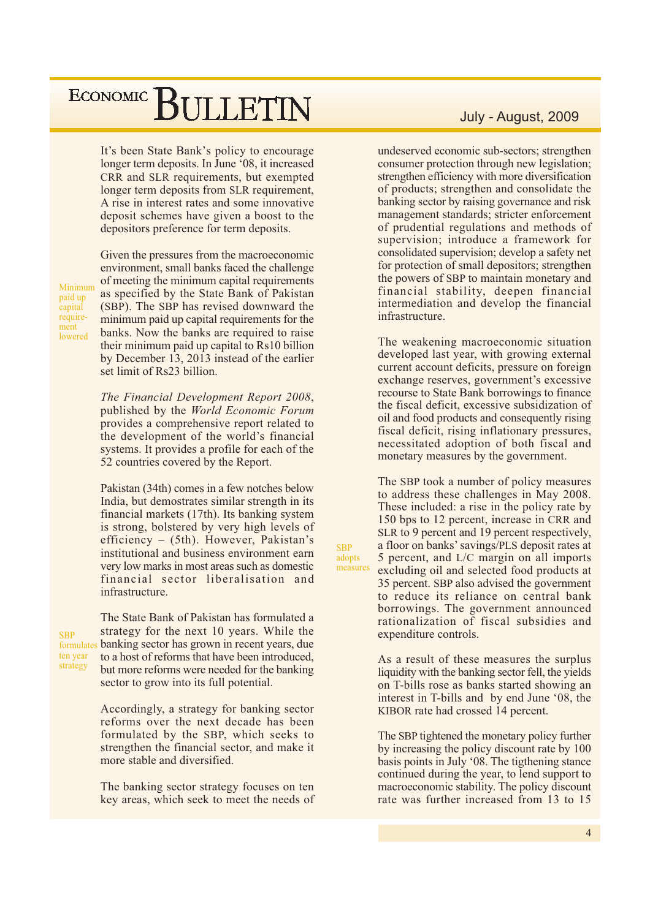It's been State Bank's policy to encourage longer term deposits. In June '08, it increased CRR and SLR requirements, but exempted longer term deposits from SLR requirement, A rise in interest rates and some innovative deposit schemes have given a boost to the depositors preference for term deposits.

Minimum paid up capital requirement lowered

Given the pressures from the macroeconomic environment, small banks faced the challenge of meeting the minimum capital requirements as specified by the State Bank of Pakistan (SBP). The SBP has revised downward the minimum paid up capital requirements for the banks. Now the banks are required to raise their minimum paid up capital to Rs10 billion by December 13, 2013 instead of the earlier set limit of Rs23 billion.

The Financial Development Report 2008, published by the World Economic Forum provides a comprehensive report related to the development of the world's financial systems. It provides a profile for each of the 52 countries covered by the Report.

Pakistan (34th) comes in a few notches below India, but demostrates similar strength in its financial markets (17th). Its banking system is strong, bolstered by very high levels of efficiency  $-$  (5th). However, Pakistan's institutional and business environment earn very low marks in most areas such as domestic financial sector liberalisation and infrastructure.

**SRP** 

adopts

measures

**SRP** formulates ten year strategy

The State Bank of Pakistan has formulated a strategy for the next 10 years. While the banking sector has grown in recent years, due to a host of reforms that have been introduced, but more reforms were needed for the banking sector to grow into its full potential.

Accordingly, a strategy for banking sector reforms over the next decade has been formulated by the SBP, which seeks to strengthen the financial sector, and make it more stable and diversified.

The banking sector strategy focuses on ten key areas, which seek to meet the needs of

#### July - August, 2009

undeserved economic sub-sectors; strengthen consumer protection through new legislation; strengthen efficiency with more diversification of products; strengthen and consolidate the banking sector by raising governance and risk management standards; stricter enforcement of prudential regulations and methods of supervision; introduce a framework for consolidated supervision; develop a safety net for protection of small depositors; strengthen the powers of SBP to maintain monetary and financial stability, deepen financial intermediation and develop the financial infrastructure.

The weakening macroeconomic situation developed last year, with growing external current account deficits, pressure on foreign exchange reserves, government's excessive recourse to State Bank borrowings to finance the fiscal deficit, excessive subsidization of oil and food products and consequently rising fiscal deficit, rising inflationary pressures, necessitated adoption of both fiscal and monetary measures by the government.

The SBP took a number of policy measures to address these challenges in May 2008. These included: a rise in the policy rate by 150 bps to 12 percent, increase in CRR and SLR to 9 percent and 19 percent respectively, a floor on banks' savings/PLS deposit rates at 5 percent, and L/C margin on all imports excluding oil and selected food products at 35 percent. SBP also advised the government to reduce its reliance on central bank borrowings. The government announced rationalization of fiscal subsidies and expenditure controls.

As a result of these measures the surplus liquidity with the banking sector fell, the yields on T-bills rose as banks started showing an interest in T-bills and by end June '08, the KIBOR rate had crossed 14 percent.

The SBP tightened the monetary policy further by increasing the policy discount rate by 100 basis points in July '08. The tigthening stance continued during the year, to lend support to macroeconomic stability. The policy discount rate was further increased from 13 to 15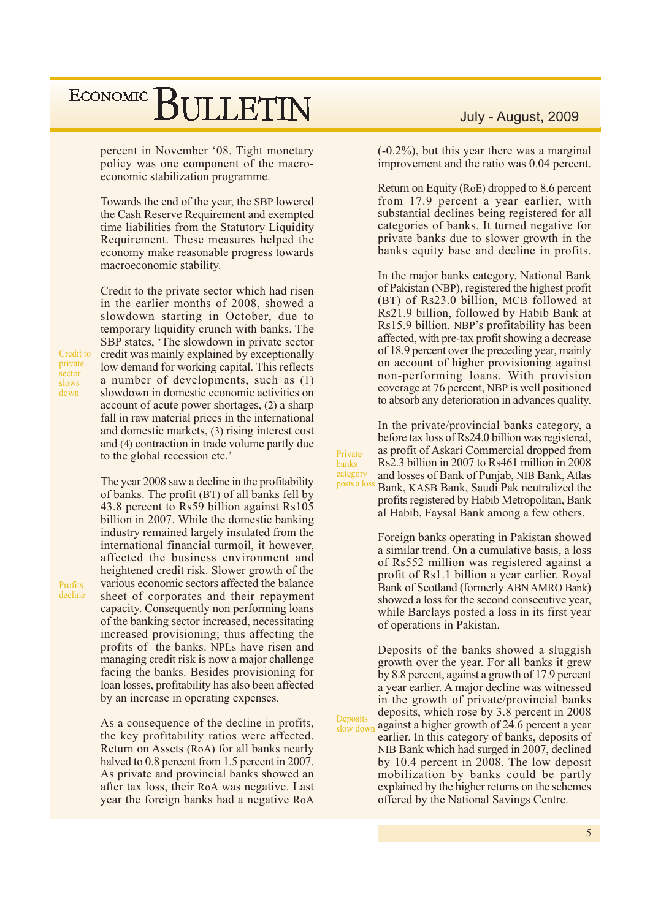percent in November '08. Tight monetary policy was one component of the macroeconomic stabilization programme.

Towards the end of the year, the SBP lowered the Cash Reserve Requirement and exempted time liabilities from the Statutory Liquidity Requirement. These measures helped the economy make reasonable progress towards macroeconomic stability.

Credit to the private sector which had risen in the earlier months of 2008, showed a slowdown starting in October, due to temporary liquidity crunch with banks. The SBP states, 'The slowdown in private sector credit was mainly explained by exceptionally low demand for working capital. This reflects a number of developments, such as (1) slowdown in domestic economic activities on account of acute power shortages, (2) a sharp fall in raw material prices in the international and domestic markets, (3) rising interest cost and (4) contraction in trade volume partly due to the global recession etc.'

The year 2008 saw a decline in the profitability of banks. The profit (BT) of all banks fell by 43.8 percent to Rs59 billion against Rs105 billion in 2007. While the domestic banking industry remained largely insulated from the international financial turmoil, it however, affected the business environment and heightened credit risk. Slower growth of the various economic sectors affected the balance sheet of corporates and their repayment capacity. Consequently non performing loans of the banking sector increased, necessitating increased provisioning; thus affecting the profits of the banks. NPLs have risen and managing credit risk is now a major challenge facing the banks. Besides provisioning for loan losses, profitability has also been affected by an increase in operating expenses.

As a consequence of the decline in profits, the key profitability ratios were affected. Return on Assets (RoA) for all banks nearly halved to 0.8 percent from 1.5 percent in 2007. As private and provincial banks showed an after tax loss, their RoA was negative. Last year the foreign banks had a negative RoA

#### July - August, 2009

 $(-0.2\%)$ , but this year there was a marginal improvement and the ratio was 0.04 percent.

Return on Equity (RoE) dropped to 8.6 percent from 17.9 percent a year earlier, with substantial declines being registered for all categories of banks. It turned negative for private banks due to slower growth in the banks equity base and decline in profits.

In the major banks category, National Bank of Pakistan (NBP), registered the highest profit (BT) of Rs23.0 billion, MCB followed at Rs21.9 billion, followed by Habib Bank at Rs15.9 billion. NBP's profitability has been affected, with pre-tax profit showing a decrease of 18.9 percent over the preceding year, mainly on account of higher provisioning against non-performing loans. With provision coverage at 76 percent, NBP is well positioned to absorb any deterioration in advances quality.

In the private/provincial banks category, a before tax loss of Rs24.0 billion was registered. as profit of Askari Commercial dropped from Rs2.3 billion in 2007 to Rs461 million in 2008 category and losses of Bank of Punjab, NIB Bank, Atlas posts a loss Bank, KASB Bank, Saudi Pak neutralized the profits registered by Habib Metropolitan, Bank

al Habib, Faysal Bank among a few others.

Private

banks

Deposits

Foreign banks operating in Pakistan showed a similar trend. On a cumulative basis, a loss of Rs552 million was registered against a profit of Rs1.1 billion a year earlier. Royal Bank of Scotland (formerly ABN AMRO Bank) showed a loss for the second consecutive year, while Barclays posted a loss in its first year of operations in Pakistan.

Deposits of the banks showed a sluggish growth over the year. For all banks it grew by 8.8 percent, against a growth of 17.9 percent a year earlier. A major decline was witnessed in the growth of private/provincial banks deposits, which rose by 3.8 percent in 2008 against a higher growth of 24.6 percent a year slow down earlier. In this category of banks, deposits of NIB Bank which had surged in 2007, declined by 10.4 percent in 2008. The low deposit mobilization by banks could be partly explained by the higher returns on the schemes offered by the National Savings Centre.

Credit to private sector slows down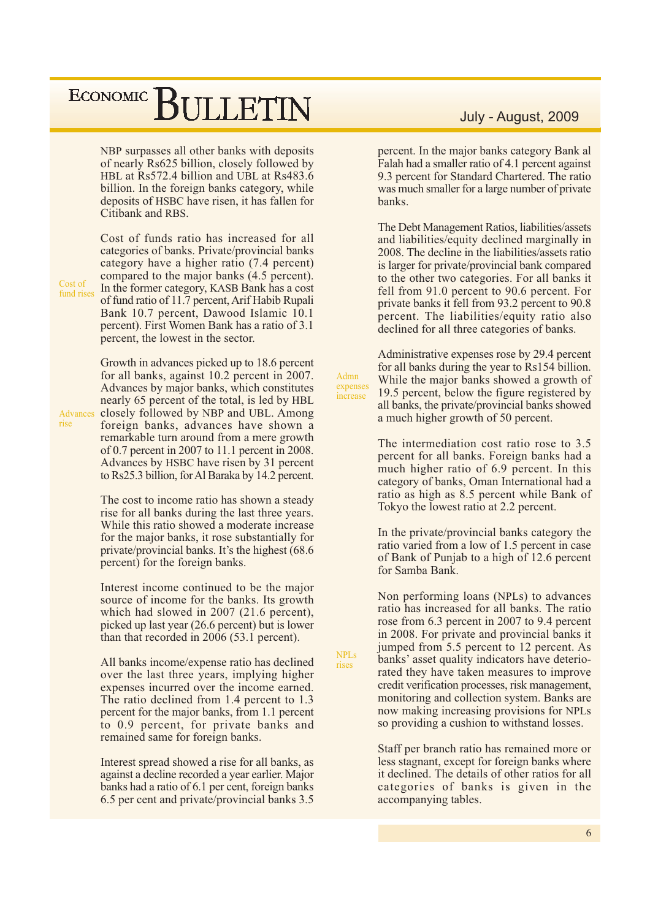NBP surpasses all other banks with deposits of nearly Rs625 billion, closely followed by HBL at Rs572.4 billion and UBL at Rs483.6 billion. In the foreign banks category, while deposits of HSBC have risen, it has fallen for Citibank and RBS.

Cost of fund rises Cost of funds ratio has increased for all categories of banks. Private/provincial banks category have a higher ratio (7.4 percent) compared to the major banks (4.5 percent). In the former category, KASB Bank has a cost of fund ratio of 11.7 percent, Arif Habib Rupali Bank 10.7 percent, Dawood Islamic 10.1 percent). First Women Bank has a ratio of 3.1 percent, the lowest in the sector.

Growth in advances picked up to 18.6 percent for all banks, against 10.2 percent in 2007. Advances by major banks, which constitutes nearly 65 percent of the total, is led by HBL closely followed by NBP and UBL. Among Advances foreign banks, advances have shown a remarkable turn around from a mere growth of 0.7 percent in 2007 to 11.1 percent in 2008. Advances by HSBC have risen by 31 percent to Rs25.3 billion, for Al Baraka by 14.2 percent.

> The cost to income ratio has shown a steady rise for all banks during the last three years. While this ratio showed a moderate increase for the major banks, it rose substantially for private/provincial banks. It's the highest (68.6) percent) for the foreign banks.

> Interest income continued to be the major source of income for the banks. Its growth which had slowed in 2007 (21.6 percent), picked up last year (26.6 percent) but is lower than that recorded in 2006 (53.1 percent).

> All banks income/expense ratio has declined over the last three years, implying higher expenses incurred over the income earned. The ratio declined from 1.4 percent to 1.3 percent for the major banks, from 1.1 percent to 0.9 percent, for private banks and remained same for foreign banks.

> Interest spread showed a rise for all banks, as against a decline recorded a year earlier. Major banks had a ratio of 6.1 per cent, foreign banks 6.5 per cent and private/provincial banks 3.5

#### July - August, 2009

percent. In the major banks category Bank al Falah had a smaller ratio of 4.1 percent against 9.3 percent for Standard Chartered. The ratio was much smaller for a large number of private banks.

The Debt Management Ratios, liabilities/assets and liabilities/equity declined marginally in 2008. The decline in the liabilities/assets ratio is larger for private/provincial bank compared to the other two categories. For all banks it fell from 91.0 percent to 90.6 percent. For private banks it fell from 93.2 percent to 90.8 percent. The liabilities/equity ratio also declined for all three categories of banks.

Administrative expenses rose by 29.4 percent for all banks during the year to Rs154 billion. While the major banks showed a growth of 19.5 percent, below the figure registered by all banks, the private/provincial banks showed a much higher growth of 50 percent.

Admn

expenses

increase

**NPLs** 

rises

The intermediation cost ratio rose to 3.5 percent for all banks. Foreign banks had a much higher ratio of 6.9 percent. In this category of banks, Oman International had a ratio as high as 8.5 percent while Bank of Tokyo the lowest ratio at 2.2 percent.

In the private/provincial banks category the ratio varied from a low of 1.5 percent in case of Bank of Puniab to a high of 12.6 percent for Samba Bank.

Non performing loans (NPLs) to advances ratio has increased for all banks. The ratio rose from 6.3 percent in 2007 to 9.4 percent in 2008. For private and provincial banks it jumped from 5.5 percent to 12 percent. As banks' asset quality indicators have deteriorated they have taken measures to improve credit verification processes, risk management, monitoring and collection system. Banks are now making increasing provisions for NPLs so providing a cushion to withstand losses.

Staff per branch ratio has remained more or less stagnant, except for foreign banks where it declined. The details of other ratios for all categories of banks is given in the accompanying tables.

rise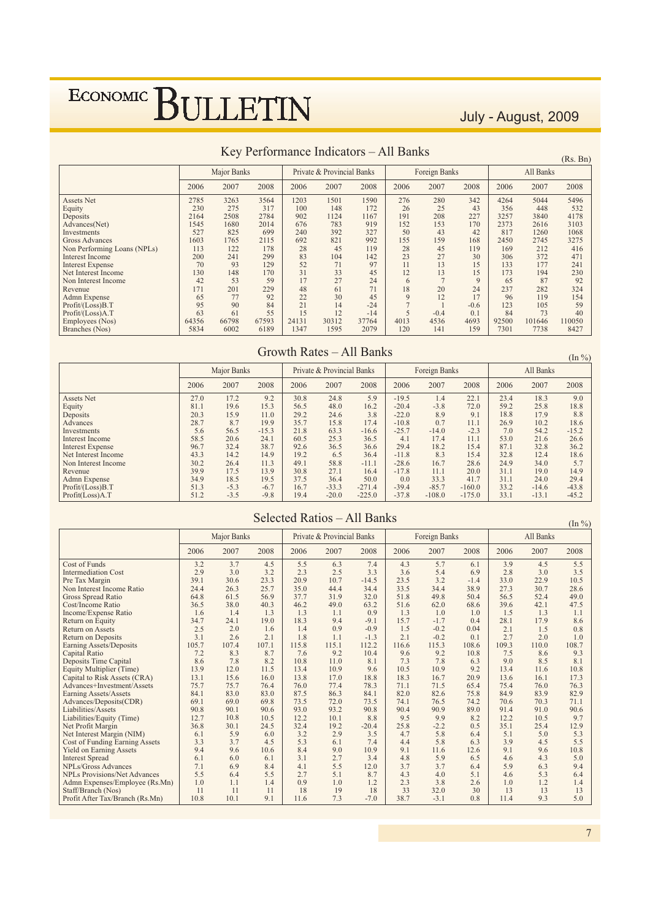July - August, 2009

 $(Pc \space Rn)$ 

|                             |       |             |       |       |                            |       |      |               |        |       |           | (15.5, 111) |
|-----------------------------|-------|-------------|-------|-------|----------------------------|-------|------|---------------|--------|-------|-----------|-------------|
|                             |       | Major Banks |       |       | Private & Provincial Banks |       |      | Foreign Banks |        |       | All Banks |             |
|                             | 2006  | 2007        | 2008  | 2006  | 2007                       | 2008  | 2006 | 2007          | 2008   | 2006  | 2007      | 2008        |
| <b>Assets Net</b>           | 2785  | 3263        | 3564  | 1203  | 1501                       | 1590  | 276  | 280           | 342    | 4264  | 5044      | 5496        |
| Equity                      | 230   | 275         | 317   | 100   | 148                        | 172   | 26   | 25            | 43     | 356   | 448       | 532         |
| Deposits                    | 2164  | 2508        | 2784  | 902   | 1124                       | 1167  | 191  | 208           | 227    | 3257  | 3840      | 4178        |
| Advances(Net)               | 1545  | 1680        | 2014  | 676   | 783                        | 919   | 152  | 153           | 170    | 2373  | 2616      | 3103        |
| Investments                 | 527   | 825         | 699   | 240   | 392                        | 327   | 50   | 43            | 42     | 817   | 1260      | 1068        |
| Gross Advances              | 1603  | 1765        | 2115  | 692   | 821                        | 992   | 155  | 159           | 168    | 2450  | 2745      | 3275        |
| Non Performing Loans (NPLs) | 113   | 122         | 178   | 28    | 45                         | 119   | 28   | 45            | 119    | 169   | 212       | 416         |
| Interest Income             | 200   | 241         | 299   | 83    | 104                        | 142   | 23   | 27            | 30     | 306   | 372       | 471         |
| <b>Interest Expense</b>     | 70    | 93          | 129   | 52    | 71                         | 97    | 11   | 13            | 15     | 133   | 177       | 241         |
| Net Interest Income         | 130   | 148         | 170   | 31    | 33                         | 45    | 12   | 13            | 15     | 173   | 194       | 230         |
| Non Interest Income         | 42    | 53          | 59    | 17    | 27                         | 24    | 6    |               | 9      | 65    | 87        | 92          |
| Revenue                     | 171   | 201         | 229   | 48    | 61                         | 71    | 18   | 20            | 24     | 237   | 282       | 324         |
| Admn Expense                | 65    | 77          | 92    | 22    | 30                         | 45    | 9    | 12            | 17     | 96    | 119       | 154         |
| Profit/(Loss)B.T            | 95    | 90          | 84    | 21    | 14                         | $-24$ |      |               | $-0.6$ | 123   | 105       | 59          |
| Profit/(Loss)A.T            | 63    | 61          | 55    | 15    | 12                         | $-14$ |      | $-0.4$        | 0.1    | 84    | 73        | 40          |
| Employees (Nos)             | 64356 | 66798       | 67593 | 24131 | 30312                      | 37764 | 4013 | 4536          | 4693   | 92500 | 101646    | 110050      |
| Branches (Nos)              | 5834  | 6002        | 6189  | 1347  | 1595                       | 2079  | 120  | 141           | 159    | 7301  | 7738      | 8427        |

#### Key Performance Indicators - All Banks

#### Growth Rates - All Banks

 $(In \%)$ Major Banks Private & Provincial Banks Foreign Banks All Banks 2008 2006 2007 2008 2006 2007 2006 2007 2008 2006 2007 2008 Assets Net  $27.0$  $17.2$  $9.2$  $30.8$  $24.8$  $\overline{5.9}$  $-19.5$  $1.4$  $\overline{22.1}$  $23.4$ 18.3  $9.0$  $\frac{19.6}{15.9}$  $\frac{15.3}{11.0}$  $\frac{56.5}{29.2}$  $48.0$ <br>24.6  $-20.4$  $-3.8$ <br>8.9  $\frac{72.0}{9.1}$  $\frac{59.2}{18.8}$  $\frac{25.8}{17.9}$ Equity  $81.1\,$  $16.2$  $18.8\,$  $3.8$ <br>17.4  $20.3$ Deposits 8.8 Advances  $28.7$  $\frac{15.5}{8.7}$ 19.9  $35.7$  $15.8$  $-10.8$  $0.7$  $11.1$ 26.9  $10.2$  $18.6$ Investments<br>Interest Income  $\frac{5.6}{58.5}$  $\frac{56.5}{20.6}$  $-15.3$ <br>24.1  $\frac{21.8}{60.5}$  $63.3$ <br> $25.3$  $-16.6$ <br>36.5  $-25.7$ <br>4.1  $-14.0$ <br>17.4  $-2.3$ <br>11.1  $7.0$ <br>53.0  $54.2$ <br>21.6  $-15.2$ <br>26.6  $\frac{87.1}{32.8}$ Interest Expense  $96.7$  $32.4$  $38.7$  $92.6$  $36.5$  $36.6$  $29.4$  $18.2$  $15.4$  $32.8$  $36.2$ 19.2 Net Interest Income<br>Non Interest Income  $433$  $14.2$  $6.5$ <br>58.8  $-11.8$  $15.4$  $124$ 14.9 36.4 8.3 18.6  $30.2$  $26.4$  $\frac{11.5}{11.3}$  $49.1$  $-11.1$  $-28.6$  $16.7$  $28.6$  $24.9$  $34.0$  $\frac{10.0}{5.7}$ Revenue  $39.9$  $17.5$ 13.9  $30.8$  $27.1$  $16.4$  $-17.8$  $11.1$  $20.0$  $31.1$  $19.0$  $14.9$  $\frac{18.5}{-5.3}$ <br> $-3.5$  $\frac{19.5}{-6.7}$ Admn Expense<br>Profit/(Loss)B.T 34.9  $37.5$ <br> $16.7$ 50.0  $0<sub>0</sub>$  $33.3 - 85.7$  $31.1$ <br> $33.2$ 29.4 36.4 417 24.0  $51.3$  $-33.3$  $-271.4$  $-39.4$  $-160.0$  $-14.6$  $-43.8$ Profit(Loss)A.T 51.2 19.4  $-20.0$  $-225.0$  $-37.8$  $-108.0$  $-175.0$ 33.1  $-13.1$  $-45.2$ 

| Selected Ratios - All Banks |  |
|-----------------------------|--|

 $(\text{In } \% )$ 

|                                       |       | Major Banks |       |       | Private & Provincial Banks |         |       | Foreign Banks |        |       | All Banks |       |
|---------------------------------------|-------|-------------|-------|-------|----------------------------|---------|-------|---------------|--------|-------|-----------|-------|
|                                       | 2006  | 2007        | 2008  | 2006  | 2007                       | 2008    | 2006  | 2007          | 2008   | 2006  | 2007      | 2008  |
| Cost of Funds                         | 3.2   | 3.7         | 4.5   | 5.5   | 6.3                        | 7.4     | 4.3   | 5.7           | 6.1    | 3.9   | 4.5       | 5.5   |
| <b>Intermediation Cost</b>            | 2.9   | 3.0         | 3.2   | 2.3   | 2.5                        | 3.3     | 3.6   | 5.4           | 6.9    | 2.8   | 3.0       | 3.5   |
| Pre Tax Margin                        | 39.1  | 30.6        | 23.3  | 20.9  | 10.7                       | $-14.5$ | 23.5  | 3.2           | $-1.4$ | 33.0  | 22.9      | 10.5  |
| Non Interest Income Ratio             | 24.4  | 26.3        | 25.7  | 35.0  | 44.4                       | 34.4    | 33.5  | 34.4          | 38.9   | 27.3  | 30.7      | 28.6  |
| <b>Gross Spread Ratio</b>             | 64.8  | 61.5        | 56.9  | 37.7  | 31.9                       | 32.0    | 51.8  | 49.8          | 50.4   | 56.5  | 52.4      | 49.0  |
| Cost/Income Ratio                     | 36.5  | 38.0        | 40.3  | 46.2  | 49.0                       | 63.2    | 51.6  | 62.0          | 68.6   | 39.6  | 42.1      | 47.5  |
| Income/Expense Ratio                  | 1.6   | 1.4         | 1.3   | 1.3   | 1.1                        | 0.9     | 1.3   | 1.0           | 1.0    | 1.5   | 1.3       | 1.1   |
| Return on Equity                      | 34.7  | 24.1        | 19.0  | 18.3  | 9.4                        | $-9.1$  | 15.7  | $-1.7$        | 0.4    | 28.1  | 17.9      | 8.6   |
| <b>Return on Assets</b>               | 2.5   | 2.0         | 1.6   | 1.4   | 0.9                        | $-0.9$  | 1.5   | $-0.2$        | 0.04   | 2.1   | 1.5       | 0.8   |
| <b>Return on Deposits</b>             | 3.1   | 2.6         | 2.1   | 1.8   | 1.1                        | $-1.3$  | 2.1   | $-0.2$        | 0.1    | 2.7   | 2.0       | 1.0   |
| Earning Assets/Deposits               | 105.7 | 107.4       | 107.1 | 115.8 | 115.1                      | 112.2   | 116.6 | 115.3         | 108.6  | 109.3 | 110.0     | 108.7 |
| <b>Capital Ratio</b>                  | 7.2   | 8.3         | 8.7   | 7.6   | 9.2                        | 10.4    | 9.6   | 9.2           | 10.8   | 7.5   | 8.6       | 9.3   |
| Deposits Time Capital                 | 8.6   | 7.8         | 8.2   | 10.8  | 11.0                       | 8.1     | 7.3   | 7.8           | 6.3    | 9.0   | 8.5       | 8.1   |
| Equity Multiplier (Time)              | 13.9  | 12.0        | 11.5  | 13.4  | 10.9                       | 9.6     | 10.5  | 10.9          | 9.2    | 13.4  | 11.6      | 10.8  |
| Capital to Risk Assets (CRA)          | 13.1  | 15.6        | 16.0  | 13.8  | 17.0                       | 18.8    | 18.3  | 16.7          | 20.9   | 13.6  | 16.1      | 17.3  |
| Advances+Investment/Assets            | 75.7  | 75.7        | 76.4  | 76.0  | 77.4                       | 78.3    | 71.1  | 71.5          | 65.4   | 75.4  | 76.0      | 76.3  |
| Earning Assets/Assets                 | 84.1  | 83.0        | 83.0  | 87.5  | 86.3                       | 84.1    | 82.0  | 82.6          | 75.8   | 84.9  | 83.9      | 82.9  |
| Advances/Deposits(CDR)                | 69.1  | 69.0        | 69.8  | 73.5  | 72.0                       | 73.5    | 74.1  | 76.5          | 74.2   | 70.6  | 70.3      | 71.1  |
| Liabilities/Assets                    | 90.8  | 90.1        | 90.6  | 93.0  | 93.2                       | 90.8    | 90.4  | 90.9          | 89.0   | 91.4  | 91.0      | 90.6  |
| Liabilities/Equity (Time)             | 12.7  | 10.8        | 10.5  | 12.2  | 10.1                       | 8.8     | 9.5   | 9.9           | 8.2    | 12.2  | 10.5      | 9.7   |
| Net Profit Margin                     | 36.8  | 30.1        | 24.5  | 32.4  | 19.2                       | $-20.4$ | 25.8  | $-2.2$        | 0.5    | 35.1  | 25.4      | 12.9  |
| Net Interest Margin (NIM)             | 6.1   | 5.9         | 6.0   | 3.2   | 2.9                        | 3.5     | 4.7   | 5.8           | 6.4    | 5.1   | 5.0       | 5.3   |
| <b>Cost of Funding Earning Assets</b> | 3.3   | 3.7         | 4.5   | 5.3   | 6.1                        | 7.4     | 4.4   | 5.8           | 6.3    | 3.9   | 4.5       | 5.5   |
| <b>Yield on Earning Assets</b>        | 9.4   | 9.6         | 10.6  | 8.4   | 9.0                        | 10.9    | 9.1   | 11.6          | 12.6   | 9.1   | 9.6       | 10.8  |
| <b>Interest Spread</b>                | 6.1   | 6.0         | 6.1   | 3.1   | 2.7                        | 3.4     | 4.8   | 5.9           | 6.5    | 4.6   | 4.3       | 5.0   |
| NPLs/Gross Advances                   | 7.1   | 6.9         | 8.4   | 4.1   | 5.5                        | 12.0    | 3.7   | 3.7           | 6.4    | 5.9   | 6.3       | 9.4   |
| <b>NPLs Provisions/Net Advances</b>   | 5.5   | 6.4         | 5.5   | 2.7   | 5.1                        | 8.7     | 4.3   | 4.0           | 5.1    | 4.6   | 5.3       | 6.4   |
| Admn Expenses/Employee (Rs.Mn)        | 1.0   | 1.1         | 1.4   | 0.9   | 1.0                        | 1.2     | 2.3   | 3.8           | 2.6    | 1.0   | 1.2       | 1.4   |
| Staff/Branch (Nos)                    | 11    | 11          | 11    | 18    | 19                         | 18      | 33    | 32.0          | 30     | 13    | 13        | 13    |
| Profit After Tax/Branch (Rs.Mn)       | 10.8  | 10.1        | 9.1   | 11.6  | 7.3                        | $-7.0$  | 38.7  | $-3.1$        | 0.8    | 11.4  | 9.3       | 5.0   |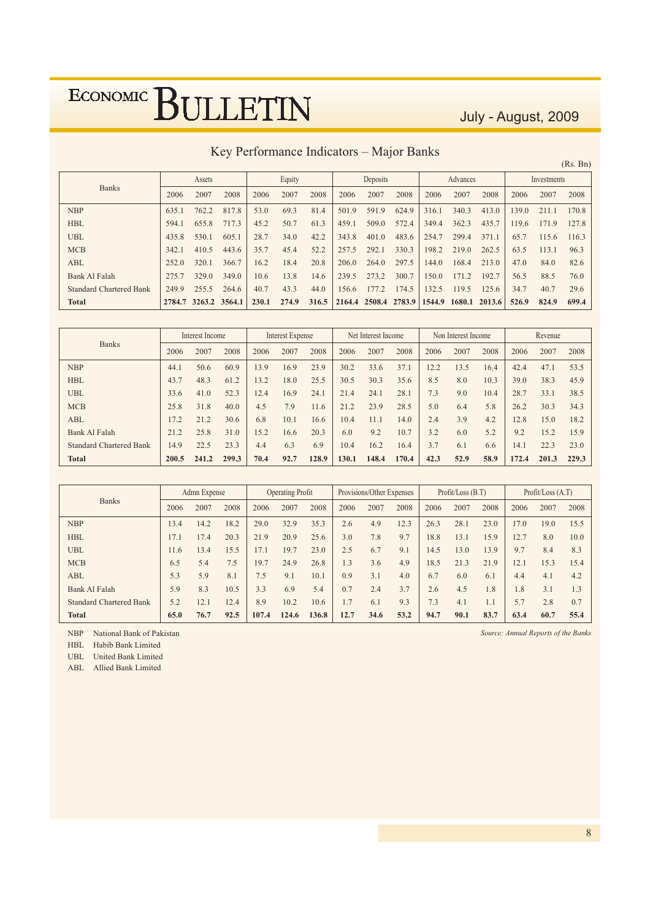July - August, 2009

Key Performance Indicators - Major Banks

|                                |        |               |       |       |        |       |        |          | $\cdot$ |        |          |        |       |             | (Rs. Bn) |
|--------------------------------|--------|---------------|-------|-------|--------|-------|--------|----------|---------|--------|----------|--------|-------|-------------|----------|
|                                |        | Assets        |       |       | Equity |       |        | Deposits |         |        | Advances |        |       | Investments |          |
| <b>Banks</b>                   | 2006   | 2007          | 2008  | 2006  | 2007   | 2008  | 2006   | 2007     | 2008    | 2006   | 2007     | 2008   | 2006  | 2007        | 2008     |
| <b>NBP</b>                     | 635.1  | 762.2         | 817.8 | 53.0  | 69.3   | 81.4  | 501.9  | 591.9    | 624.9   | 316.1  | 340.3    | 413.0  | 139.0 | 211.1       | 170.8    |
| <b>HBL</b>                     | 594.1  | 655.8         | 717.3 | 45.2  | 50.7   | 61.3  | 459.1  | 509.0    | 572.4   | 349.4  | 362.3    | 435.7  | 119.6 | 171.9       | 127.8    |
| <b>UBL</b>                     | 435.8  | 530.1         | 605.1 | 28.7  | 34.0   | 42.2  | 343.8  | 401.0    | 483.6   | 254.7  | 299.4    | 371.1  | 65.7  | 115.6       | 116.3    |
| <b>MCB</b>                     | 342.1  | 410.5         | 443.6 | 35.7  | 45.4   | 52.2  | 257.5  | 292.1    | 330.3   | 198.2  | 219.0    | 262.5  | 63.5  | 113.1       | 96.3     |
| <b>ABL</b>                     | 252.0  | 320.1         | 366.7 | 16.2  | 18.4   | 20.8  | 206.0  | 264.0    | 297.5   | 144.0  | 168.4    | 213.0  | 47.0  | 84.0        | 82.6     |
| Bank Al Falah                  | 275.7  | 329.0         | 349.0 | 10.6  | 13.8   | 14.6  | 239.5  | 273.2    | 300.7   | 150.0  | 171.2    | 192.7  | 56.5  | 88.5        | 76.0     |
| <b>Standard Chartered Bank</b> | 249.9  | 255.5         | 264.6 | 40.7  | 43.3   | 44.0  | 156.6  | 177.2    | 174.5   | 132.5  | 119.5    | 125.6  | 34.7  | 40.7        | 29.6     |
| <b>Total</b>                   | 2784.7 | 3263.2 3564.1 |       | 230.1 | 274.9  | 316.5 | 2164.4 | 2508.4   | 2783.9  | 1544.9 | 1680.1   | 2013.6 | 526.9 | 824.9       | 699.4    |

|                                |       | Interest Income |       |      | Interest Expense |       |       | Net Interest Income |       |      | Non Interest Income |      |       | Revenue |       |
|--------------------------------|-------|-----------------|-------|------|------------------|-------|-------|---------------------|-------|------|---------------------|------|-------|---------|-------|
| <b>Banks</b>                   | 2006  | 2007            | 2008  | 2006 | 2007             | 2008  | 2006  | 2007                | 2008  | 2006 | 2007                | 2008 | 2006  | 2007    | 2008  |
| <b>NBP</b>                     | 44.1  | 50.6            | 60.9  | 13.9 | 16.9             | 23.9  | 30.2  | 33.6                | 37.1  | 12.2 | 13.5                | 16.4 | 42.4  | 47.1    | 53.5  |
| <b>HBL</b>                     | 43.7  | 48.3            | 61.2  | 13.2 | 18.0             | 25.5  | 30.5  | 30.3                | 35.6  | 8.5  | 8.0                 | 10.3 | 39.0  | 38.3    | 45.9  |
| <b>UBL</b>                     | 33.6  | 41.0            | 52.3  | 12.4 | 16.9             | 24.1  | 21.4  | 24.1                | 28.1  | 7.3  | 9.0                 | 10.4 | 28.7  | 33.1    | 38.5  |
| <b>MCB</b>                     | 25.8  | 31.8            | 40.0  | 4.5  | 7.9              | 11.6  | 21.2  | 23.9                | 28.5  | 5.0  | 6.4                 | 5.8  | 26.2  | 30.3    | 34.3  |
| <b>ABL</b>                     | 7.2   | 21.2            | 30.6  | 6.8  | 10.1             | 16.6  | 10.4  | 11.1                | 14.0  | 2.4  | 3.9                 | 4.2  | 12.8  | 15.0    | 18.2  |
| Bank Al Falah                  | 21.2  | 25.8            | 31.0  | 15.2 | 16.6             | 20.3  | 6.0   | 9.2                 | 10.7  | 3.2  | 6.0                 | 5.2  | 9.2   | 15.2    | 15.9  |
| <b>Standard Chartered Bank</b> | 14.9  | 22.5            | 23.3  | 4.4  | 6.3              | 6.9   | 10.4  | 16.2                | 16.4  | 3.7  | 6.1                 | 6.6  | 14.1  | 22.3    | 23.0  |
| <b>Total</b>                   | 200.5 | 241.2           | 299.3 | 70.4 | 92.7             | 128.9 | 130.1 | 148.4               | 170.4 | 42.3 | 52.9                | 58.9 | 172.4 | 201.3   | 229.3 |

|                                |      | Admn Expense |      |       | <b>Operating Profit</b> |       |      | Provisions/Other Expenses |      |      | Profit / Loss (B.T) |      |      | Profit / Loss (A.T) |      |
|--------------------------------|------|--------------|------|-------|-------------------------|-------|------|---------------------------|------|------|---------------------|------|------|---------------------|------|
| <b>Banks</b>                   | 2006 | 2007         | 2008 | 2006  | 2007                    | 2008  | 2006 | 2007                      | 2008 | 2006 | 2007                | 2008 | 2006 | 2007                | 2008 |
| <b>NBP</b>                     | 13.4 | 14.2         | 18.2 | 29.0  | 32.9                    | 35.3  | 2.6  | 4.9                       | 12.3 | 26.3 | 28.1                | 23.0 | 17.0 | 19.0                | 15.5 |
| <b>HBL</b>                     | 17.1 | 17.4         | 20.3 | 21.9  | 20.9                    | 25.6  | 3.0  | 7.8                       | 9.7  | 18.8 | 13.1                | 15.9 | 12.7 | 8.0                 | 10.0 |
| <b>UBL</b>                     | 11.6 | 13.4         | 15.5 | 7.1   | 19.7                    | 23.0  | 2.5  | 6.7                       | 9.1  | 14.5 | 13.0                | 13.9 | 9.7  | 8.4                 | 8.3  |
| <b>MCB</b>                     | 6.5  | 5.4          | 7.5  | 19.7  | 24.9                    | 26.8  | 1.3  | 3.6                       | 4.9  | 18.5 | 21.3                | 21.9 | 12.1 | 15.3                | 15.4 |
| <b>ABL</b>                     | 5.3  | 5.9          | 8.1  | 7.5   | 9.1                     | 10.1  | 0.9  | 3.1                       | 4.0  | 6.7  | 6.0                 | 6.1  | 4.4  | 4.1                 | 4.2  |
| Bank Al Falah                  | 5.9  | 8.3          | 10.5 | 3.3   | 6.9                     | 5.4   | 0.7  | 2.4                       | 3.7  | 2.6  | 4.5                 | 1.8  | 1.8  | 3.1                 | 1.3  |
| <b>Standard Chartered Bank</b> | 5.2  | 12.1         | 12.4 | 8.9   | 10.2                    | 10.6  | 1.7  | 6.1                       | 9.3  | 7.3  | 4.1                 | 1.1  | 5.7  | 2.8                 | 0.7  |
| <b>Total</b>                   | 65.0 | 76.7         | 92.5 | 107.4 | 124.6                   | 136.8 | 12.7 | 34.6                      | 53.2 | 94.7 | 90.1                | 83.7 | 63.4 | 60.7                | 55.4 |

NBP National Bank of Pakistan

HBL Habib Bank Limited

UBL United Bank Limited

ABL Allied Bank Limited

Source: Annual Reports of the Banks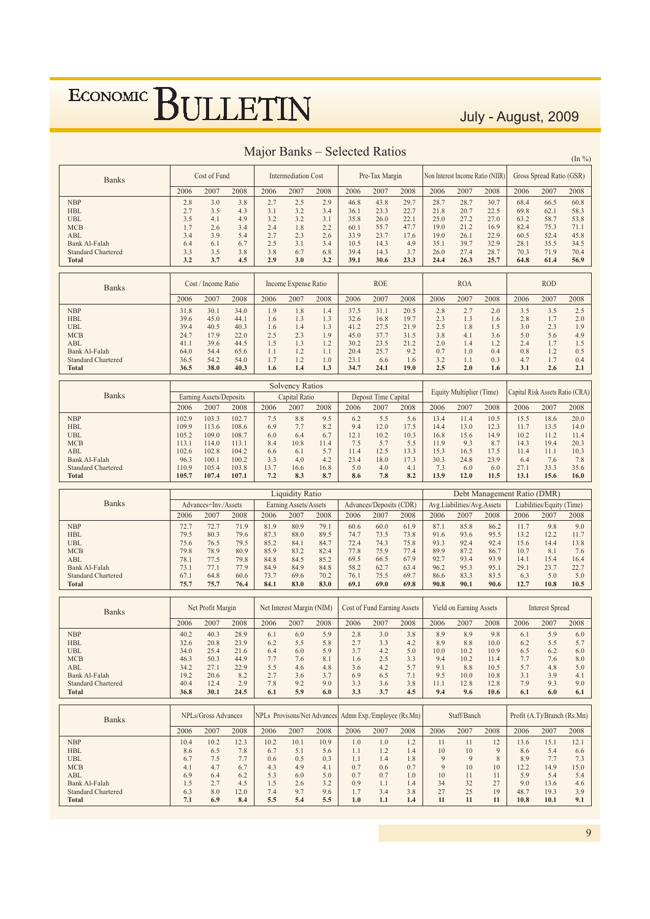July - August, 2009

|                                                   |                |                         |                |              |                            |                                    | <u> Majul Daliks – Sciecteu Katius</u> |                             |              |              |                                |                                  |                             |                             | $(\ln \frac{9}{6})$             |
|---------------------------------------------------|----------------|-------------------------|----------------|--------------|----------------------------|------------------------------------|----------------------------------------|-----------------------------|--------------|--------------|--------------------------------|----------------------------------|-----------------------------|-----------------------------|---------------------------------|
| <b>Banks</b>                                      |                | Cost of Fund            |                |              | <b>Intermediation Cost</b> |                                    |                                        | Pre-Tax Margin              |              |              |                                | Non Interest Income Ratio (NIIR) |                             | Gross Spread Ratio (GSR)    |                                 |
|                                                   | 2006           | 2007                    | 2008           | 2006         | 2007                       | 2008                               | 2006                                   | 2007                        | 2008         | 2006         | 2007                           | 2008                             | 2006                        | 2007                        | 2008                            |
| <b>NBP</b>                                        | 2.8            | 3.0                     | 3.8            | 2.7          | 2.5                        | 2.9                                | 46.8                                   | 43.8                        | 29.7         | 28.7         | 28.7                           | 30.7                             | 68.4                        | 66.5                        | 60.8                            |
| <b>HBL</b>                                        | 2.7            | 3.5                     | 4.3            | 3.1          | 3.2                        | 3.4                                | 36.1                                   | 23.3                        | 22.7         | 21.8         | 20.7                           | 22.5                             | 69.8                        | 62.1                        | 58.3                            |
| UBL<br><b>MCB</b>                                 | 3.5<br>1.7     | 4.1<br>2.6              | 4.9<br>3.4     | 3.2<br>2.4   | 3.2<br>1.8                 | 3.1<br>2.2                         | 35.8<br>60.1                           | 26.0<br>55.7                | 22.1<br>47.7 | 25.0<br>19.0 | 27.2<br>21.2                   | 27.0<br>16.9                     | 63.2<br>82.4                | 58.7<br>75.3                | 53.8<br>71.1                    |
| ABL                                               | 3.4            | 3.9                     | 5.4            | 2.7          | 2.3                        | 2.6                                | 33.9                                   | 23.7                        | 17.6         | 19.0         | 26.1                           | 22.9                             | 60.5                        | 52.4                        | 45.8                            |
| Bank Al-Falah                                     | 6.4            | 6.1                     | 6.7            | 2.5          | 3.1                        | 3.4                                | 10.5                                   | 14.3                        | 4.9          | 35.1         | 39.7                           | 32.9                             | 28.1                        | 35.5                        | 34.5                            |
| <b>Standard Chartered</b>                         | 3.3            | 3.5                     | 3.8            | 3.8          | 6.7                        | 6.8                                | 39.4                                   | 14.3                        | 3.7          | 26.0         | 27.4                           | 28.7                             | 70.3                        | 71.9                        | 70.4                            |
| <b>Total</b>                                      | 3.2            | 3.7                     | 4.5            | 2.9          | 3.0                        | 3.2                                | 39.1                                   | 30.6                        | 23.3         | 24.4         | 26.3                           | 25.7                             | 64.8                        | 61.4                        | 56.9                            |
|                                                   |                | Cost / Income Ratio     |                |              |                            |                                    |                                        | <b>ROE</b>                  |              |              | <b>ROA</b>                     |                                  |                             | <b>ROD</b>                  |                                 |
| <b>Banks</b>                                      |                |                         |                |              | Income Expense Ratio       |                                    |                                        |                             |              |              |                                |                                  |                             |                             |                                 |
| <b>NBP</b>                                        | 2006<br>31.8   | 2007<br>30.1            | 2008<br>34.0   | 2006<br>1.9  | 2007<br>1.8                | 2008<br>1.4                        | 2006<br>37.5                           | 2007<br>31.1                | 2008<br>20.5 | 2006<br>2.8  | 2007<br>2.7                    | 2008<br>2.0                      | 2006<br>3.5                 | 2007<br>3.5                 | 2008<br>2.5                     |
| <b>HBL</b>                                        | 39.6           | 45.0                    | 44.1           | 1.6          | 1.3                        | 1.3                                | 32.6                                   | 16.8                        | 19.7         | 2.3          | 1.3                            | 1.6                              | 2.8                         | 1.7                         | 2.0                             |
| <b>UBL</b>                                        | 39.4           | 40.5                    | 40.3           | 1.6          | 1.4                        | 1.3                                | 41.2                                   | 27.5                        | 21.9         | 2.5          | 1.8                            | 1.5                              | 3.0                         | 2.3                         | 1.9                             |
| <b>MCB</b>                                        | 24.7           | 17.9                    | 22.0           | 2.5          | 2.3                        | 1.9                                | 45.0                                   | 37.7                        | 31.5         | 3.8          | 4.1                            | 3.6                              | 5.0                         | 5.6                         | 4.9                             |
| ABL                                               | 41.1           | 39.6                    | 44.5           | 1.5          | 1.3                        | 1.2                                | 30.2                                   | 23.5                        | 21.2         | 2.0          | 1.4                            | 1.2                              | 2.4                         | 1.7                         | 1.5                             |
| <b>Bank Al-Falah</b><br><b>Standard Chartered</b> | 64.0<br>36.5   | 54.4<br>54.2            | 65.6<br>54.0   | 1.1<br>1.7   | 1.2<br>1.2                 | 1.1<br>1.0                         | 20.4<br>23.1                           | 25.7<br>6.6                 | 9.2<br>1.6   | 0.7<br>3.2   | 1.0<br>1.1                     | 0.4<br>0.3                       | 0.8<br>4.7                  | 1.2<br>1.7                  | 0.5<br>0.4                      |
| <b>Total</b>                                      | 36.5           | 38.0                    | 40.3           | 1.6          | 1.4                        | 1.3                                | 34.7                                   | 24.1                        | 19.0         | 2.5          | 2.0                            | 1.6                              | 3.1                         | 2.6                         | 2.1                             |
|                                                   |                |                         |                |              | <b>Solvency Ratios</b>     |                                    |                                        |                             |              |              |                                |                                  |                             |                             |                                 |
| <b>Banks</b>                                      |                | Earning Assets/Deposits |                |              | Capital Ratio              |                                    |                                        | Deposit Time Capital        |              |              | Equity Multiplier (Time)       |                                  |                             |                             | Capital Risk Assets Ratio (CRA) |
|                                                   | 2006           | 2007                    | 2008           | 2006         | 2007                       | 2008                               | 2006                                   | 2007                        | 2008         | 2006         | 2007                           | 2008                             | 2006                        | 2007                        | 2008                            |
| <b>NBP</b>                                        | 102.9          | 103.3                   | 102.7          | 7.5          | 8.8                        | 9.5                                | 6.2                                    | 5.5                         | 5.6          | 13.4         | 11.4                           | 10.5                             | 15.5                        | 18.6                        | 20.0                            |
| <b>HBL</b>                                        | 109.9          | 113.6                   | 108.6          | 6.9          | 7.7                        | 8.2                                | 9.4                                    | 12.0                        | 17.5         | 14.4         | 13.0                           | 12.3                             | 11.7                        | 13.5                        | 14.0                            |
| <b>UBL</b>                                        | 105.2          | 109.0                   | 108.7          | 6.0          | 6.4                        | 6.7                                | 12.1                                   | 10.2                        | 10.3         | 16.8         | 15.6                           | 14.9                             | 10.2                        | 11.2                        | 11.4                            |
| <b>MCB</b><br>ABL                                 | 113.1<br>102.6 | 114.0<br>102.8          | 113.1<br>104.2 | 8.4<br>6.6   | 10.8<br>6.1                | 11.4<br>5.7                        | 7.5<br>11.4                            | 5.7<br>12.5                 | 5.5<br>13.3  | 11.9<br>15.3 | 9.3<br>16.5                    | 8.7<br>17.5                      | 14.3<br>11.4                | 19.4<br>11.1                | 20.3<br>10.3                    |
| Bank Al-Falah                                     | 96.3           | 100.1                   | 100.2          | 3.3          | 4.0                        | 4.2                                | 23.4                                   | 18.0                        | 17.3         | 30.3         | 24.8                           | 23.9                             | 6.4                         | 7.6                         | 7.8                             |
| <b>Standard Chartered</b>                         | 110.9          | 105.4                   | 103.8          | 13.7         | 16.6                       | 16.8                               | 5.0                                    | 4.0                         | 4.1          | 7.3          | 6.0                            | 6.0                              | 27.1                        | 33.3                        | 35.6                            |
| <b>Total</b>                                      | 105.7          | 107.4                   | 107.1          | 7.2          | 8.3                        | 8.7                                | 8.6                                    | 7.8                         | 8.2          | 13.9         | 12.0                           | 11.5                             | 13.1                        | 15.6                        | 16.0                            |
|                                                   |                |                         |                |              |                            |                                    |                                        |                             |              |              |                                |                                  |                             |                             |                                 |
|                                                   |                |                         |                |              | <b>Liquidity Ratio</b>     |                                    |                                        |                             |              |              |                                |                                  | Debt Management Ratio (DMR) |                             |                                 |
| <b>Banks</b>                                      |                | Advances+Inv./Assets    |                |              | Earning Assets/Assets      |                                    |                                        | Advances/Deposits (CDR)     |              |              | Avg.Liabilities/Avg.Assets     |                                  |                             | Liabilities/Equity (Time)   |                                 |
|                                                   | 2006           | 2007                    | 2008           | 2006         | 2007                       | 2008                               | 2006                                   | 2007                        | 2008         | 2006         | 2007                           | 2008                             | 2006                        | 2007                        | 2008                            |
| <b>NBP</b>                                        | 72.7           | 72.7                    | 71.9           | 81.9         | 80.9                       | 79.1                               | 60.6                                   | 60.0                        | 61.9         | 87.1         | 85.8                           | 86.2                             | 11.7                        | 9.8                         | 9.0                             |
| <b>HBL</b>                                        | 79.5           | 80.3                    | 79.6           | 87.3         | 88.0                       | 89.5                               | 74.7                                   | 73.5                        | 73.8         | 91.6         | 93.6                           | 95.5                             | 13.2                        | 12.2                        | 11.7                            |
| <b>UBL</b>                                        | 75.6           | 76.5                    | 79.5           | 85.2         | 84.1                       | 84.7                               | 72.4                                   | 74.3                        | 75.8         | 93.3         | 92.4                           | 92.4                             | 15.6                        | 14.4                        | 13.8                            |
| <b>MCB</b><br>ABL                                 | 79.8<br>78.1   | 78.9<br>77.5            | 80.9<br>79.8   | 85.9<br>84.8 | 83.2<br>84.5               | 82.4<br>85.2                       | 77.8<br>69.5                           | 75.9<br>66.5                | 77.4<br>67.9 | 89.9<br>92.7 | 87.2<br>93.4                   | 86.7<br>93.9                     | 10.7<br>14.1                | 8.1<br>15.4                 | 7.6<br>16.4                     |
| Bank Al-Falah                                     | 73.1           | 77.1                    | 77.9           | 84.9         | 84.9                       | 84.8                               | 58.2                                   | 62.7                        | 63.4         | 96.2         | 95.3                           | 95.1                             | 29.1                        | 23.7                        | 22.7                            |
| <b>Standard Chartered</b>                         | 67.1           | 64.8                    | 60.6           | 73.7         | 69.6                       | 70.2                               | 76.1                                   | 75.5                        | 69.7         | 86.6         | 83.3                           | 83.5                             | 6.3                         | 5.0                         | 5.0                             |
| <b>Total</b>                                      | 75.7           | 75.7                    | 76.4           | 84.1         | 83.0                       | 83.0                               | 69.1                                   | 69.0                        | 69.8         | 90.8         | 90.1                           | 90.6                             | 12.7                        | 10.8                        | 10.5                            |
|                                                   |                |                         |                |              |                            |                                    |                                        |                             |              |              |                                |                                  |                             |                             |                                 |
| <b>Banks</b>                                      |                | Net Profit Margin       |                |              | Net Interest Margin (NIM)  |                                    |                                        | Cost of Fund Earning Assets |              |              | <b>Yield on Earning Assets</b> |                                  |                             | <b>Interest Spread</b>      |                                 |
|                                                   | 2006           | 2007                    | 2008           | 2006         | 2007                       | 2008                               | 2006                                   | 2007                        | 2008         | 2006         | 2007                           | 2008                             | 2006                        | 2007                        | 2008                            |
| <b>NBP</b>                                        | 40.2           | 40.3                    | 28.9           | 6.1          | 6.0                        | 5.9                                | 2.8                                    | 3.0                         | 3.8          | 8.9          | 8.9                            | 9.8                              | 6.1                         | 5.9                         | 6.0                             |
| HBL                                               | 32.6           | 20.8                    | 23.9           | 6.2          | 5.5                        | 5.8                                | 2.7                                    | 3.3                         | 4.2          | 8.9          | 8.8                            | 10.0                             | 6.2                         | 5.5                         | 5.7                             |
| <b>UBL</b><br>MCB                                 | 34.0<br>46.3   | 25.4<br>50.3            | 21.6<br>44.9   | 6.4<br>7.7   | 6.0<br>7.6                 | 5.9<br>8.1                         | 3.7<br>1.6                             | 4.2<br>2.5                  | 5.0<br>3.3   | 10.0<br>9.4  | 10.2<br>10.2                   | 10.9<br>11.4                     | 6.5<br>7.7                  | 6.2<br>7.6                  | 6.0<br>8.0                      |
| ABL                                               | 34.2           | 27.1                    | 22.9           | 5.5          | 4.6                        | 4.8                                | 3.6                                    | 4.2                         | 5.7          | 9.1          | 8.8                            | 10.5                             | 5.7                         | 4.8                         | 5.0                             |
| Bank Al-Falah                                     | 19.2           | 20.6                    | 8.2            | 2.7          | 3.6                        | 3.7                                | 6.9                                    | 6.5                         | 7.1          | 9.5          | 10.0                           | 10.8                             | 3.1                         | 3.9                         | 4.1                             |
| <b>Standard Chartered</b><br><b>Total</b>         | 40.4<br>36.8   | 12.4<br>30.1            | 2.9            | 7.8<br>6.1   | 9.2<br>5.9                 | 9.0<br>6.0                         | 3.3<br>3.3                             | 3.6<br>3.7                  | 3.8<br>4.5   | 11.1<br>9.4  | 12.8<br>9.6                    | 12.8<br>10.6                     | 7.9<br>6.1                  | 9.3<br>6.0                  | 9.0<br>6.1                      |
|                                                   |                |                         | 24.5           |              |                            |                                    |                                        |                             |              |              |                                |                                  |                             |                             |                                 |
|                                                   |                | NPLs/Gross Advances     |                |              |                            | <b>NPLs</b> Provisons/Net Advances |                                        | Admn Exp./Employee (Rs.Mn)  |              |              | Staff/Banch                    |                                  |                             | Profit (A.T)/Branch (Rs.Mn) |                                 |
| <b>Banks</b>                                      |                |                         |                |              |                            |                                    |                                        |                             |              |              |                                |                                  |                             |                             |                                 |
|                                                   | 2006           | 2007                    | 2008           | 2006         | 2007                       | 2008                               | 2006                                   | 2007                        | 2008         | 2006         | 2007                           | 2008                             | 2006                        | 2007                        | 2008                            |
| <b>NBP</b><br><b>HBL</b>                          | 10.4<br>8.6    | 10.2<br>6.5             | 12.3<br>7.8    | 10.2<br>6.7  | 10.1<br>5.1                | 10.9<br>5.6                        | 1.0<br>1.1                             | 1.0<br>1.2                  | 1.2<br>1.4   | 11<br>10     | 11<br>10                       | 12<br>9                          | 13.6<br>8.6                 | 15.1<br>5.4                 | 12.1<br>6.6                     |
| <b>UBL</b>                                        | 6.7            | 7.5                     | 7.7            | 0.6          | 0.5                        | 0.3                                | 1.1                                    | 1.4                         | 1.8          | 9            | 9                              | 8                                | 8.9                         | 7.7                         | 7.3                             |
| MCB                                               | 4.1            | 4.7                     | 6.7            | 4.3          | 4.9                        | 4.1                                | 0.7                                    | 0.6                         | 0.7          | 9            | 10                             | 10                               | 12.2                        | 14.9                        | 15.0                            |
| ABL                                               | 6.9            | 6.4                     | 6.2            | 5.3          | 6.0                        | 5.0                                | 0.7                                    | 0.7                         | 1.0          | 10           | 11                             | 11                               | 5.9                         | 5.4                         | 5.4                             |
| Bank Al-Falah<br><b>Standard Chartered</b>        | 1.5<br>6.3     | 2.7<br>8.0              | 4.5<br>12.0    | 1.5<br>7.4   | 2.6<br>9.7                 | 3.2<br>9.6                         | 0.9<br>1.7                             | 1.1<br>3.4                  | 1.4<br>3.8   | 34<br>27     | 32<br>25                       | 27<br>19                         | 9.0<br>48.7                 | 13.6<br>19.3                | 4.6<br>3.9                      |

#### Major Banks - Selected Ratios

 $\overline{9}$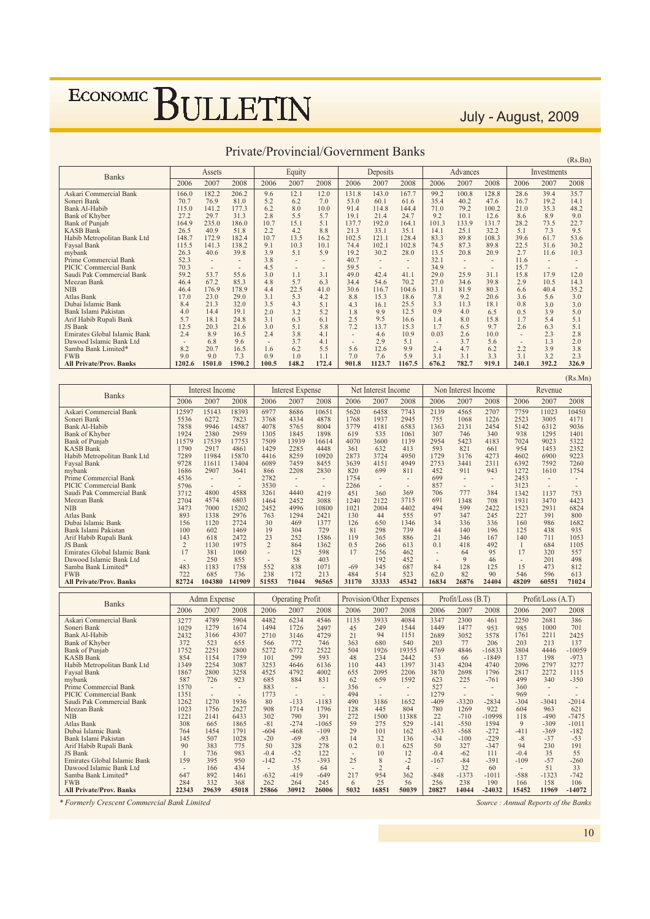July - August, 2009

 $(Rs Rn)$ 

| <b>Banks</b>                   |        | Assets |        |       | Equity |       |       | Deposits                 |                |       | Advances |        |       | Investments |       |
|--------------------------------|--------|--------|--------|-------|--------|-------|-------|--------------------------|----------------|-------|----------|--------|-------|-------------|-------|
|                                | 2006   | 2007   | 2008   | 2006  | 2007   | 2008  | 2006  | 2007                     | 2008           | 2006  | 2007     | 2008   | 2006  | 2007        | 2008  |
| Askari Commercial Bank         | 166.0  | 182.2  | 206.2  | 9.6   | 12.1   | 12.0  | 131.8 | 143.0                    | 167.7          | 99.2  | 100.8    | 128.8  | 28.6  | 39.4        | 35.7  |
| Soneri Bank                    | 70.7   | 76.9   | 81.0   | 5.2   | 6.2    | 7.0   | 53.0  | 60.1                     | 61.6           | 35.4  | 40.2     | 47.6   | 16.7  | 19.2        | 14.1  |
| Bank Al-Habib                  | 115.0  | 141.2  | 177.3  | 6.2   | 8.0    | 10.0  | 91.4  | 114.8                    | 144.4          | 71.0  | 79.2     | 100.2  | 21.0  | 35.3        | 48.2  |
| Bank of Khyber                 | 27.2   | 29.7   | 31.3   | 2.8   | 5.5    | 5.7   | 19.1  | 21.4                     | 24.7           | 9.2   | 10.1     | 12.6   | 8.6   | 8.9         | 9.0   |
| Bank of Punjab                 | 164.9  | 235.0  | 186.0  | 10.7  | 15.1   | 5.1   | 137.7 | 192.0                    | 164.1          | 101.3 | 133.9    | 131.7  | 28.2  | 73.5        | 22.7  |
| <b>KASB Bank</b>               | 26.5   | 40.9   | 51.8   | 2.2   | 4.2    | 8.8   | 21.3  | 33.1                     | 35.1           | 14.1  | 25.1     | 32.2   | 5.1   | 7.3         | 9.5   |
| Habib Metropolitan Bank Ltd    | 148.7  | 172.9  | 182.4  | 10.7  | 13.5   | 16.2  | 102.5 | 121.1                    | 128.4          | 83.3  | 89.8     | 108.3  | 39.6  | 61.7        | 53.6  |
| Faysal Bank                    | 115.5  | 141.3  | 138.2  | 9.1   | 10.3   | 10.1  | 74.4  | 102.1                    | 102.8          | 74.5  | 87.3     | 89.8   | 22.5  | 31.6        | 30.2  |
| mybank                         | 26.3   | 40.6   | 39.8   | 3.9   | 5.1    | 5.9   | 19.2  | 30.2                     | 28.0           | 13.5  | 20.8     | 20.9   | 2.7   | 11.6        | 10.3  |
| Prime Commercial Bank          | 52.3   |        |        | 3.8   |        | ۰     | 40.7  |                          | $\overline{a}$ | 32.1  |          |        | 11.6  |             |       |
| PICIC Commercial Bank          | 70.3   |        |        | 4.5   |        | ۰     | 59.5  | $\overline{\phantom{a}}$ | $\sim$         | 34.9  |          | $\sim$ | 15.7  | ۰           |       |
| Saudi Pak Commercial Bank      | 59.2   | 53.7   | 55.6   | 3.0   | 1.1    | 3.1   | 49.0  | 42.4                     | 41.1           | 29.0  | 25.9     | 31.1   | 15.8  | 17.9        | 12.0  |
| Meezan Bank                    | 46.4   | 67.2   | 85.3   | 4.8   | 5.7    | 6.3   | 34.4  | 54.6                     | 70.2           | 27.0  | 34.6     | 39.8   | 2.9   | 10.5        | 14.3  |
| <b>NIB</b>                     | 46.4   | 176.9  | 178.9  | 4.4   | 22.5   | 41.0  | 30.6  | 116.7                    | 104.6          | 31.1  | 81.9     | 80.3   | 6.6   | 40.4        | 35.2  |
| Atlas Bank                     | 17.0   | 23.0   | 29.0   | 3.1   | 5.3    | 4.2   | 8.8   | 15.3                     | 18.6           | 7.8   | 9.2      | 20.6   | 3.6   | 5.6         | 3.0   |
| Dubai Islamic Bank             | 8.4    | 21.3   | 32.0   | 3.5   | 4.3    | 5.1   | 4.3   | 16.1                     | 25.5           | 3.3   | 11.3     | 18.1   | 0.8   | 3.0         | 3.0   |
| Bank Islami Pakistan           | 4.0    | 14.4   | 19.1   | 2.0   | 3.2    | 5.2   | 1.8   | 9.9                      | 12.5           | 0.9   | 4.0      | 6.5    | 0.5   | 3.9         | 5.0   |
| Arif Habib Rupali Bank         | 5.7    | 18.1   | 24.8   | 3.1   | 6.3    | 6.1   | 2.5   | 9.5                      | 16.6           | 1.4   | 8.0      | 15.8   | 1.7   | 5.4         | 5.1   |
| JS Bank                        | 12.5   | 20.3   | 21.6   | 3.0   | 5.1    | 5.8   | 7.2   | 13.7                     | 15.3           | 1.7   | 6.5      | 9.7    | 2.6   | 6.3         | 5.1   |
| Emirates Global Islamic Bank   | 2.4    | 8.9    | 16.5   | 2.4   | 3.8    | 4.1   |       | 4.6                      | 10.9           | 0.03  | 2.6      | 10.0   |       | 2.3         | 2.8   |
| Dawood Islamic Bank Ltd        | $\sim$ | 6.8    | 9.6    |       | 3.7    | 4.1   |       | 2.9                      | 5.1            |       | 3.7      | 5.6    |       | 1.3         | 2.0   |
| Samba Bank Limited*            | 8.2    | 20.7   | 16.5   | 1.6   | 6.2    | 5.5   | 5.6   | 12.6                     | 9.9            | 2.4   | 4.7      | 6.2    | 2.2   | 3.9         | 3.8   |
| <b>FWB</b>                     | 9.0    | 9.0    | 7.3    | 0.9   | 1.0    | 1.1   | 7.0   | 7.6                      | 5.9            | 3.1   | 3.1      | 3.3    | 3.1   | 3.2         | 2.3   |
| <b>All Private/Prov. Banks</b> | 1202.6 | 1501.0 | 1590.2 | 100.5 | 148.2  | 172.4 | 901.8 | 1123.7                   | 1167.5         | 676.2 | 782.7    | 919.1  | 240.1 | 392.2       | 326.9 |

#### Private/Provincial/Government Banks

 $(Rs.Mn)$ Admn Expense Banks Admn Expense Operating Profit Provision/Other Expenses Profit/Loss (B.T.) Profit/Loss (A.T.) Askari Commercial Bank<br>Soneri Bank Bank Al-Habih Bank of Khyber Bank of Punjab  $KASR$  Rank Habib Metropolitan Bank Ltd Faysal Bank  $\frac{1}{2}$  my hank Prime Commercial Bank PICIC Commercial Bank<br>Saudi Pak Commercial Bank Meezan Bank NIIR<sup>.</sup> Atlas Bank Dubai Islamic Bank Bank Islami Pakistar Arif Habib Rupali Bank JS Bank Emirates Global Islamic Bank Dawood Islamic Bank Ltd Samba Bank Limited\* **FWB**  6 6 6 6 6 - - - > . - - . - - !3 Askari Commercial Bank Soneri Bank Bank Al-Habib Bank of Khyber Bank of Punjab KASB Bank Habib Metropolitan Bank Ltd **Faysal Bank** nybank Prime Commercial Bank PICIC Commercial Bank<br>Saudi Pak Commercial Bank Meezan Bank NIB<sub>11</sub> Atlas Bank Dubai Islamic Bank<br>Bank Islami Pakistan Arif Habib Rupali Bank JS Bank Emirates Global Islamic Bank Dawood Islamic Bank Ltd<br>Samba Bank Limited\* **FWB All Private/Prov. Banks**  6 6 6 6 6 1259 5536<br>7858 1924 11579 1790 7289 9728 1686 4536 5796 3712 2704 3473 893 156  $\frac{150}{100}$ 143  $\frac{2}{17}$  $\frac{1}{483}$  $721$ **82724** 15143 6272 9946 2380 17539 2917 11984 11611 2907 - $-4800$ 4574 7000 1338 1120 602 618 &&# 381  $250$ <sup>250</sup><br>1183 685 104380 18393 7823 14587 2959<br>17753 4861 15870 13404 3641 1  $-$ <br>4588 6803 15202 2976 2724  $\frac{27}{1469}$ 2472  $\frac{1}{975}$ 1060 855<br>1758 736 141909 6977 3768 4078 1305 7509 1429 4416 6089 866 2782 3530 3261 1464 2452 763 30<br>19  $23$  $\overline{2}$ - $552$ 238 **()(('** 8686 4334 5765 1845 13939 2285 8259 7459  $2208$ - $-4440$ 2452 4996<br>1294 469  $\frac{70}{304}$ 252  $864$ 125  $58$ 838 172 71044 10651 4878 8004 1898 16614 4448 10920 8455 2830 - $\frac{1}{4219}$ 3088 10800 2421  $137'$  $729$ 1586 1362 598  $403$  $\frac{10}{3}$  $213$ 96565 5620 1768<br>3779 619 4070 361 2873 3639  $820$ 1754 2266  $451$ 1240  $1021$ 130 & &  $119$  $0.5$  $17$  $-69$ 484 31170 6458 1937 4181 535<br>3600 632<br>3724 4151 699 - $\frac{1}{360}$ 2122 2004 44 650<br>298 365  $\frac{266}{266}$ 256 192  $\frac{1}{2}$  345 514 33333 7743<br>2945 6583 1061 1139 413 4950 4949  $811$ - $\frac{1}{369}$ 3715 4402<br>555 1346<br>739 886  $613$ 462  $452$  $687$ 523 **%('%** 2139 755 1363 307<br>2954 593 1729<br>2753 452 699 857  $\frac{65}{706}$ 691 494<br>97 34<br>44<br>21  $\overline{0.1}$ - $\frac{1}{84}$ 62.0 16834 4565 1068 2131 746<br>5423 821 3176 3441  $911$ 1  $\frac{777}{1348}$  $\frac{15}{599}$ 347 336  $\frac{330}{140}$ 346  $\frac{18}{418}$ 64  $\alpha$ & 82  **\$** 2707 1226 2454  $340$ 4183 661<br>4273 2311  $\frac{25}{943}$ - $\frac{1}{384}$ 708 2422 245 336  $\frac{550}{196}$ 167  $492$ 95  $\frac{46}{125}$ 90 **%%%** 7759<br>2523 5142 938<br>7024 954 4602 6392  $1272$ 2453 3123 1342 1931  $\frac{1551}{1523}$ 227 160  $\frac{100}{125}$ 140  $\frac{1}{17}$  $\frac{1}{15}$ 546 **% \*** 11023 3005 6312 1295<br>9023 1453 6900 7592 1610 - $\frac{1}{1137}$ 3470 2931 391 986 438<br>711 684<br>320 201  $\frac{201}{473}$ 596 **(()** 10450 4171 9036 <sup>1401</sup> 5322 2352  $9223$ 7260 1754 1  $\frac{1}{753}$ 4423  $6824$ 800 1682 935 1053 1105 557  $408$ 812 613 71024  $327'$  $\frac{52}{1029}$ 2432 372<br>1752  $854$  $1349$ 1867 587<br>1570 1351  $\frac{1331}{1262}$  $1023$  $\frac{1}{1}$  $\frac{122}{308}$ 67 &78  $90$  $\frac{1}{159}$  $\frac{1}{647}$ 284 4780  $\frac{770}{1279}$ 3166 523<br>2251 1154  $3251$ 2800  $726$ - $\frac{1}{1270}$ 1756 2141 665 1454  $507$ 383 736<br>395 166  $\frac{100}{892}$ 332 5004  $\frac{399}{1674}$ 4307 655<br>2800 1759  $\frac{1}{3087}$ 3258  $\frac{200}{923}$ 1  $\frac{1}{1936}$ 2627 6433<br>1865 1701  $\frac{1}{2}$ 775  $083$  $\frac{983}{950}$  $434$  $\frac{75}{146}$ 368  $4482$ 1494<br>2710 566<br>5272  $101$  $\frac{101}{3253}$  $4525$ 685<br>883 1773  $\begin{array}{c} 80 \\ 908 \end{array}$  $302$  $-81$  $-604$  $-20$ <br>50  $-0.4$ <br> $-142$  $-632$ 262  $6234$  $\frac{025}{1726}$ 3146 772<br>6772  $200$ 4646 4792 884 - $-133$ <br>1714 790<br>-274  $-468$  $-69$ 328 -52<br>-75  $35$  $-419$ 264 4546 2497 4729 746<br>2522 593  $6136$  $4002$  $831$ - $-1183$ 1796  $\frac{1}{2}$   $\frac{1}{2}$  $-1065$  $-109$  $-93$ 278 122<br>-393  $64$  $-649$ 245 1135 45<br>21 363<br>504 48  $110$ 655  $\frac{62}{356}$  $494$  $^{77}$  $128$ 272<br>59 29<br>14  $0<sub>2</sub>$  $\frac{1}{25}$  $\frac{1}{217}$ 3033 249<br>94  $680$  $^{080}_{1926}$  $234$  $443$  $2095$  $659$ - $\frac{1}{3186}$ 445 1500<br>275  $101$  $^{32}_{0.1}$  $\overline{10}$  $\frac{8}{2}$  $\frac{2}{954}$ 25 4084 1544<br>1151  $540$  $^{340}_{19355}$  $7447$  $\frac{2}{1397}$ 2206  $1592$ - $\frac{1}{1652}$ 804 11388<br>529 162  $\frac{102}{136}$ 625  $\frac{12}{-2}$  $\overline{A}$  $362$ 56 3347 <sub>3347</sub><br>1449 2689  $\frac{200}{203}$  $\frac{203}{4769}$  $53$  $3143$ 3870 623<br>527  $1270$  $^{127}_{-409}$  $\frac{780}{22}$  $\frac{22}{-141}$ -633<br>-34<br>50  $-0.4$ <br> $-167$  $-848$  $256$ 2300  $\frac{2300}{1477}$ 3052 77<br>4846 66 4204 2698  $\frac{1}{2}$ 1  $-3320$ 1269 -710<br>-550  $-568$  $-100$ 327  $-62$ <br> $-84$  $\frac{6}{3}$  $-1373$ 238 461 953<br>3578  $206$  $-16833$  $-1849$ 4740  $1796$  $-761$ - $-2834$  $922$  $-10998$ <br>1594 -272<br>-229<br>-347 111<br>-391  $50$  $-1011$ 190  $2250$  $\frac{225}{985}$ 1761  $\frac{1}{2}$  $\frac{203}{3804}$ 137 2096 2817 499<br>360  $060$  $-304$ 604 <sup>118</sup> %  $-411$  $-8$ <br>94  $-0.4$ <br> $-109$  $-588$ 166 2681  $\frac{2001}{1000}$ 2211  $\frac{2}{213}$  $4446$ &% 2797  $7277$  $\frac{22}{340}$ 1  $-3041$ 963 -490<br>-309  $-369$  $-37$ <br>230  $35 - 57$ <br>51  $-1323$ 158 386  $701$ 2425  $\frac{1}{1}$   $\frac{1}{2}$  $-10059$  $-973$  $3277$ 1115  $\frac{1115}{350}$ 1  $-2014$ 621  $-7475$  $-1011$  $-182$  $-53$ <br>191  $\frac{55}{-260}$  $\frac{1}{33}$  $-742$ 106

\* Formerly Crescent Commercial Bank Limited

 $\overline{\mathbf{22343}}$ 

29639

**%()** 

**(** 

**'\*)**

 $2600$ 

6  $5032$ 

**) ()**

50039

 $2082^{\circ}$ 

14044

 $\overline{.24032}$ 

All Private/Prov. Banks

Source: Annual Reports of the Banks

11969

**)(%(**

 $\frac{1000}{14072}$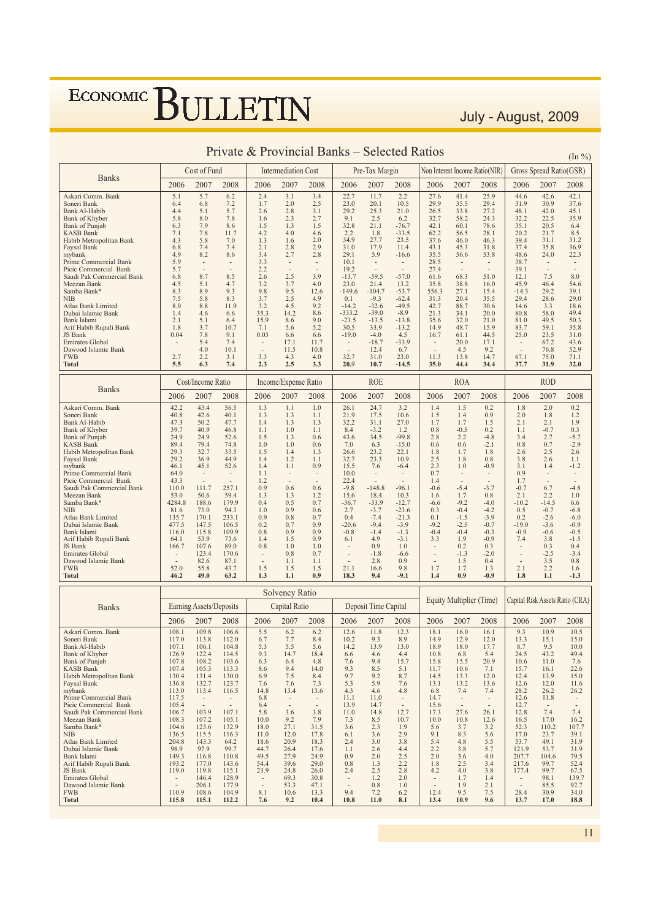#### Gross Spread Ratio(GSR) Cost of Fund Intermediation Cost Pre-Tax Margin Non Interest Income Ratio(NIR) **Banks** 2006 2007 2008 2006 2007 2008 2006 2007 2008 2006 2007 2008 2006 2007 2008 Askari Comm. Bank  $\overline{2.4}$  $\overline{22.7}$  $\overline{11}$  $\frac{1}{2.2}$  $\frac{27.6}{ }$  $41.4$  $\frac{25.9}{25.9}$  $44.6$  $42.6$  $42.1$  $5.1$  $5.7$  $6.2$  $3.1$  $3.4$ Soneri Bank  $64$ 6.8  $7.2$  $1<sub>7</sub>$  $20$  $25$  $230$  $201$  $10<sub>5</sub>$  $299$  $355$  $294$  $319$  $309$ 37.6  $2.8$ <br>2.3  $\frac{2.5}{3.1}$ <br>2.7  $^{23.0}_{29.2}$ <br>9.1  $25.3$ <br>25.3  $33.8$ <br> $58.2$  $42.0$ <br> $22.5$ Bank Al-Habib  $4.4$  $5.7$  $2.6$  $21.0$  $\frac{25.5}{26.5}$  $\frac{27.2}{27.2}$  $48.1$  $45.1$  $\frac{1.6}{1.5}$ <br> $\frac{4.2}{1.3}$  $5.8$  $7.8$  $32.7$  $32.2$ 35.9 Bank of Khyber 8.0 6.2  $24.3$  $7.9$ <br> $7.8$ <br> $5.8$  $32.8$ <br> $2.2$ <br> $34.9$  $-76.7$ <br> $-33.5$ <br> $23.5$  $20.5$ <br> $21.7$ <br> $31.1$  $6.3$ <br> $7.1$ <br> $4.3$  $\frac{8.6}{11.7}$  $78.6$ <br>28.1  $35.1$ <br> $20.2$ Bank of Punjab  $1<sup>2</sup>$  $1\overline{5}$  $211$  $42.1$  $60.1$ 6.4  $62.2$ <br> $37.6$ KASB Bank<br>KASB Bank<br>Habib Metropolitan Bank  $\frac{4.0}{1.6}$  $\frac{4.6}{2.0}$  $\frac{1.8}{27.7}$ 56.5  $8.5$ <br>31.2  $7<sub>0</sub>$  $460$  $463$ 394  $6.8$ <br> $4.9$ <br> $5.9$  $7.4$ <br>8.2  $2.1$ <br>3.4  $2.8$ <br>2.7  $43.1$ <br> $35.5$  $\frac{36.9}{22.3}$ Faysal Bank  $74$  $\frac{1}{2}$   $\frac{1}{2}$  $31.0$  $\frac{7}{17}$  0  $\frac{20}{11}$   $\frac{1}{4}$  $45.3$  $\frac{1010}{318}$  $374$  $\frac{3}{35}$  8  $2.8$  $^{21.0}_{29.1}$  $48.6$  $^{29.8}_{24.0}$  $8.6$  $5.9$  $56.6$ 53.8  $-16.6$ mybank  $3.3$ <br> $2.2$ <br> $2.6$ Prime Commercial Bank  $10<sup>1</sup>$  $285$  $387$ Prime Commercial Bank<br>Picic Commercial Bank<br>Saudi Pak Commercial Bank  $5.7$  $19.2$  $\frac{20.5}{27.4}$  $39.1$ 8.7  $2.5$  $3.9$ 68.3 6.8 8.5  $-13.7$  $-59.5$  $-57.0$ 51.0  $7.5$ 8.0 61.6  $12.1$ Meezan Bank<br>Samba Bank\*  $4.7$ <br>9.3  $3.2$ <br>9.8  $\frac{3.7}{3.7}$  $4.0$ <br>12.6  $13.2 - 53.7$ 38.8<br>27.1  $\frac{16.0}{15.4}$  $\frac{46.4}{29.2}$  $54.6$ <br>39.1  $4.5$  $5.1$  $230$  $21.4$  $358$  $45.9$  $8.9$  $-149.6$  $-104.7$ 556.3  $-14.3$ 8.3  $3.7$ <br> $3.2$ **NIB**  $7<sup>5</sup>$  $5.8$  $83$  $2.5$ 4.9  $0.1$  $-9.3$  $-62.4$  $31.3$  $20.4$  $355$ 29.4 28.6 29.0 Atlas Bank Limited  $8.0$  $8.8$  $11.9$  $4.5$  $9.2$  $-14.2$  $-32.6$  $-49.5$  $42.7$  $\frac{20}{88.7}$  $\frac{55}{30.6}$  $14.6$  $3.3$  $18.6$ Dubai Islamic Bank  $\frac{1.4}{2.1}$  $\frac{4.6}{5.1}$  $6.6$ <br> $6.4$  $35.3$ <br> $15.9$  $14.2$  $\frac{8.6}{9.0}$  $-333.2$ <br> $-23.5$  $-39.0$ <br> $-13.5$  $-8.9$ <br> $-13.8$  $\frac{21.3}{35.6}$  $34.1$ <br> $32.0$  $\frac{20.0}{21.0}$ 80.8 58.0 49.4 Bank Jelami  $86$  $810$  $405$  $503$ Arif Habib Rupali Bank<br>JS Bank  $\frac{2}{1.8}$  $\frac{3.1}{3.7}$  $10.7$  $7.1$ <br>0.03  $\frac{0.0}{5.6}$  $5.2$  $\frac{25.5}{30.5}$  $33.9$  $-13.8$  $14.9$  $48.7$  $\frac{21.0}{15.9}$  $83.7$ <br> $25.0$  $\frac{49.5}{59.1}$ <br>23.5  $\frac{30.5}{35.8}$  $0.04$ 78  $\frac{9.1}{7.4}$ 66 66  $-190$  $-40$  $45$  $167$ 61 1  $445$  $310$ Emirates Global  $67.2$ <br> $76.8$  $54$  $17.1$  $11.7$  $-18.7$  $-33.9$  $\frac{3}{20}$  $17.1$  $43.6$  $12.4$  $^{17.1}_{9.2}$  $52.9$ Dawood Islamic Bank  $4.0$  $10.1$  $11.5$  $10.8$ 6.7  $4.5$  $327$  $27$  $3<sup>2</sup>$  $23.0$ 67.1 **FWB**  $22$  $3<sub>1</sub>$  $43$  $40$  $310$  $113$  $13.8$  $147$  $750$  $711$ Total  $\overline{5.5}$  $\frac{1}{6.3}$  $7.4$  $2.3$  $2.5$  $\frac{1}{3.3}$  $20.9$  $10.7$  $-14.5$  $44.4$  $37.7$  $31.9$  $32.0$  $35.0$  $34.4$ Cost/Income Ratio Income/Expense Ratio **ROE ROA ROD Banks** 2007 2008 2007 2008 2007 2008 2007 2008 2006 2007 2008 2006 2006 2006 2006 Askari Comm. Bank  $42.2$ 43.4  $\frac{1}{56.5}$  $1.3$  $1.1$  $1.0$  $26.1$  $24.7$  $3.2$  $\overline{1.4}$  $\overline{1.5}$  $\overline{0.2}$  $\overline{1.8}$  $\overline{2.0}$  $\overline{0.2}$ Soneri Bank  $40s$  $426$  $401$  $1<sup>3</sup>$  $1<sup>2</sup>$  $11$  $219$  $175$  $10<sub>6</sub>$  $1\overline{5}$  $14$  $0.9$  $2.0$  $18$  $12$ Bank Al-Habib  $47.3$ <br> $39.7$  $\frac{50.2}{40.9}$  $\frac{47.7}{46.8}$  $\frac{1}{1.4}$  $\frac{1}{1.3}$  $\frac{1}{1.3}$  $\frac{21.5}{32.2}$  $\frac{1}{31.1}$  $27.0$  $\frac{1.7}{1.7}$  $\frac{0.5}{1.5}$  $\frac{2.0}{2.1}$  $2.1$ <br>-0.7  $\frac{1.2}{1.9}$  $1.0$  $1.2$  $0.8$  $0.2$  $1.1$  $0.3$ **Bank of Khyber**  $1.1$  $1.1$  $-3.2$ Bank of Punjab<br>KASB Bank  $249$  $249$  $526$  $1<sup>5</sup>$  $1<sup>2</sup>$  $0.6$  $43.6$ <br>7.0  $34.5$  $-99.8$  $28$  $2<sub>2</sub>$  $-4.8$ <br> $-2.1$  $34$  $2.7$ <br>0.7  $-5.7$ <br> $-2.9$  $\frac{21.7}{79.4}$  $74.8$  $\frac{1}{1.0}$  $\frac{2.8}{0.6}$  $0.6$  $0.8$  $89.4$  $1.0$  $0.6$  $6.3$ <br>23.2  $-15.0$ Habib Metropolitan Bank  $293$  $32'$  $335$  $1<sup>5</sup>$  $1\Delta$  $1<sup>2</sup>$ 26.6  $221$ 1.8  $17$  $18$  $26$  $25$  $26$  $\frac{20.0}{32.7}$ <br>15.5  $2.5$ <br>2.3  $1.1 - 1.2$ Faysal Bank  $29.2$  $rac{36.9}{36.9}$  $44.9$  $\frac{1}{1.4}$  $\frac{1}{1.2}$  $\frac{1}{1.1}$  $\frac{25.2}{23.3}$  $\frac{22.1}{10.9}$  $1.8$  $0.8$  $rac{2}{3.8}$  $\frac{2}{2.6}$  $45.1$ 52.6  $1.4$ 7.6 1.0  $-0.9$ mybank 46.1  $1.1$ 0.9  $-6.4$  $3.1$  $1.4$ Prime Commercial Bank  $64.0$  $1.1$  $\frac{10.0}{22.4}$  $0.7$  $0.9$ Picic Commercial Bank<br>Saudi Pak Commercial Bank  $43.3$ <br>110.0  $1.4 - 0.6$  $\frac{1.2}{0.9}$  $1.7 - 0.7$  $111.7$  $257.1$  $^{22.4}_{-9.8}$  $-148.8$  $-5.4$  $\frac{6.7}{2.2}$  $0.6$  $-96.1$  $-3.7$  $-4.8$  $0.6$  $\frac{0.8}{1.3}$ <br>0.5  $-0.0$ <br>1.6<br> $-6.6$  $1.7 - 9.2$ Meezan Bank  $530$  $506$  $50A$  $\frac{1}{3}$  $\overline{1}$  $156$  $184$  $103$  $0.8$  $21$  $\overline{10}$ Samba Bank\* 4284.8 188.6  $179.9$  $0.4$  $0.7$  $-36.7$  $-33.9$  $-12.7$  $-4.0$  $-10.2$  $-14.5$  $6.6$  $NIB$ 81.6 73.0 94.3  $1.0$ 0.9  $0.6$  $2.7$  $-3.7$  $-23.6$  $0.3$  $-0.4$  $-4.2$  $0.5$  $-0.7$  $-6.8$ Atlas Bank Limited 135.7<br>477.5  $\frac{170.1}{147.5}$  $0.7$ <br>0.9  $-7.4$ <br> $-9.4$  $-1.5$ <br> $-2.5$  $0.2$ <br>-19.0  $-2.6$ <br> $-3.6$ 233.1  $0.9$  $0.8$  $0.4$  $-21.3$  $0.1\,$  $-3.9$  $-6.0$ Dubai Islamic Bank  $0.2$  $-9.2$  $-0.7$  $-0.9$ 106.5  $0.7$  $-20.6$  $-3.9$  $0.8$ <br>1.4  $-0.4$ <br>1.9  $-0.9$ <br>7.4 Bank Islami  $116.0$  $115.8$  $109.9$  $0.9$  $0.9$  $-0.8$  $-1.4$  $-1.3$  $-0.4$  $-0.3$  $-0.6$  $-0.5$ Arif Habib Rupali Bank 53.9 73.6  $0.9$  $6.1$  $4.9$  $-3.1$  $3.3$  $-0.9$  $-1.5$ 64.1  $1.5$  $3.8$ JS Bank 166.7 107.6 89.0  $0.8$  $1.0$  $1.0$  $0.9$  $1.0$  $0.2$  $0.3$  $0.3$  $0.4$ Emirates Global  $123.4$ 170.6  $-1.8$  $-1.3$  $-2.0$  $-2.5$  $-3.4$  $0.8$  $0.7$  $-6.6$ Dawood Islamic Bank<br>FWB  $82.6$ <br>55.8  $87.1$ <br>43.7  $\frac{1.1}{1.5}$  $\frac{1.1}{1.5}$ 2.8  $\frac{0.9}{9.8}$  $\frac{1.5}{1.7}$  $0.4$ <br> $1.3$  $\frac{3.5}{2.2}$  $\frac{0.8}{1.6}$  $\overline{1.7}$  $\overline{2.1}$  $52.0$  $1.5$  $21.1$  $16.6$  $40.0$ Total  $46.7$  $63.2$  $\frac{1}{1}$  $\overline{1.1}$  $0.9$  $18.3$  $94$  $-9.1$  $0<sup>0</sup>$  $-0.9$  $\frac{1}{1}$  $11$  $-1.3$ Solvency Ratio Capital Risk Assets Ratio (CRA) **Equity Multiplier (Time)** Earning Assets/Deposits Capital Ratio Deposit Time Capital **Banks** 2006 2007 2008 2006 2007 2008 2006 2007 2008 2006 2007 2008 2006 2007 2008  $\frac{10.5}{ }$ Askari Comm Bank  $1081$  $109.8$  $1066$  $\frac{123}{3}$  $\overline{93}$  $109$  $55$ 6.2 62  $126$  $11.8$ 181  $160$  $161$ Soneri Bank<br>Bank Al-Habib  $6.7$ <br>5.3  $7.7$ <br> $5.5$  $1170$  $\frac{10}{2}$  $1120$  $\frac{87}{8}$  $102$  $rac{1}{9.3}$  $\frac{1}{8}$  0  $140$  $\frac{1000}{120}$  $12.0$  $13.3$  $15.1$  $150$  $\frac{11}{107.1}$  $13.9$  $\frac{0.9}{13.0}$  $\frac{12.9}{18.0}$  $\frac{12.0}{17.7}$  $^{13.1}_{9.5}$ 104.8  $5.6$  $14.2$ 18.9  $8.7$  $10.0$  $106.$  $9.3$  $6.6$ <br> $7.6$ <br> $9.3$  $6.8$ <br> $15.5$ <br> $10.6$  $24.5$ Bank of Khyber  $126.9$  $122.4$ 114.5  $14.7$ 18.4  $4.6$  $4.4$  $10.8$  $5.4$  $43.2$  $49.4$  $\frac{10.6}{15.8}$ Bank of Punjab  $\frac{107.8}{107.4}$  $\frac{1}{2}$  108.2  $103.6$  $6.3$  $6.4$ <br>9.4  $9.4$  $15.7$  $20.9$  $\frac{1}{10.6}$  $11.0$  $7.6$ <br>22.6  $4.8$ KASB Bank 105.3 113.3 8.6  $14.0$ 8.5  $5.1$  $11.7$  $7.1$ 15.7 16.1  $\begin{array}{c} 10.0 \\ 13.3 \\ 13.2 \\ 7.4 \end{array}$  $6.9$ <br>7.6  $7.5$ <br> $7.6$  $8.4$ <br>7.3  $9.7$ <br>5.3  $9.2$ <br>5.9 Habib Metropolitan Bank  $1304$  $1314$  $130.0$  $8.7$  $14.5$  $120$  $124$ 13.9  $150$ 123.7  $13.1$  $12.6$  $12.0$ Faysal Bank 132.7  $7.6$  $13.6$  $11.6$ 136.8  $14.8$  $13.4$  $m\nu$ hank  $113.0$  $113.4$  $1165$  $136$  $43$  $46$  $\overline{48}$ 6.8  $74$  $282$  $262$  $262$ Prime Commercial Bank  $117.5$  $11.1$  $11.0$  $14.7$  $\frac{20.2}{12.6}$  $11.8$ 6.8 Picic Commercial Bank<br>Saudi Pak Commercial Bank 105.4  $6.4$ <br>5.8  $\frac{13.9}{11.0}$  $\frac{14.7}{14.8}$  $\frac{15.6}{17.3}$  $\frac{12.7}{12.8}$  $1039$  $1071$  $\overline{36}$  $12.7$  $27.6$  $\overline{7.4}$  $38$  $261$  $74$  $106.7$ Meezan Bank  $108.3$  $\frac{107.2}{123.6}$  $\frac{105.1}{132.9}$  $10.0$  $\frac{9.2}{27.1}$  $\frac{7.9}{31.5}$  $7.3$ <br>3.6  $\frac{8.5}{2.3}$  $10.7$  $10.0$  $10.8$  $\frac{201}{12.6}$  $\frac{12.8}{16.5}$ <br>52.3  $\frac{17.0}{110.2}$  $\frac{16.2}{107.7}$ Samba Bank  $1046$  $32$  $180$  $19$ 5.6  $37$  $6.1$ <br>2.4  $\frac{5.2}{5.6}$  $NIR$  $136<sup>4</sup>$  $\frac{1}{115}$  5  $116.3$  $11.0$  $\frac{7}{12}$  0  $17.8$  $\frac{2}{3.6}$  $\frac{1}{2}$   $\frac{1}{9}$  $9.1$  $8.3$  $17.0$  $\frac{110}{23}$  $\frac{20}{30}$  1 Atlas Bank Limited<br>Dubai Islamic Bank  $5.4$ <br>2.2  $204.8$  $\frac{115.5}{143.3}$  $\frac{12.0}{20.9}$  $\frac{17.8}{18.3}$  $\frac{3.0}{3.0}$  $4.8$  $49.1$  $31.9$ 18.6  $3.8$  $53.7$ 64.2  $121.9$ 98.9 97.9 99.7 44.7  $26.4$ 17.6  $1.1$  $2.6$  $4.4$  $3.8$  $5.7$ 53.7 31.9 Buoar Islami<br>Bank Islami<br>Arif Habib Rupali Bank  $149.3$  $116.8$  $110.8$  $49.5$  $27.9$ <br>39.6  $24.9$ <br>29.0  $0.9$  $\frac{2.0}{2.0}$  $2.5$ <br> $2.2$  $\frac{2.5}{2.0}$  $3.6$ <br>2.5  $4.0$  $\frac{207.7}{217.6}$  $104.6$  $79.5$ <br> $52.4$ 193.2 177.0  $1.3$ 99.7 143.6 54.4  $0.8$ 1.8  $3.4$  $67.5$ <br>139.7 IS Bank  $119.0$  $119.8$  $115.1$  $23.9$  $24.8$  $26.0$  $24$  $25$  $\frac{1}{2}$  $4.2$  $4.0$  $3.8$ 177.4  $99.7$ Emirates Global  $\frac{11}{2}$  $69.3$  $\frac{20.0}{30.8}$  $\frac{1}{1.2}$ 128.9  $2.0$ 98.1  $1.4$  $1.7$ Dawood Islamic Bank 206.1 177.9  $533$  $\frac{47.1}{13.3}$  $0.8$  $\frac{1.0}{6.2}$  $\frac{1.9}{9.5}$  $\frac{2.1}{7.5}$  $\frac{85.5}{30.9}$ 92.7  $EWR$  $\overline{8}$  1  $\overline{12}$   $\overline{4}$  $284$  $\frac{22.7}{34.0}$  $110.9$  $\frac{200}{108}$  6  $104.9$  $10.6$  $Q \triangleq A$  $\frac{100.0}{115.1}$  $\overline{11.0}$  $\frac{0.2}{8.1}$  $T<sub>ot</sub>$  $115.8$  $112.2$  $\frac{10}{9.2}$  $\frac{10.3}{10.4}$  $10.8$  $13.4$  $10.9$  $0.6$  $\frac{100}{13.7}$  $17.0$  $18.8$

#### Private & Provincial Banks – Selected Ratios

 $(\text{In } \% )$ 

July - August, 2009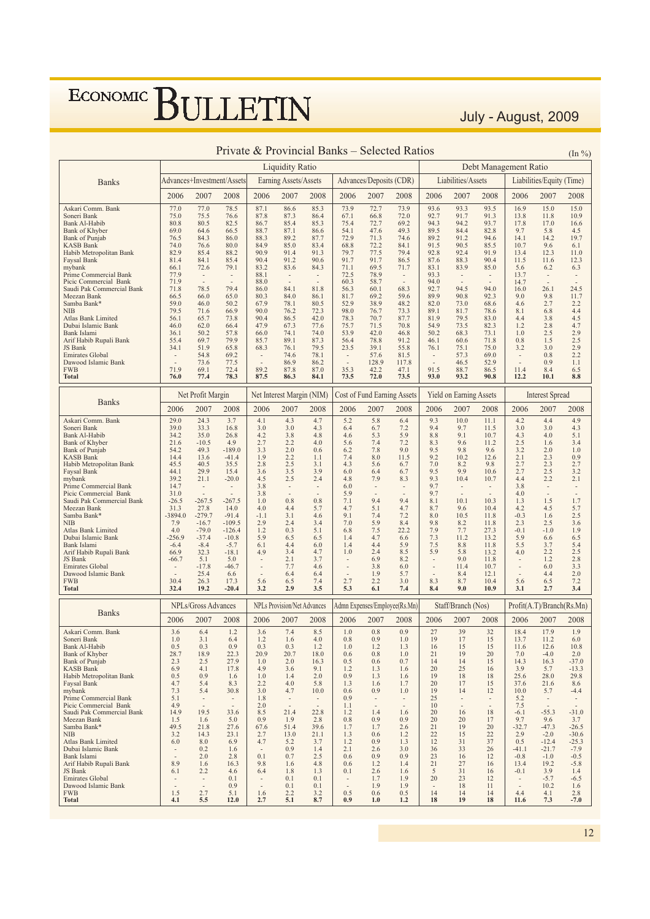July - August, 2009

|                                                    |                                                      |                                                      |                            |                                                      |                                    |                                  |                                                      |                                    | Private & Provincial Banks - Selected Ratios |                                                      |                                |                                |                                                      |                           | $(\ln \frac{9}{6})$                 |
|----------------------------------------------------|------------------------------------------------------|------------------------------------------------------|----------------------------|------------------------------------------------------|------------------------------------|----------------------------------|------------------------------------------------------|------------------------------------|----------------------------------------------|------------------------------------------------------|--------------------------------|--------------------------------|------------------------------------------------------|---------------------------|-------------------------------------|
|                                                    |                                                      |                                                      |                            |                                                      | <b>Liquidity Ratio</b>             |                                  |                                                      |                                    |                                              |                                                      |                                | Debt Management Ratio          |                                                      |                           |                                     |
| <b>Banks</b>                                       |                                                      |                                                      | Advances+Investment/Assets |                                                      | Earning Assets/Assets              |                                  |                                                      | Advances/Deposits (CDR)            |                                              |                                                      | Liabilities/Assets             |                                |                                                      | Liabilities/Equity (Time) |                                     |
|                                                    | 2006                                                 | 2007                                                 | 2008                       | 2006                                                 | 2007                               | 2008                             | 2006                                                 | 2007                               | 2008                                         | 2006                                                 | 2007                           | 2008                           | 2006                                                 | 2007                      | 2008                                |
| Askari Comm. Bank                                  | 77.0                                                 | 77.0                                                 | 78.5                       | 87.1                                                 | 86.6                               | 85.3                             | 73.9                                                 | 72.7                               | 73.9                                         | 93.6                                                 | 93.3                           | 93.5                           | 16.9                                                 | 15.0                      | 15.0                                |
| Soneri Bank<br>Bank Al-Habib                       | 75.0<br>80.8                                         | 75.5<br>80.5                                         | 76.6<br>82.5               | 87.8<br>86.7                                         | 87.3<br>85.4                       | 86.4<br>85.3                     | 67.1<br>75.4                                         | 66.8<br>72.7                       | 72.0<br>69.2                                 | 92.7<br>94.3                                         | 91.7<br>94.2                   | 91.3<br>93.7                   | 13.8<br>17.8                                         | 11.8<br>17.0              | 10.9<br>16.6                        |
| Bank of Khyber                                     | 69.0                                                 | 64.6                                                 | 66.5                       | 88.7                                                 | 87.1                               | 86.6                             | 54.1                                                 | 47.6                               | 49.3                                         | 89.5                                                 | 84.4                           | 82.8                           | 9.7                                                  | 5.8                       | 4.5                                 |
| Bank of Punjab<br>KASB Bank                        | 76.5<br>74.0                                         | 84.3<br>76.6                                         | 86.0<br>80.0               | 88.3<br>84.9                                         | 89.2<br>85.0                       | 87.7<br>83.4                     | 72.9<br>68.8                                         | 71.3<br>72.2                       | 74.6<br>84.1                                 | 89.2<br>91.5                                         | 91.2<br>90.5                   | 94.6<br>85.5                   | 14.1<br>10.7                                         | 14.2<br>9.6               | 19.7<br>6.1                         |
| Habib Metropolitan Bank                            | 82.9                                                 | 85.4                                                 | 88.2                       | 90.9                                                 | 91.4                               | 91.3                             | 79.7                                                 | 77.5                               | 79.4                                         | 92.8                                                 | 92.4                           | 91.9                           | 13.4                                                 | 12.3                      | 11.0                                |
| Faysal Bank<br>mybank                              | 81.4<br>66.1                                         | 84.1<br>72.6                                         | 85.4<br>79.1               | 90.4<br>83.2                                         | 91.2<br>83.6                       | 90.6<br>84.3                     | 91.7<br>71.1                                         | 91.7<br>69.5                       | 86.5<br>71.7                                 | 87.6<br>83.1                                         | 88.3<br>83.9                   | 90.4<br>85.0                   | 11.5<br>5.6                                          | 11.6<br>6.2               | 12.3<br>6.3                         |
| Prime Commercial Bank                              | 77.9                                                 | $\overline{\phantom{a}}$                             | $\overline{\phantom{a}}$   | 88.1                                                 | $\overline{\phantom{a}}$           | $\overline{\phantom{a}}$         | 72.5                                                 | 78.9                               | $\overline{\phantom{a}}$                     | 93.3                                                 | $\overline{\phantom{a}}$       | $\overline{\phantom{a}}$       | 13.7                                                 | $\overline{\phantom{a}}$  | $\overline{\phantom{a}}$            |
| Picic Commercial Bank                              | 71.9                                                 |                                                      |                            | 88.0                                                 |                                    |                                  | 60.3                                                 | 58.7                               |                                              | 94.0                                                 |                                |                                | 14.7                                                 |                           |                                     |
| Saudi Pak Commercial Bank<br>Meezan Bank           | 71.8<br>66.5                                         | 78.5<br>66.0                                         | 79.4<br>65.0               | 86.0<br>80.3                                         | 84.1<br>84.0                       | 81.8<br>86.1                     | 56.3<br>81.7                                         | 60.1<br>69.2                       | 68.3<br>59.6                                 | 92.7<br>89.9                                         | 94.5<br>90.8                   | 94.0<br>92.3                   | 16.0<br>9.0                                          | 26.1<br>9.8               | 24.5<br>11.7                        |
| Samba Bank*                                        | 59.0                                                 | 46.0                                                 | 50.2                       | 67.9                                                 | 78.1                               | 80.5                             | 52.9                                                 | 38.9                               | 48.2                                         | 82.0                                                 | 73.0                           | 68.6                           | 4.6                                                  | 2.7                       | 2.2                                 |
| <b>NIB</b><br>Atlas Bank Limited                   | 79.5<br>56.1                                         | 71.6<br>65.7                                         | 66.9<br>73.8               | 90.0<br>90.4                                         | 76.2<br>86.5                       | 72.3<br>42.0                     | 98.0<br>78.3                                         | 76.7<br>70.7                       | 73.3<br>87.7                                 | 89.1<br>81.9                                         | 81.7<br>79.5                   | 78.6<br>83.0                   | 8.1<br>4.4                                           | 6.8<br>3.8                | 4.4<br>4.5                          |
| Dubai Islamic Bank                                 | 46.0                                                 | 62.0                                                 | 66.4                       | 47.9                                                 | 67.3                               | 77.6                             | 75.7                                                 | 71.5                               | 70.8                                         | 54.9                                                 | 73.5                           | 82.3                           | 1.2                                                  | 2.8                       | 4.7                                 |
| Bank Islami                                        | 36.1                                                 | 50.2                                                 | 57.8                       | 66.0                                                 | 74.1                               | 74.0                             | 53.9                                                 | 42.0                               | 46.8                                         | 50.2                                                 | 68.3                           | 73.1                           | 1.0                                                  | 2.5                       | 2.9                                 |
| Arif Habib Rupali Bank<br>JS Bank                  | 55.4<br>34.1                                         | 69.7<br>51.9                                         | 79.9<br>65.8               | 85.7<br>68.3                                         | 89.1<br>76.1                       | 87.3<br>79.5                     | 56.4<br>23.5                                         | 78.8<br>39.1                       | 91.2<br>55.8                                 | 46.1<br>76.1                                         | 60.6<br>75.1                   | 71.8<br>75.0                   | 0.8<br>3.2                                           | 1.5<br>3.0                | 2.5<br>2.9                          |
| <b>Emirates Global</b>                             | $\overline{\phantom{a}}$                             | 54.8                                                 | 69.2                       | $\overline{\phantom{a}}$                             | 74.6                               | 78.1                             | $\overline{\phantom{a}}$                             | 57.6                               | 81.5                                         | $\overline{\phantom{a}}$                             | 57.3                           | 69.0                           | $\overline{\phantom{a}}$                             | 0.8                       | 2.2                                 |
| Dawood Islamic Bank<br><b>FWB</b>                  | 71.9                                                 | 73.6<br>69.1                                         | 77.5<br>72.4               | 89.2                                                 | 86.9<br>87.8                       | 86.2<br>87.0                     | $\overline{a}$<br>35.3                               | 128.9<br>42.2                      | 117.8<br>47.1                                | 91.5                                                 | 46.5<br>88.7                   | 52.9<br>86.5                   | 11.4                                                 | 0.9<br>8.4                | 1.1<br>6.5                          |
| <b>Total</b>                                       | 76.0                                                 | 77.4                                                 | 78.3                       | 87.5                                                 | 86.3                               | 84.1                             | 73.5                                                 | 72.0                               | 73.5                                         | 93.0                                                 | 93.2                           | 90.8                           | 12.2                                                 | 10.1                      | 8.8                                 |
|                                                    |                                                      | Net Profit Margin                                    |                            |                                                      | Net Interest Margin (NIM)          |                                  |                                                      | <b>Cost of Fund Earning Assets</b> |                                              |                                                      | Yield on Earning Assets        |                                |                                                      | <b>Interest Spread</b>    |                                     |
| <b>Banks</b>                                       | 2006                                                 | 2007                                                 | 2008                       | 2006                                                 | 2007                               | 2008                             | 2006                                                 | 2007                               | 2008                                         | 2006                                                 | 2007                           | 2008                           | 2006                                                 | 2007                      | 2008                                |
| Askari Comm. Bank                                  | 29.0                                                 | 24.3                                                 | 3.7                        | 4.1                                                  | 4.3                                | 4.7                              | 5.2                                                  | 5.8                                | 6.4                                          | 9.3                                                  | 10.0                           | 11.1                           | 4.2                                                  | 4.4                       | 4.9                                 |
| Soneri Bank<br>Bank Al-Habib                       | 39.0<br>34.2                                         | 33.3<br>35.0                                         | 16.8<br>26.8               | 3.0<br>4.2                                           | 3.0<br>3.8                         | 4.3<br>4.8                       | 6.4<br>4.6                                           | 6.7<br>5.3                         | 7.2<br>5.9                                   | 9.4<br>8.8                                           | 9.7<br>9.1                     | 11.5<br>10.7                   | 3.0<br>4.3                                           | 3.0<br>4.0                | 4.3<br>5.1                          |
| Bank of Khyber                                     | 21.6                                                 | $-10.5$                                              | 4.9                        | 2.7                                                  | 2.2                                | 4.0                              | 5.6                                                  | 7.4                                | 7.2                                          | 8.3                                                  | 9.6                            | 11.2                           | 2.5                                                  | 1.6                       | 3.4                                 |
| Bank of Punjab<br>KASB Bank                        | 54.2<br>14.4                                         | 49.3<br>13.6                                         | $-189.0$<br>$-41.4$        | 3.3<br>1.9                                           | 2.0<br>2.2                         | 0.6<br>1.1                       | 6.2<br>7.4                                           | 7.8<br>8.0                         | 9.0<br>11.5                                  | 9.5<br>9.2                                           | 9.8<br>10.2                    | 9.6<br>12.6                    | 3.2<br>2.1                                           | 2.0<br>2.3                | 1.0<br>0.9                          |
| Habib Metropolitan Bank                            | 45.5                                                 | 40.5                                                 | 35.5                       | 2.8                                                  | 2.5                                | 3.1                              | 4.3                                                  | 5.6                                | 6.7                                          | 7.0                                                  | 8.2                            | 9.8                            | 2.7                                                  | 2.3                       | 2.7                                 |
| Faysal Bank<br>mybank                              | 44.1<br>39.2                                         | 29.9<br>21.1                                         | 15.4<br>$-20.0$            | 3.6<br>4.5                                           | 3.5<br>2.5                         | 3.9<br>2.4                       | 6.0<br>4.8                                           | 6.4<br>7.9                         | 6.7<br>8.3                                   | 9.5<br>9.3                                           | 9.9<br>10.4                    | 10.6<br>10.7                   | 2.7<br>4.4                                           | 2.5<br>2.2                | 3.2<br>2.1                          |
| Prime Commercial Bank                              | 14.7                                                 | $\overline{\phantom{a}}$                             | $\overline{\phantom{a}}$   | 3.8                                                  | $\overline{\phantom{a}}$           | $\overline{a}$                   | 6.0                                                  | $\overline{\phantom{a}}$           | $\overline{\phantom{a}}$                     | 9.7                                                  | $\overline{\phantom{a}}$       | $\overline{\phantom{a}}$       | 3.8                                                  | $\overline{\phantom{a}}$  | $\overline{\phantom{a}}$            |
| Picic Commercial Bank                              | 31.0<br>$-26.5$                                      | $-267.5$                                             | $-267.5$                   | 3.8<br>1.0                                           | 0.8                                | 0.8                              | 5.9<br>7.1                                           | 9.4                                | 9.4                                          | 9.7<br>8.1                                           | 10.1                           | 10.3                           | 4.0<br>1.3                                           | ÷,<br>1.5                 | 1.7                                 |
| Saudi Pak Commercial Bank<br>Meezan Bank           | 31.3                                                 | 27.8                                                 | 14.0                       | 4.0                                                  | 4.4                                | 5.7                              | 4.7                                                  | 5.1                                | 4.7                                          | 8.7                                                  | 9.6                            | 10.4                           | 4.2                                                  | 4.5                       | 5.7                                 |
| Samba Bank*                                        | $-3894.0$                                            | $-279.7$                                             | $-91.4$                    | $-1.1$                                               | 3.1                                | 4.6                              | 9.1                                                  | 7.4                                | 7.2                                          | 8.0                                                  | 10.5                           | 11.8                           | $-0.3$                                               | 1.6                       | 2.5                                 |
| <b>NIB</b><br>Atlas Bank Limited                   | 7.9<br>4.0                                           | $-16.7$<br>$-79.0$                                   | $-109.5$<br>$-126.4$       | 2.9<br>1.2                                           | 2.4<br>0.3                         | 3.4<br>5.1                       | 7.0<br>6.8                                           | 5.9<br>7.5                         | 8.4<br>22.2                                  | 9.8<br>7.9                                           | 8.2<br>7.7                     | 11.8<br>27.3                   | 2.3<br>$-0.1$                                        | 2.5<br>$-1.0$             | 3.6<br>1.9                          |
| Dubai Islamic Bank                                 | $-256.9$                                             | $-37.4$                                              | $-10.8$                    | 5.9                                                  | 6.5                                | 6.5                              | 1.4                                                  | 4.7                                | 6.6                                          | 7.3                                                  | 11.2                           | 13.2                           | 5.9                                                  | 6.6                       | 6.5                                 |
| Bank Islami<br>Arif Habib Rupali Bank              | $-6.4$<br>66.9                                       | $-8.4$<br>32.3                                       | $-5.7$<br>$-18.1$          | 6.1<br>4.9                                           | 4.4<br>3.4                         | 6.0<br>4.7                       | 1.4<br>1.0                                           | 4.4<br>2.4                         | 5.9<br>8.5                                   | 7.5<br>5.9                                           | 8.8<br>5.8                     | 11.8<br>13.2                   | 5.5<br>4.0                                           | 3.7<br>2.2                | 5.4<br>2.5                          |
| JS Bank                                            | $-66.7$                                              | 5.1                                                  | 5.0                        | $\overline{\phantom{a}}$                             | 2.1                                | 3.7                              | $\overline{\phantom{m}}$                             | 6.9                                | 8.2                                          | $\overline{\phantom{a}}$                             | 9.0                            | 11.8                           | $\overline{\phantom{a}}$                             | 1.2                       | 2.8                                 |
| <b>Emirates Global</b><br>Dawood Islamic Bank      |                                                      | $-17.8$<br>25.4                                      | $-46.7$<br>6.6             | $\overline{\phantom{a}}$<br>$\overline{\phantom{a}}$ | 7.7<br>6.4                         | 4.6<br>6.4                       | $\overline{\phantom{m}}$<br>$\overline{\phantom{a}}$ | 3.8<br>1.9                         | 6.0<br>5.7                                   | $\overline{\phantom{a}}$<br>$\overline{\phantom{a}}$ | 11.4<br>8.4                    | 10.7<br>12.1                   | $\centerdot$<br>$\sim$                               | 6.0<br>4.4                | 3.3<br>2.0                          |
| <b>FWB</b>                                         | 30.4                                                 | 26.3                                                 | 17.3                       | 5.6                                                  | 6.5                                | 7.4                              | 2.7                                                  | 2.2                                | 3.0                                          | 8.3                                                  | 8.7                            | 10.4                           | 5.6                                                  | 6.5                       | 7.2                                 |
| <b>Total</b>                                       | 32.4                                                 | 19.2                                                 | $-20.4$                    | 3.2                                                  | 2.9                                | 3.5                              | 5.3                                                  | 6.1                                | 7.4                                          | 8.4                                                  | 9.0                            | 10.9                           | 3.1                                                  | 2.7                       | 3.4                                 |
| <b>Banks</b>                                       |                                                      | <b>NPLs/Gross Advances</b>                           |                            |                                                      | <b>NPLs Provision/Net Advances</b> |                                  |                                                      |                                    | Admn Expenses/Employee(Rs.Mn)                |                                                      | Staff/Branch (Nos)             |                                |                                                      | Profit(A.T)/Branch(Rs.Mn) |                                     |
|                                                    | 2006                                                 | 2007                                                 | 2008                       | 2006                                                 | 2007                               | 2008                             | 2006                                                 | 2007                               | 2008                                         | 2006                                                 | 2007                           | 2008                           | 2006                                                 | 2007                      | 2008                                |
| Askari Comm. Bank<br>Soneri Bank                   | 3.6<br>1.0                                           | 6.4<br>3.1                                           | 1.2<br>6.4                 | 3.6<br>1.2                                           | 7.4<br>1.6                         | 8.5<br>4.0                       | 1.0<br>0.8                                           | 0.8<br>0.9                         | 0.9<br>1.0                                   | 27<br>19                                             | 39<br>17                       | 32<br>15                       | 18.4<br>13.7                                         | 17.9<br>11.2              | 1.9<br>6.0                          |
| Bank Al-Habib                                      | 0.5                                                  | 0.3                                                  | 0.9                        | 0.3                                                  | 0.3                                | 1.2                              | 1.0                                                  | 1.2                                | 1.3                                          | 16                                                   | 15                             | 15                             | 11.6                                                 | 12.6                      | 10.8                                |
| Bank of Khyber<br><b>Bank</b> of Punjab            | 28.7<br>2.3                                          | 18.9<br>2.5                                          | 22.3<br>27.9               | 20.9<br>1.0                                          | 20.7<br>2.0                        | 18.0<br>16.3                     | 0.6<br>0.5                                           | 0.8<br>0.6                         | 1.0<br>0.7                                   | 21<br>14                                             | 19<br>14                       | 20<br>15                       | 7.0<br>14.3                                          | $-4.0$<br>16.3            | 2.0<br>$-37.0$                      |
| <b>KASB Bank</b>                                   | 6.9                                                  | 4.1                                                  | 17.8                       | 4.9                                                  | 3.6                                | 9.1                              | 1.2                                                  | 1.3                                | 1.6                                          | 20                                                   | 25                             | 16                             | 3.9                                                  | 5.7                       | $-13.3$                             |
| Habib Metropolitan Bank                            | 0.5                                                  | 0.9                                                  | 1.6                        | 1.0                                                  | 1.4                                | 2.0                              | 0.9                                                  | 1.3                                | 1.6                                          | 19                                                   | 18                             | 18                             | 25.6                                                 | 28.0                      | 29.8                                |
| Faysal Bank<br>mybank                              | 4.7<br>7.3                                           | 5.4<br>5.4                                           | 8.3<br>30.8                | 2.2<br>3.0                                           | 4.0<br>4.7                         | 5.8<br>10.0                      | 1.3<br>0.6                                           | 1.6<br>0.9                         | 1.7<br>1.0                                   | 20<br>19                                             | 17<br>14                       | 15<br>12                       | 37.6<br>10.0                                         | 21.6<br>5.7               | 8.6<br>$-4.4$                       |
| Prime Commercial Bank                              | 5.1                                                  | $\overline{\phantom{a}}$                             | $\overline{\phantom{a}}$   | 1.8                                                  | $\sim$                             | $\overline{\phantom{a}}$         | 0.9                                                  | $\overline{\phantom{a}}$           | $\overline{\phantom{a}}$                     | 25                                                   | $\overline{\phantom{a}}$       | $\overline{\phantom{a}}$       | 5.2                                                  | $\overline{\phantom{a}}$  |                                     |
| Picic Commercial Bank<br>Saudi Pak Commercial Bank | 4.9<br>14.9                                          | $\overline{\phantom{a}}$<br>19.5                     | $\sim$<br>33.6             | 2.0<br>8.5                                           | $\sim$<br>21.4                     | $\overline{\phantom{a}}$<br>22.8 | 1.1<br>1.2                                           | $\overline{\phantom{a}}$<br>1.4    | $\sim$<br>1.6                                | 10<br>20                                             | $\overline{\phantom{a}}$<br>16 | $\overline{\phantom{a}}$<br>18 | 7.5<br>$-6.1$                                        | $\sim$<br>$-55.3$         | $\overline{\phantom{a}}$<br>$-31.0$ |
| Meezan Bank                                        | 1.5                                                  | 1.6                                                  | 5.0                        | 0.9                                                  | 1.9                                | 2.8                              | 0.8                                                  | 0.9                                | 0.9                                          | 20                                                   | 20                             | 17                             | 9.7                                                  | 9.6                       | 3.7                                 |
| Samba Bank*<br><b>NIB</b>                          | 49.5<br>3.2                                          | 21.8<br>14.3                                         | 27.6<br>23.1               | 67.6<br>2.7                                          | 51.4<br>13.0                       | 39.6<br>21.1                     | 1.7<br>1.3                                           | 1.7<br>0.6                         | 2.6<br>1.2                                   | 21<br>22                                             | 19<br>15                       | 20<br>22                       | $-32.7$<br>2.9                                       | $-47.3$<br>$-2.0$         | $-26.5$<br>$-30.6$                  |
| Atlas Bank Limited                                 | 6.0                                                  | 8.0                                                  | 6.9                        | 4.7                                                  | 5.2                                | 3.7                              | 1.2                                                  | 0.9                                | 1.3                                          | 12                                                   | 31                             | 37                             | 0.5                                                  | $-12.4$                   | $-25.3$                             |
| Dubai Islamic Bank<br>Bank Islami                  | $\overline{\phantom{a}}$<br>$\sim$                   | 0.2<br>2.0                                           | 1.6<br>2.8                 | $\overline{\phantom{a}}$<br>0.1                      | 0.9<br>0.7                         | 1.4<br>2.5                       | 2.1<br>0.6                                           | 2.6<br>0.9                         | 3.0<br>0.9                                   | 36<br>23                                             | 33<br>16                       | 26<br>12                       | $-41.1$<br>$-0.8$                                    | $-21.7$<br>$-1.0$         | $-7.9$<br>$-0.5$                    |
| Arif Habib Rupali Bank                             | 8.9                                                  | 1.6                                                  | 16.3                       | 9.8                                                  | 1.6                                | 4.8                              | 0.6                                                  | 1.2                                | 1.4                                          | 21                                                   | 27                             | 16                             | 13.4                                                 | 19.2                      | $-5.8$                              |
| JS Bank                                            | 6.1                                                  | 2.2                                                  | 4.6                        | 6.4                                                  | 1.8                                | 1.3                              | 0.1                                                  | 2.6                                | 1.6                                          | 5                                                    | 31                             | 16                             | $-0.1$                                               | 3.9                       | 1.4                                 |
| <b>Emirates Global</b><br>Dawood Islamic Bank      | $\overline{\phantom{a}}$<br>$\overline{\phantom{a}}$ | $\overline{\phantom{a}}$<br>$\overline{\phantom{a}}$ | 0.1<br>0.9                 | $\overline{\phantom{a}}$<br>$\overline{\phantom{a}}$ | 0.1<br>0.1                         | 0.1<br>0.1                       | $\overline{\phantom{a}}$<br>$\overline{a}$           | 1.7<br>1.9                         | 1.9<br>1.9                                   | 20<br>$\overline{\phantom{a}}$                       | 23<br>18                       | 12<br>11                       | $\overline{\phantom{a}}$<br>$\overline{\phantom{a}}$ | $-5.7$<br>10.2            | $-6.5$<br>1.6                       |
| <b>FWB</b>                                         | 1.5                                                  | 2.7                                                  | 5.1                        | 1.6                                                  | 2.2                                | 3.2                              | 0.5                                                  | 0.6                                | 0.5                                          | 14                                                   | 14                             | 14                             | 4.4                                                  | 4.1                       | 2.8                                 |
| <b>Total</b>                                       | 4.1                                                  | 5.5                                                  | 12.0                       | 2.7                                                  | 5.1                                | 8.7                              | 0.9                                                  | 1.0                                | 1.2                                          | 18                                                   | 19                             | 18                             | 11.6                                                 | 7.3                       | $-7.0$                              |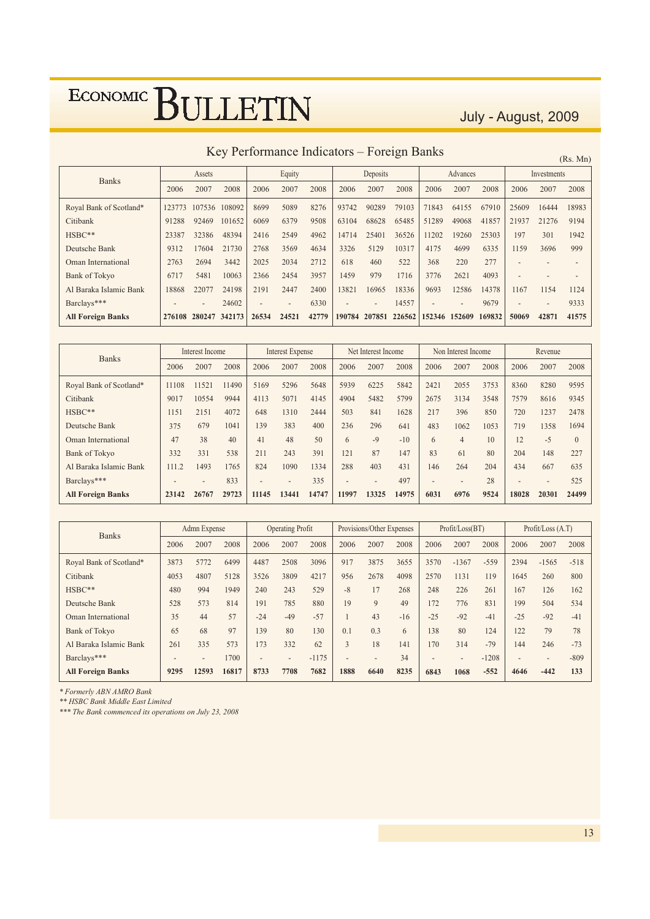July - August, 2009

Key Performance Indicators - Foreign Banks

|                          |        |                 | ISCY I CHOHIRAHOO INGIOACOTS |       |                          |       |        |                          | T OIVIGH DUIINS |                          |                          |        |                          |                          | (Rs. Mn) |
|--------------------------|--------|-----------------|------------------------------|-------|--------------------------|-------|--------|--------------------------|-----------------|--------------------------|--------------------------|--------|--------------------------|--------------------------|----------|
| <b>Banks</b>             |        | Assets          |                              |       | Equity                   |       |        | Deposits                 |                 |                          | Advances                 |        |                          | Investments              |          |
|                          | 2006   | 2007            | 2008                         | 2006  | 2007                     | 2008  | 2006   | 2007                     | 2008            | 2006                     | 2007                     | 2008   | 2006                     | 2007                     | 2008     |
| Royal Bank of Scotland*  | 123773 | 107536          | 108092                       | 8699  | 5089                     | 8276  | 93742  | 90289                    | 79103           | 71843                    | 64155                    | 67910  | 25609                    | 16444                    | 18983    |
| Citibank                 | 91288  | 92469           | 101652                       | 6069  | 6379                     | 9508  | 63104  | 68628                    | 65485           | 51289                    | 49068                    | 41857  | 21937                    | 21276                    | 9194     |
| HSBC**                   | 23387  | 32386           | 48394                        | 2416  | 2549                     | 4962  | 14714  | 25401                    | 36526           | 1202                     | 19260                    | 25303  | 197                      | 301                      | 1942     |
| Deutsche Bank            | 9312   | 17604           | 21730                        | 2768  | 3569                     | 4634  | 3326   | 5129                     | 10317           | 4175                     | 4699                     | 6335   | 1159                     | 3696                     | 999      |
| Oman International       | 2763   | 2694            | 3442                         | 2025  | 2034                     | 2712  | 618    | 460                      | 522             | 368                      | 220                      | 277    |                          |                          |          |
| Bank of Tokyo            | 6717   | 5481            | 10063                        | 2366  | 2454                     | 3957  | 1459   | 979                      | 1716            | 3776                     | 2621                     | 4093   | $\overline{\phantom{0}}$ |                          |          |
| Al Baraka Islamic Bank   | 18868  | 22077           | 24198                        | 2191  | 2447                     | 2400  | 13821  | 16965                    | 18336           | 9693                     | 12586                    | 14378  | 1167                     | 1154                     | 1124     |
| Barclays***              |        | $\qquad \qquad$ | 24602                        |       | $\overline{\phantom{0}}$ | 6330  |        | $\overline{\phantom{0}}$ | 14557           | $\overline{\phantom{a}}$ | $\overline{\phantom{0}}$ | 9679   | $\overline{\phantom{a}}$ | $\overline{\phantom{a}}$ | 9333     |
| <b>All Foreign Banks</b> | 276108 | 280247 342173   |                              | 26534 | 24521                    | 42779 | 190784 | 207851                   | 226562          |                          | 152346 152609            | 169832 | 50069                    | 42871                    | 41575    |

| <b>Banks</b>             |       | Interest Income |       |                          | <b>Interest Expense</b>  |       |                          | Net Interest Income      |       |                          | Non Interest Income |      |       | Revenue                  |          |
|--------------------------|-------|-----------------|-------|--------------------------|--------------------------|-------|--------------------------|--------------------------|-------|--------------------------|---------------------|------|-------|--------------------------|----------|
|                          | 2006  | 2007            | 2008  | 2006                     | 2007                     | 2008  | 2006                     | 2007                     | 2008  | 2006                     | 2007                | 2008 | 2006  | 2007                     | 2008     |
| Royal Bank of Scotland*  | 11108 | 11521           | 11490 | 5169                     | 5296                     | 5648  | 5939                     | 6225                     | 5842  | 2421                     | 2055                | 3753 | 8360  | 8280                     | 9595     |
| Citibank                 | 9017  | 10554           | 9944  | 4113                     | 5071                     | 4145  | 4904                     | 5482                     | 5799  | 2675                     | 3134                | 3548 | 7579  | 8616                     | 9345     |
| $HSBC**$                 | 1151  | 2151            | 4072  | 648                      | 1310                     | 2444  | 503                      | 841                      | 1628  | 217                      | 396                 | 850  | 720   | 1237                     | 2478     |
| Deutsche Bank            | 375   | 679             | 1041  | 139                      | 383                      | 400   | 236                      | 296                      | 641   | 483                      | 1062                | 1053 | 719   | 1358                     | 1694     |
| Oman International       | 47    | 38              | 40    | 41                       | 48                       | 50    | 6                        | $-9$                     | $-10$ | 6                        | $\overline{4}$      | 10   | 12    | $-5$                     | $\Omega$ |
| <b>Bank of Tokyo</b>     | 332   | 331             | 538   | 211                      | 243                      | 391   | 121                      | 87                       | 147   | 83                       | 61                  | 80   | 204   | 148                      | 227      |
| Al Baraka Islamic Bank   | 111.2 | 1493            | 1765  | 824                      | 1090                     | 1334  | 288                      | 403                      | 431   | 146                      | 264                 | 204  | 434   | 667                      | 635      |
| Barclays***              |       |                 | 833   | $\overline{\phantom{0}}$ | $\overline{\phantom{a}}$ | 335   | $\overline{\phantom{a}}$ | $\overline{\phantom{0}}$ | 497   | $\overline{\phantom{a}}$ | $\overline{a}$      | 28   |       | $\overline{\phantom{a}}$ | 525      |
| <b>All Foreign Banks</b> | 23142 | 26767           | 29723 | 11145                    | 13441                    | 14747 | 11997                    | 13325                    | 14975 | 6031                     | 6976                | 9524 | 18028 | 20301                    | 24499    |

| <b>Banks</b>             | Admn Expense             |                 | <b>Operating Profit</b> |                          | Provisions/Other Expenses |         |                          | Profit / Loss (BT)       |       |                          | Profit / Loss (A.T)      |         |                          |                          |        |
|--------------------------|--------------------------|-----------------|-------------------------|--------------------------|---------------------------|---------|--------------------------|--------------------------|-------|--------------------------|--------------------------|---------|--------------------------|--------------------------|--------|
|                          | 2006                     | 2007            | 2008                    | 2006                     | 2007                      | 2008    | 2006                     | 2007                     | 2008  | 2006                     | 2007                     | 2008    | 2006                     | 2007                     | 2008   |
| Royal Bank of Scotland*  | 3873                     | 5772            | 6499                    | 4487                     | 2508                      | 3096    | 917                      | 3875                     | 3655  | 3570                     | $-1367$                  | $-559$  | 2394                     | $-1565$                  | $-518$ |
| Citibank                 | 4053                     | 4807            | 5128                    | 3526                     | 3809                      | 4217    | 956                      | 2678                     | 4098  | 2570                     | 1131                     | 119     | 1645                     | 260                      | 800    |
| HSBC**                   | 480                      | 994             | 1949                    | 240                      | 243                       | 529     | $-8$                     | 17                       | 268   | 248                      | 226                      | 261     | 167                      | 126                      | 162    |
| Deutsche Bank            | 528                      | 573             | 814                     | 191                      | 785                       | 880     | 19                       | 9                        | 49    | 172                      | 776                      | 831     | 199                      | 504                      | 534    |
| Oman International       | 35                       | 44              | 57                      | $-24$                    | $-49$                     | $-57$   |                          | 43                       | $-16$ | $-25$                    | $-92$                    | $-41$   | $-2.5$                   | $-92$                    | $-41$  |
| <b>Bank of Tokyo</b>     | 65                       | 68              | 97                      | 139                      | 80                        | 130     | 0.1                      | 0.3                      | 6     | 138                      | 80                       | 124     | 122                      | 79                       | 78     |
| Al Baraka Islamic Bank   | 261                      | 335             | 573                     | 173                      | 332                       | 62      | $\overline{3}$           | 18                       | 141   | 170                      | 314                      | $-79$   | 144                      | 246                      | $-73$  |
| Barclays***              | $\overline{\phantom{0}}$ | $\qquad \qquad$ | 1700                    | $\overline{\phantom{a}}$ | $\overline{\phantom{0}}$  | $-1175$ | $\overline{\phantom{0}}$ | $\overline{\phantom{a}}$ | 34    | $\overline{\phantom{a}}$ | $\overline{\phantom{0}}$ | $-1208$ | $\overline{\phantom{0}}$ | $\overline{\phantom{a}}$ | $-809$ |
| <b>All Foreign Banks</b> | 9295                     | 12593           | 16817                   | 8733                     | 7708                      | 7682    | 1888                     | 6640                     | 8235  | 6843                     | 1068                     | $-552$  | 4646                     | $-442$                   | 133    |

\* Formerly ABN AMRO Bank

\*\* HSBC Bank Middle East Limited

\*\*\* The Bank commenced its operations on July 23, 2008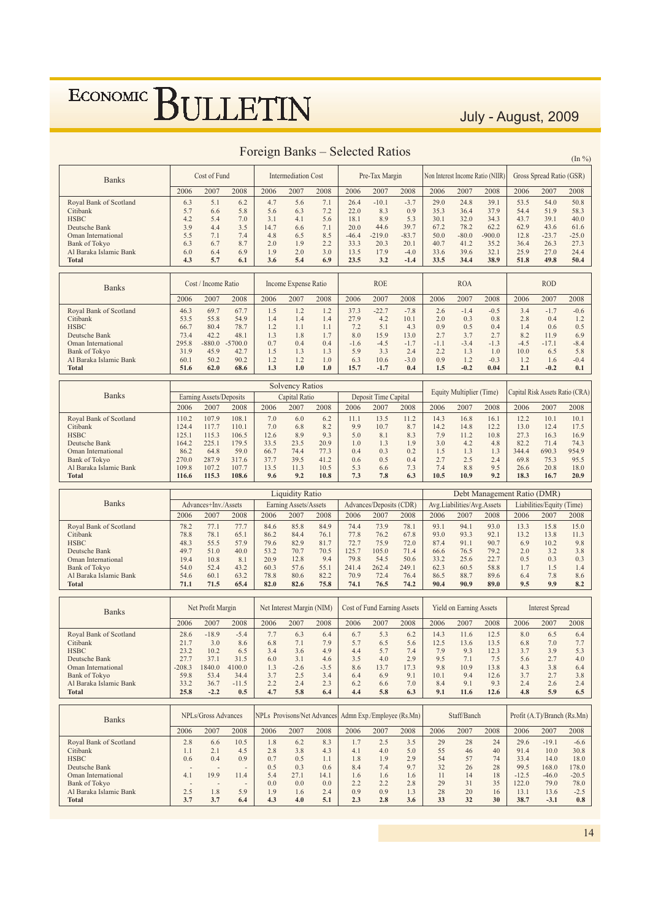July - August, 2009

|                                        |                  |                         |                | I VIVISII DUIMO |                            |               | <b>Delected Tratico</b> |                                    |                                                        |              |                            |                                  |                                 |                             | $(\ln \frac{9}{6})$ |
|----------------------------------------|------------------|-------------------------|----------------|-----------------|----------------------------|---------------|-------------------------|------------------------------------|--------------------------------------------------------|--------------|----------------------------|----------------------------------|---------------------------------|-----------------------------|---------------------|
| <b>Banks</b>                           |                  | Cost of Fund            |                |                 | <b>Intermediation Cost</b> |               |                         | Pre-Tax Margin                     |                                                        |              |                            | Non Interest Income Ratio (NIIR) |                                 | Gross Spread Ratio (GSR)    |                     |
|                                        | 2006             | 2007                    | 2008           | 2006            | 2007                       | 2008          | 2006                    | 2007                               | 2008                                                   | 2006         | 2007                       | 2008                             | 2006                            | 2007                        | 2008                |
| Royal Bank of Scotland                 | 6.3              | 5.1                     | 6.2            | 4.7             | 5.6                        | 7.1           | 26.4                    | $-10.1$                            | $-3.7$                                                 | 29.0         | 24.8                       | 39.1                             | 53.5                            | 54.0                        | 50.8                |
| Citibank                               | 5.7              | 6.6                     | 5.8            | 5.6             | 6.3                        | 7.2           | 22.0                    | 8.3                                | 0.9                                                    | 35.3         | 36.4                       | 37.9                             | 54.4                            | 51.9                        | 58.3                |
| <b>HSBC</b><br>Deutsche Bank           | 4.2<br>3.9       | 5.4<br>4.4              | 7.0<br>3.5     | 3.1<br>14.7     | 4.1<br>6.6                 | 5.6<br>7.1    | 18.1<br>20.0            | 8.9<br>44.6                        | 5.3<br>39.7                                            | 30.1<br>67.2 | 32.0<br>78.2               | 34.3<br>62.2                     | 43.7<br>62.9                    | 39.1<br>43.6                | 40.0<br>61.6        |
| Oman International                     | 5.5              | 7.1                     | 7.4            | 4.8             | 6.5                        | 8.5           | $-46.4$                 | $-219.0$                           | $-83.7$                                                | 50.0         | $-80.0$                    | $-900.0$                         | 12.8                            | $-23.7$                     | $-25.0$             |
| <b>Bank of Tokyo</b>                   | 6.3              | 6.7                     | 8.7            | 2.0             | 1.9                        | 2.2           | 33.3                    | 20.3                               | 20.1                                                   | 40.7         | 41.2                       | 35.2                             | 36.4                            | 26.3                        | 27.3                |
| Al Baraka Islamic Bank                 | 6.0              | 6.4                     | 6.9            | 1.9             | 2.0                        | 3.0           | 13.5                    | 17.9                               | $-4.0$                                                 | 33.6         | 39.6                       | 32.1                             | 25.9                            | 27.0                        | 24.4                |
| <b>Total</b>                           | 4.3              | 5.7                     | 6.1            | 3.6             | 5.4                        | 6.9           | 23.5                    | 3.2                                | $-1.4$                                                 | 33.5         | 34.4                       | 38.9                             | 51.8                            | 49.8                        | 50.4                |
|                                        |                  |                         |                |                 |                            |               |                         |                                    |                                                        |              |                            |                                  |                                 |                             |                     |
| <b>Banks</b>                           |                  | Cost / Income Ratio     |                |                 | Income Expense Ratio       |               |                         | <b>ROE</b>                         |                                                        |              | <b>ROA</b>                 |                                  |                                 | <b>ROD</b>                  |                     |
|                                        | 2006             | 2007                    | 2008           | 2006            | 2007                       | 2008          | 2006                    | 2007                               | 2008                                                   | 2006         | 2007                       | 2008                             | 2006                            | 2007                        | 2008                |
| Royal Bank of Scotland                 | 46.3             | 69.7                    | 67.7           | 1.5             | 1.2                        | 1.2           | 37.3                    | $-22.7$                            | $-7.8$                                                 | 2.6          | $-1.4$                     | $-0.5$                           | 3.4                             | $-1.7$                      | $-0.6$              |
| Citibank                               | 53.5             | 55.8                    | 54.9           | 1.4             | 1.4                        | 1.4           | 27.9                    | 4.2                                | 10.1                                                   | 2.0          | 0.3                        | 0.8                              | 2.8                             | 0.4                         | 1.2                 |
| <b>HSBC</b><br>Deutsche Bank           | 66.7<br>73.4     | 80.4<br>42.2            | 78.7<br>48.1   | 1.2<br>1.3      | 1.1<br>1.8                 | 1.1<br>1.7    | 7.2<br>8.0              | 5.1<br>15.9                        | 4.3<br>13.0                                            | 0.9<br>2.7   | 0.5<br>3.7                 | 0.4<br>2.7                       | 1.4<br>8.2                      | 0.6<br>11.9                 | 0.5<br>6.9          |
| Oman International                     | 295.8            | $-880.0$                | $-5700.0$      | 0.7             | 0.4                        | 0.4           | $-1.6$                  | $-4.5$                             | $-1.7$                                                 | $-1.1$       | $-3.4$                     | $-1.3$                           | $-4.5$                          | $-17.1$                     | $-8.4$              |
| <b>Bank of Tokyo</b>                   | 31.9             | 45.9                    | 42.7           | 1.5             | 1.3                        | 1.3           | 5.9                     | 3.3                                | 2.4                                                    | 2.2          | 1.3                        | 1.0                              | 10.0                            | 6.5                         | 5.8                 |
| Al Baraka Islamic Bank                 | 60.1             | 50.2                    | 90.2           | 1.2             | 1.2                        | 1.0           | 6.3                     | 10.6                               | $-3.0$                                                 | 0.9          | 1.2                        | $-0.3$                           | 1.2                             | 1.6                         | $-0.4$              |
| <b>Total</b>                           | 51.6             | 62.0                    | 68.6           | 1.3             | 1.0                        | 1.0           | 15.7                    | $-1.7$                             | 0.4                                                    | 1.5          | $-0.2$                     | 0.04                             | 2.1                             | $-0.2$                      | 0.1                 |
|                                        |                  |                         |                |                 | <b>Solvency Ratios</b>     |               |                         |                                    |                                                        |              |                            |                                  | Capital Risk Assets Ratio (CRA) |                             |                     |
| <b>Banks</b>                           |                  | Earning Assets/Deposits |                |                 | Capital Ratio              |               |                         | Deposit Time Capital               |                                                        |              | Equity Multiplier (Time)   |                                  |                                 |                             |                     |
|                                        | 2006             | 2007                    | 2008           | 2006            | 2007                       | 2008          | 2006                    | 2007                               | 2008                                                   | 2006         | 2007                       | 2008                             | 2006                            | 2007                        | 2008                |
| Royal Bank of Scotland                 | 110.2            | 107.9                   | 108.1          | 7.0             | 6.0                        | 6.2           | 11.1                    | 13.5                               | 11.2                                                   | 14.3         | 16.8                       | 16.1                             | 12.2                            | 10.1                        | 10.1                |
| Citibank<br><b>HSBC</b>                | 124.4<br>125.1   | 117.7                   | 110.1<br>106.5 | 7.0             | 6.8                        | 8.2<br>9.3    | 9.9<br>5.0              | 10.7                               | 8.7                                                    | 14.2<br>7.9  | 14.8<br>11.2               | 12.2                             | 13.0                            | 12.4                        | 17.5                |
| Deutsche Bank                          | 164.2            | 115.3<br>225.1          | 179.5          | 12.6<br>33.5    | 8.9<br>23.5                | 20.9          | 1.0                     | 8.1<br>1.3                         | 8.3<br>1.9                                             | 3.0          | 4.2                        | 10.8<br>4.8                      | 27.3<br>82.2                    | 16.3<br>71.4                | 16.9<br>74.3        |
| Oman International                     | 86.2             | 64.8                    | 59.0           | 66.7            | 74.4                       | 77.3          | 0.4                     | 0.3                                | 0.2                                                    | 1.5          | 1.3                        | 1.3                              | 344.4                           | 690.3                       | 954.9               |
| <b>Bank of Tokyo</b>                   | 270.0            | 287.9                   | 317.6          | 37.7            | 39.5                       | 41.2          | 0.6                     | 0.5                                | 0.4                                                    | 2.7          | 2.5                        | 2.4                              | 69.8                            | 75.3                        | 95.5                |
| Al Baraka Islamic Bank<br><b>Total</b> | 109.8<br>116.6   | 107.2                   | 107.7          | 13.5<br>9.6     | 11.3<br>9.2                | 10.5<br>10.8  | 5.3<br>7.3              | 6.6<br>7.8                         | 7.3<br>6.3                                             | 7.4<br>10.5  | 8.8<br>10.9                | 9.5<br>9.2                       | 26.6<br>18.3                    | 20.8<br>16.7                | 18.0<br>20.9        |
|                                        |                  |                         |                |                 |                            |               |                         |                                    |                                                        |              |                            |                                  |                                 |                             |                     |
|                                        |                  | 115.3                   | 108.6          |                 |                            |               |                         |                                    |                                                        |              |                            |                                  |                                 |                             |                     |
|                                        |                  |                         |                |                 | <b>Liquidity Ratio</b>     |               |                         |                                    |                                                        |              |                            | Debt Management Ratio (DMR)      |                                 |                             |                     |
| <b>Banks</b>                           |                  | Advances+Inv./Assets    |                |                 | Earning Assets/Assets      |               |                         | Advances/Deposits (CDR)            |                                                        |              | Avg.Liabilities/Avg.Assets |                                  |                                 | Liabilities/Equity (Time)   |                     |
|                                        | 2006             | 2007                    | 2008           | 2006            | 2007                       | 2008          | 2006                    | 2007                               | 2008                                                   | 2006         | 2007                       | 2008                             | 2006                            | 2007                        | 2008                |
| Royal Bank of Scotland                 | 78.2             | 77.1                    | 77.7           | 84.6            | 85.8                       | 84.9          | 74.4                    | 73.9                               | 78.1                                                   | 93.1         | 94.1                       | 93.0                             | 13.3                            | 15.8                        | 15.0                |
| Citibank                               | 78.8             | 78.1                    | 65.1           | 86.2            | 84.4                       | 76.1          | 77.8                    | 76.2                               | 67.8                                                   | 93.0         | 93.3                       | 92.1                             | 13.2                            | 13.8                        | 11.3                |
| <b>HSBC</b><br>Deutsche Bank           | 48.3<br>49.7     | 55.5<br>51.0            | 57.9<br>40.0   | 79.6<br>53.2    | 82.9<br>70.7               | 81.7<br>70.5  | 72.7<br>125.7           | 75.9<br>105.0                      | 72.0<br>71.4                                           | 87.4<br>66.6 | 91.1<br>76.5               | 90.7<br>79.2                     | 6.9<br>2.0                      | 10.2<br>3.2                 | 9.8<br>3.8          |
| Oman International                     | 19.4             | 10.8                    | 8.1            | 20.9            | 12.8                       | 9.4           | 79.8                    | 54.5                               | 50.6                                                   | 33.2         | 25.6                       | 22.7                             | 0.5                             | 0.3                         | 0.3                 |
| <b>Bank of Tokyo</b>                   | 54.0             | 52.4                    | 43.2           | 60.3            | 57.6                       | 55.1          | 241.4                   | 262.4                              | 249.1                                                  | 62.3         | 60.5                       | 58.8                             | 1.7                             | 1.5                         | 1.4                 |
| Al Baraka Islamic Bank                 | 54.6             | 60.1                    | 63.2           | 78.8            | 80.6                       | 82.2          | 70.9                    | 72.4                               | 76.4                                                   | 86.5         | 88.7                       | 89.6                             | 6.4                             | 7.8                         | 8.6                 |
| <b>Total</b>                           | 71.1             | 71.5                    | 65.4           | 82.0            | 82.6                       | 75.8          | 74.1                    | 76.5                               | 74.2                                                   | 90.4         | 90.9                       | 89.0                             | 9.5                             | 9.9                         | 8.2                 |
| <b>Banks</b>                           |                  | Net Profit Margin       |                |                 | Net Interest Margin (NIM)  |               |                         | <b>Cost of Fund Earning Assets</b> |                                                        |              | Yield on Earning Assets    |                                  |                                 | <b>Interest Spread</b>      |                     |
|                                        | 2006             | 2007                    | 2008           | 2006            | 2007                       | 2008          | 2006                    | 2007                               | 2008                                                   | 2006         | 2007                       | 2008                             | 2006                            | 2007                        | 2008                |
| Royal Bank of Scotland                 | 28.6             | $-18.9$                 | $-5.4$         | 7.7             | 6.3                        | 6.4           | 6.7                     | 5.3                                | 6.2                                                    | 14.3         | 11.6                       | 12.5                             | 8.0                             | 6.5                         | 6.4                 |
| Citibank                               | 21.7             | 3.0                     | 8.6            | 6.8             | 7.1                        | 7.9           | 5.7                     | 6.5                                | 5.6                                                    | 12.5         | 13.6                       | 13.5                             | 6.8                             | 7.0                         | 7.7                 |
| <b>HSBC</b>                            | 23.2             | 10.2                    | 6.5            | 3.4             | 3.6                        | 4.9           | 4.4                     | 5.7                                | 7.4                                                    | 7.9          | 9.3                        | 12.3                             | 3.7                             | 3.9                         | 5.3                 |
| Deutsche Bank<br>Oman International    | 27.7             | 37.1                    | 31.5           | 6.0             | 3.1                        | 4.6           | 3.5                     | 4.0                                | 2.9                                                    | 9.5          | 7.1                        | 7.5                              | 5.6                             | 2.7                         | 4.0                 |
| <b>Bank of Tokyo</b>                   | $-208.3$<br>59.8 | 1840.0<br>53.4          | 4100.0<br>34.4 | 1.3<br>3.7      | $-2.6$<br>2.5              | $-3.5$<br>3.4 | 8.6<br>6.4              | 13.7<br>6.9                        | 17.3<br>9.1                                            | 9.8<br>10.1  | 10.9<br>9.4                | 13.8<br>12.6                     | 4.3<br>3.7                      | 3.8<br>2.7                  | 6.4<br>3.8          |
| Al Baraka Islamic Bank                 | 33.2             | 36.7                    | $-11.5$        | 2.2             | 2.4                        | 2.3           | 6.2                     | 6.6                                | 7.0                                                    | 8.4          | 9.1                        | 9.3                              | 2.4                             | 2.6                         | 2.4                 |
| <b>Total</b>                           | 25.8             | $-2.2$                  | 0.5            | 4.7             | 5.8                        | 6.4           | 4.4                     | 5.8                                | 6.3                                                    | 9.1          | 11.6                       | 12.6                             | 4.8                             | 5.9                         | 6.5                 |
| <b>Banks</b>                           |                  | NPLs/Gross Advances     |                |                 |                            |               |                         |                                    | NPLs Provisons/Net Advances Admn Exp./Employee (Rs.Mn) |              | Staff/Banch                |                                  |                                 | Profit (A.T)/Branch (Rs.Mn) |                     |
|                                        | 2006             | 2007                    | 2008           | 2006            | 2007                       | 2008          | 2006                    | 2007                               | 2008                                                   | 2006         | 2007                       | 2008                             | 2006                            | 2007                        | 2008                |
| Royal Bank of Scotland                 | 2.8              | 6.6                     | 10.5           | 1.8             | 6.2                        | 8.3           | 1.7                     | 2.5                                | 3.5                                                    | 29           | 28                         | 24                               | 29.6                            | $-19.1$                     | $-6.6$              |
| Citibank                               | 1.1              | 2.1                     | 4.5            | 2.8             | 3.8                        | 4.3           | 4.1                     | 4.0                                | 5.0                                                    | 55           | 46                         | 40                               | 91.4                            | 10.0                        | 30.8                |
| <b>HSBC</b>                            | 0.6              | 0.4                     | 0.9            | 0.7             | 0.5                        | 1.1           | 1.8                     | 1.9                                | 2.9                                                    | 54           | 57                         | 74                               | 33.4                            | 14.0                        | 18.0                |
| Deutsche Bank<br>Oman International    | 4.1              | 19.9                    | 11.4           | 0.5<br>5.4      | 0.3<br>27.1                | 0.6<br>14.1   | 8.4<br>1.6              | 7.4<br>1.6                         | 9.7<br>1.6                                             | 32<br>11     | 26<br>14                   | 28<br>18                         | 99.5<br>$-12.5$                 | 168.0<br>$-46.0$            | 178.0<br>$-20.5$    |
| <b>Bank of Tokyo</b>                   |                  |                         | ÷,             | 0.0             | 0.0                        | 0.0           | 2.2                     | 2.2                                | 2.8                                                    | 29           | 31                         | 35                               | 122.0                           | 79.0                        | 78.0                |
| Al Baraka Islamic Bank<br><b>Total</b> | 2.5<br>3.7       | 1.8<br>3.7              | 5.9<br>6.4     | 1.9<br>4.3      | 1.6<br>4.0                 | 2.4<br>5.1    | 0.9<br>2.3              | 0.9<br>2.8                         | 1.3<br>3.6                                             | 28<br>33     | 20<br>32                   | 16<br>30                         | 13.1<br>38.7                    | 13.6<br>$-3.1$              | $-2.5$<br>0.8       |

#### Foreign Banks – Selected Ratios

 $14$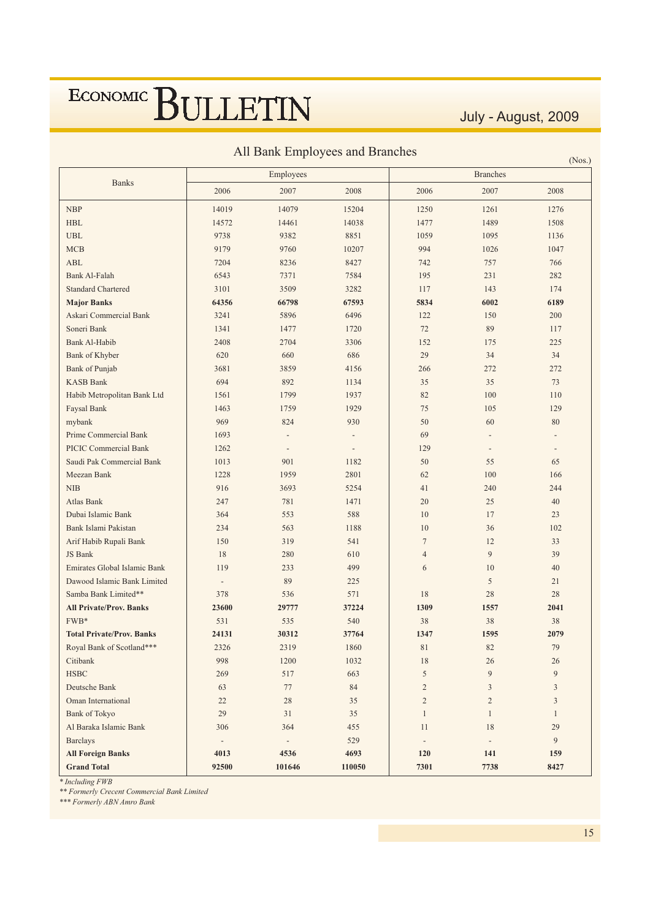July - August, 2009

 $(Nos.)$ 

| All Bank Employees and Branches |  |  |
|---------------------------------|--|--|

|                                  |                              | Employees                |                          | <b>Branches</b>          |                          |              |  |  |
|----------------------------------|------------------------------|--------------------------|--------------------------|--------------------------|--------------------------|--------------|--|--|
| <b>Banks</b>                     | 2006                         | 2007                     | 2008                     | 2006                     | 2007                     | 2008         |  |  |
| <b>NBP</b>                       | 14019                        | 14079                    | 15204                    | 1250                     | 1261                     | 1276         |  |  |
| <b>HBL</b>                       | 14572                        | 14461                    | 14038                    | 1477                     | 1489                     | 1508         |  |  |
| <b>UBL</b>                       | 9738                         | 9382                     | 8851                     | 1059                     | 1095                     | 1136         |  |  |
| <b>MCB</b>                       | 9179                         | 9760                     | 10207                    | 994                      | 1026                     | 1047         |  |  |
| <b>ABL</b>                       | 7204                         | 8236                     | 8427                     | 742                      | 757                      | 766          |  |  |
| Bank Al-Falah                    | 6543                         | 7371                     | 7584                     | 195                      | 231                      | 282          |  |  |
| <b>Standard Chartered</b>        | 3101                         | 3509                     | 3282                     | 117                      | 143                      | 174          |  |  |
| <b>Major Banks</b>               | 64356                        | 66798                    | 67593                    | 5834                     | 6002                     | 6189         |  |  |
| Askari Commercial Bank           | 3241                         | 5896                     | 6496                     | 122                      | 150                      | 200          |  |  |
| Soneri Bank                      | 1341                         | 1477                     | 1720                     | 72                       | 89                       | 117          |  |  |
| Bank Al-Habib                    | 2408                         | 2704                     | 3306                     | 152                      | 175                      | 225          |  |  |
| Bank of Khyber                   | 620                          | 660                      | 686                      | 29                       | 34                       | 34           |  |  |
| Bank of Punjab                   | 3681                         | 3859                     | 4156                     | 266                      | 272                      | 272          |  |  |
| <b>KASB Bank</b>                 | 694                          | 892                      | 1134                     | 35                       | 35                       | 73           |  |  |
| Habib Metropolitan Bank Ltd      | 1561                         | 1799                     | 1937                     | 82                       | 100                      | 110          |  |  |
| Faysal Bank                      | 1463                         | 1759                     | 1929                     | 75                       | 105                      | 129          |  |  |
| mybank                           | 969                          | 824                      | 930                      | 50                       | 60                       | 80           |  |  |
| Prime Commercial Bank            | 1693                         |                          | $\overline{\phantom{0}}$ | 69                       | $\overline{a}$           |              |  |  |
| <b>PICIC Commercial Bank</b>     | 1262                         |                          | $\overline{a}$           | 129                      | $\overline{a}$           |              |  |  |
| Saudi Pak Commercial Bank        | 1013                         | 901                      | 1182                     | 50                       | 55                       | 65           |  |  |
| Meezan Bank                      | 1228                         | 1959                     | 2801                     | 62                       | 100                      | 166          |  |  |
| <b>NIB</b>                       | 916                          | 3693                     | 5254                     | 41                       | 240                      | 244          |  |  |
| Atlas Bank                       | 247                          | 781                      | 1471                     | 20                       | 25                       | 40           |  |  |
| Dubai Islamic Bank               | 364                          | 553                      | 588                      | 10                       | 17                       | 23           |  |  |
| Bank Islami Pakistan             | 234                          | 563                      | 1188                     | 10                       | 36                       | 102          |  |  |
| Arif Habib Rupali Bank           | 150                          | 319                      | 541                      | $\tau$                   | 12                       | 33           |  |  |
| JS Bank                          | 18                           | 280                      | 610                      | $\overline{4}$           | 9                        | 39           |  |  |
| Emirates Global Islamic Bank     | 119                          | 233                      | 499                      | 6                        | 10                       | 40           |  |  |
| Dawood Islamic Bank Limited      | $\overline{\phantom{a}}$     | 89                       | 225                      |                          | 5                        | 21           |  |  |
| Samba Bank Limited**             | 378                          | 536                      | 571                      | 18                       | 28                       | 28           |  |  |
| <b>All Private/Prov. Banks</b>   | 23600                        | 29777                    | 37224                    | 1309                     | 1557                     | 2041         |  |  |
| FWB*                             | 531                          | 535                      | 540                      | 38                       | 38                       | 38           |  |  |
| <b>Total Private/Prov. Banks</b> | 24131                        | 30312                    | 37764                    | 1347                     | 1595                     | 2079         |  |  |
| Royal Bank of Scotland***        | 2326                         | 2319                     | 1860                     | 81                       | 82                       | 79           |  |  |
| Citibank                         | 998                          | 1200                     | 1032                     | $18\,$                   | 26                       | 26           |  |  |
| <b>HSBC</b>                      | 269                          | 517                      | 663                      | 5                        | 9                        | 9            |  |  |
| Deutsche Bank                    | 63                           | 77                       | $\bf 84$                 | $\sqrt{2}$               | 3                        | 3            |  |  |
| Oman International               | $22\,$                       | $28\,$                   | 35                       | $\sqrt{2}$               | $\overline{c}$           | 3            |  |  |
| <b>Bank of Tokyo</b>             | 29                           | 31                       | 35                       | $\mathbf{1}$             | $\mathbf{1}$             | $\mathbf{1}$ |  |  |
| Al Baraka Islamic Bank           | 306                          | 364                      | 455                      | 11                       | 18                       | 29           |  |  |
| <b>Barclays</b>                  | $\qquad \qquad \blacksquare$ | $\overline{\phantom{a}}$ | 529                      | $\overline{\phantom{a}}$ | $\overline{\phantom{a}}$ | 9            |  |  |
| <b>All Foreign Banks</b>         | 4013                         | 4536                     | 4693                     | 120                      | 141                      | 159          |  |  |
| <b>Grand Total</b>               | 92500                        | 101646                   | 110050                   | 7301                     | 7738                     | 8427         |  |  |

**Including FWB** 

\*\* Formerly Crecent Commercial Bank Limited

\*\*\* Formerly ABN Amro Bank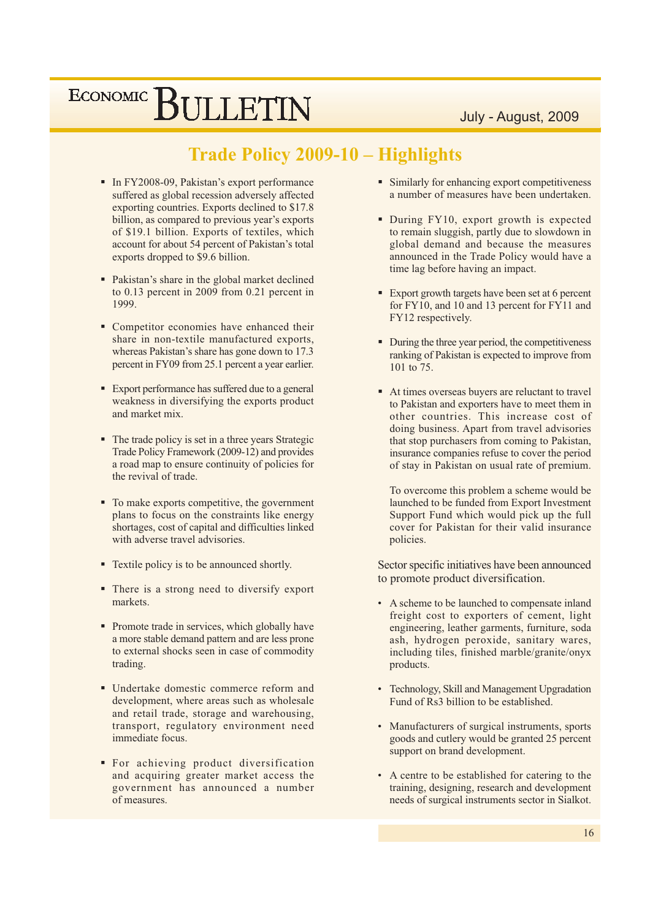July - August, 2009

#### **Trade Policy 2009-10 - Highlights**

- · In FY2008-09, Pakistan's export performance suffered as global recession adversely affected exporting countries. Exports declined to \$17.8 billion, as compared to previous year's exports of \$19.1 billion. Exports of textiles, which account for about 54 percent of Pakistan's total exports dropped to \$9.6 billion.
- Pakistan's share in the global market declined to 0.13 percent in 2009 from 0.21 percent in 1999.
- Competitor economies have enhanced their share in non-textile manufactured exports, whereas Pakistan's share has gone down to 17.3 percent in FY09 from 25.1 percent a year earlier.
- Export performance has suffered due to a general weakness in diversifying the exports product and market mix.
- The trade policy is set in a three years Strategic Trade Policy Framework (2009-12) and provides a road map to ensure continuity of policies for the revival of trade.
- To make exports competitive, the government plans to focus on the constraints like energy shortages, cost of capital and difficulties linked with adverse travel advisories.
- Textile policy is to be announced shortly.
- There is a strong need to diversify export markets.
- Promote trade in services, which globally have a more stable demand pattern and are less prone to external shocks seen in case of commodity trading.
- Undertake domestic commerce reform and development, where areas such as wholesale and retail trade, storage and warehousing, transport, regulatory environment need immediate focus.
- For achieving product diversification and acquiring greater market access the government has announced a number of measures.
- Similarly for enhancing export competitiveness a number of measures have been undertaken.
- During FY10, export growth is expected to remain sluggish, partly due to slowdown in global demand and because the measures announced in the Trade Policy would have a time lag before having an impact.
- Export growth targets have been set at 6 percent for FY10, and 10 and 13 percent for FY11 and FY12 respectively.
- During the three year period, the competitiveness ranking of Pakistan is expected to improve from 101 to 75.
- At times overseas buyers are reluctant to travel to Pakistan and exporters have to meet them in other countries. This increase cost of doing business. Apart from travel advisories that stop purchasers from coming to Pakistan. insurance companies refuse to cover the period of stay in Pakistan on usual rate of premium.

To overcome this problem a scheme would be launched to be funded from Export Investment Support Fund which would pick up the full cover for Pakistan for their valid insurance policies.

Sector specific initiatives have been announced to promote product diversification.

- A scheme to be launched to compensate inland freight cost to exporters of cement, light engineering, leather garments, furniture, soda ash, hydrogen peroxide, sanitary wares, including tiles, finished marble/granite/onyx products.
- Technology, Skill and Management Upgradation Fund of Rs3 billion to be established.
- Manufacturers of surgical instruments, sports goods and cutlery would be granted 25 percent support on brand development.
- A centre to be established for catering to the training, designing, research and development needs of surgical instruments sector in Sialkot.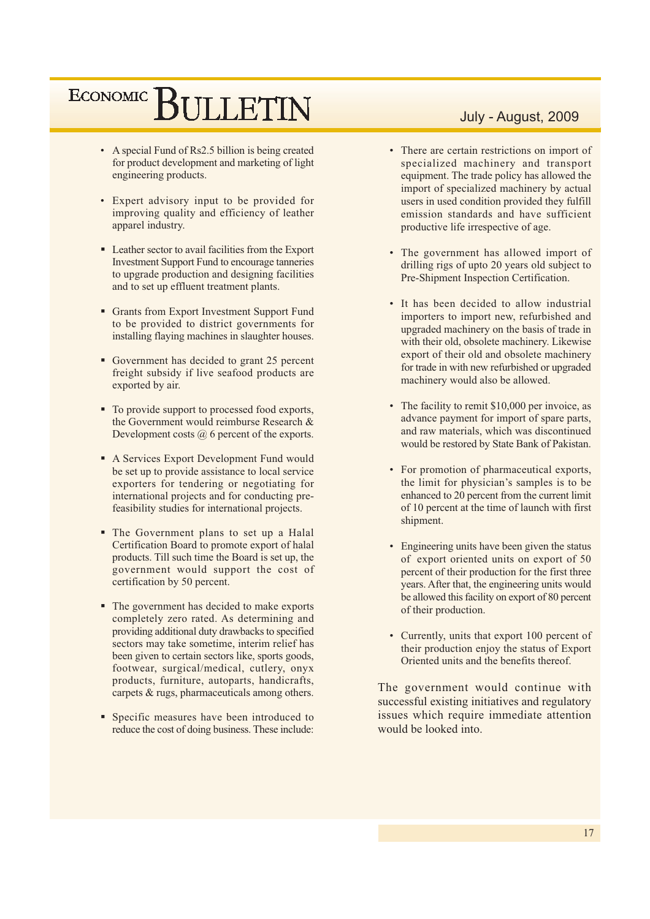- A special Fund of Rs2.5 billion is being created for product development and marketing of light engineering products.
- Expert advisory input to be provided for improving quality and efficiency of leather apparel industry.
- Leather sector to avail facilities from the Export **Investment Support Fund to encourage tanneries** to upgrade production and designing facilities and to set up effluent treatment plants.
- Grants from Export Investment Support Fund to be provided to district governments for installing flaying machines in slaughter houses.
- Government has decided to grant 25 percent freight subsidy if live seafood products are exported by air.
- To provide support to processed food exports, the Government would reimburse Research & Development costs  $\omega$  6 percent of the exports.
- A Services Export Development Fund would be set up to provide assistance to local service exporters for tendering or negotiating for international projects and for conducting prefeasibility studies for international projects.
- The Government plans to set up a Halal Certification Board to promote export of halal products. Till such time the Board is set up, the government would support the cost of certification by 50 percent.
- The government has decided to make exports completely zero rated. As determining and providing additional duty drawbacks to specified sectors may take sometime, interim relief has been given to certain sectors like, sports goods, footwear, surgical/medical, cutlery, onyx products, furniture, autoparts, handicrafts, carpets & rugs, pharmaceuticals among others.
- Specific measures have been introduced to reduce the cost of doing business. These include:

#### July - August, 2009

- There are certain restrictions on import of specialized machinery and transport equipment. The trade policy has allowed the import of specialized machinery by actual users in used condition provided they fulfill emission standards and have sufficient productive life irrespective of age.
- The government has allowed import of drilling rigs of upto 20 years old subject to Pre-Shipment Inspection Certification.
- It has been decided to allow industrial importers to import new, refurbished and upgraded machinery on the basis of trade in with their old, obsolete machinery. Likewise export of their old and obsolete machinery for trade in with new refurbished or upgraded machinery would also be allowed.
- The facility to remit \$10,000 per invoice, as advance payment for import of spare parts, and raw materials, which was discontinued would be restored by State Bank of Pakistan.
- For promotion of pharmaceutical exports, the limit for physician's samples is to be enhanced to 20 percent from the current limit of 10 percent at the time of launch with first shipment.
- Engineering units have been given the status of export oriented units on export of 50 percent of their production for the first three years. After that, the engineering units would be allowed this facility on export of 80 percent of their production.
- Currently, units that export 100 percent of their production enjoy the status of Export Oriented units and the benefits thereof.

The government would continue with successful existing initiatives and regulatory issues which require immediate attention would be looked into.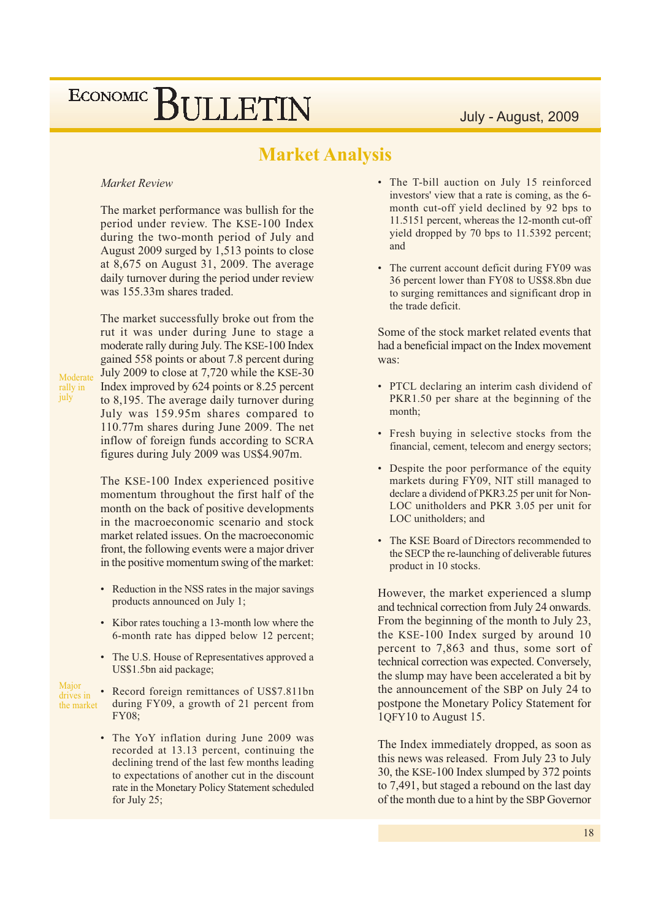#### **Market Analysis**

#### Market Review

The market performance was bullish for the period under review. The KSE-100 Index during the two-month period of July and August 2009 surged by 1,513 points to close at  $8,675$  on August 31, 2009. The average daily turnover during the period under review was 155.33m shares traded.

The market successfully broke out from the rut it was under during June to stage a moderate rally during July. The KSE-100 Index gained 558 points or about 7.8 percent during July 2009 to close at 7,720 while the KSE-30 Index improved by 624 points or 8.25 percent to 8,195. The average daily turnover during July was 159.95m shares compared to 110.77m shares during June 2009. The net inflow of foreign funds according to SCRA figures during July 2009 was US\$4.907m.

The KSE-100 Index experienced positive momentum throughout the first half of the month on the back of positive developments in the macroeconomic scenario and stock market related issues. On the macroeconomic front, the following events were a major driver in the positive momentum swing of the market:

- Reduction in the NSS rates in the major savings products announced on July 1;
- Kibor rates touching a 13-month low where the 6-month rate has dipped below 12 percent;
- The U.S. House of Representatives approved a US\$1.5bn aid package;
- Major • Record foreign remittances of US\$7.811bn drives in during FY09, a growth of 21 percent from the market **FY08:** 
	- The YoY inflation during June 2009 was recorded at 13.13 percent, continuing the declining trend of the last few months leading to expectations of another cut in the discount rate in the Monetary Policy Statement scheduled for July  $25$ ;
- The T-bill auction on July 15 reinforced investors' view that a rate is coming, as the 6month cut-off yield declined by 92 bps to 11.5151 percent, whereas the 12-month cut-off yield dropped by 70 bps to 11.5392 percent; and
- The current account deficit during FY09 was 36 percent lower than FY08 to US\$8.8bn due to surging remittances and significant drop in the trade deficit.

Some of the stock market related events that had a beneficial impact on the Index movement was:

- PTCL declaring an interim cash dividend of PKR1.50 per share at the beginning of the month;
- Fresh buying in selective stocks from the financial, cement, telecom and energy sectors;
- Despite the poor performance of the equity markets during FY09, NIT still managed to declare a dividend of PKR3.25 per unit for Non-LOC unitholders and PKR 3.05 per unit for LOC unitholders: and
- The KSE Board of Directors recommended to the SECP the re-launching of deliverable futures product in 10 stocks.

However, the market experienced a slump and technical correction from July 24 onwards. From the beginning of the month to July 23, the KSE-100 Index surged by around 10 percent to 7,863 and thus, some sort of technical correction was expected. Conversely, the slump may have been accelerated a bit by the announcement of the SBP on July 24 to postpone the Monetary Policy Statement for 1QFY10 to August 15.

The Index immediately dropped, as soon as this news was released. From July 23 to July 30, the KSE-100 Index slumped by 372 points to 7,491, but staged a rebound on the last day of the month due to a hint by the SBP Governor

Moderate rally in<br>july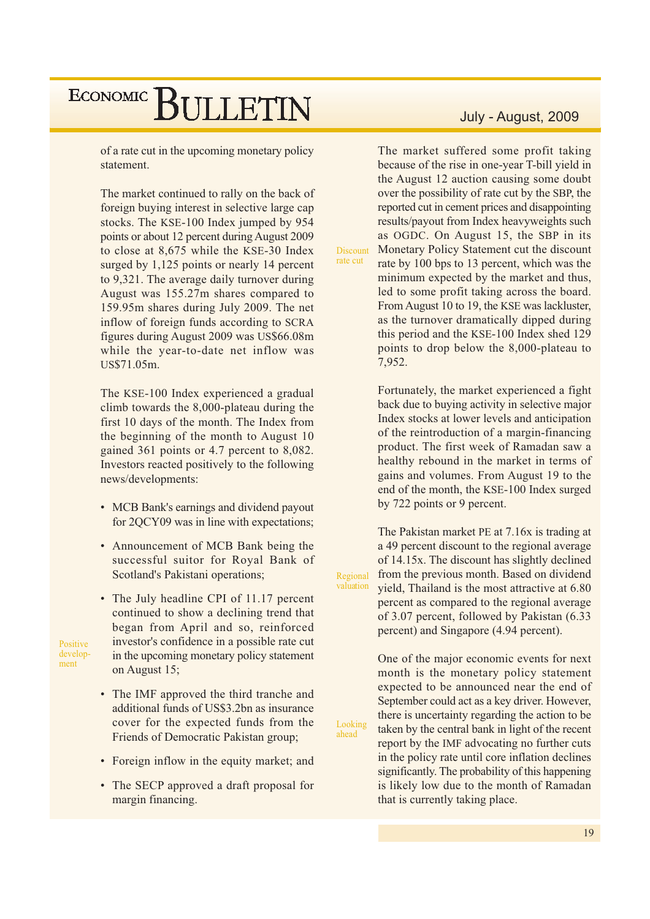of a rate cut in the upcoming monetary policy statement.

The market continued to rally on the back of foreign buying interest in selective large cap stocks. The KSE-100 Index jumped by 954 points or about 12 percent during August 2009 to close at 8,675 while the KSE-30 Index surged by 1,125 points or nearly 14 percent to 9,321. The average daily turnover during August was 155.27m shares compared to 159.95m shares during July 2009. The net inflow of foreign funds according to SCRA figures during August 2009 was US\$66.08m while the year-to-date net inflow was US\$71.05m.

The KSE-100 Index experienced a gradual climb towards the 8,000-plateau during the first 10 days of the month. The Index from the beginning of the month to August 10 gained 361 points or 4.7 percent to 8,082. Investors reacted positively to the following news/developments:

- MCB Bank's earnings and dividend payout for 2QCY09 was in line with expectations;
- Announcement of MCB Bank being the successful suitor for Royal Bank of Scotland's Pakistani operations;
- The July headline CPI of 11.17 percent continued to show a declining trend that began from April and so, reinforced investor's confidence in a possible rate cut in the upcoming monetary policy statement on August 15;

Positive develop-

ment

- The IMF approved the third tranche and additional funds of US\$3.2bn as insurance cover for the expected funds from the Friends of Democratic Pakistan group;
- Foreign inflow in the equity market; and
- The SECP approved a draft proposal for margin financing.

#### July - August, 2009

The market suffered some profit taking because of the rise in one-year T-bill yield in the August 12 auction causing some doubt over the possibility of rate cut by the SBP, the reported cut in cement prices and disappointing results/payout from Index heavyweights such as OGDC. On August 15, the SBP in its Monetary Policy Statement cut the discount **Discount** rate by 100 bps to 13 percent, which was the minimum expected by the market and thus, led to some profit taking across the board. From August 10 to 19, the KSE was lackluster. as the turnover dramatically dipped during this period and the KSE-100 Index shed 129 points to drop below the 8,000-plateau to 7,952.

rate cut

Looking<br>ahead

Fortunately, the market experienced a fight back due to buying activity in selective major Index stocks at lower levels and anticipation of the reintroduction of a margin-financing product. The first week of Ramadan saw a healthy rebound in the market in terms of gains and volumes. From August 19 to the end of the month, the KSE-100 Index surged by 722 points or 9 percent.

The Pakistan market PE at 7.16x is trading at a 49 percent discount to the regional average of 14.15x. The discount has slightly declined from the previous month. Based on dividend Regional valuation yield, Thailand is the most attractive at 6.80 percent as compared to the regional average of 3.07 percent, followed by Pakistan (6.33) percent) and Singapore (4.94 percent).

> One of the major economic events for next month is the monetary policy statement expected to be announced near the end of September could act as a key driver. However, there is uncertainty regarding the action to be taken by the central bank in light of the recent report by the IMF advocating no further cuts in the policy rate until core inflation declines significantly. The probability of this happening is likely low due to the month of Ramadan that is currently taking place.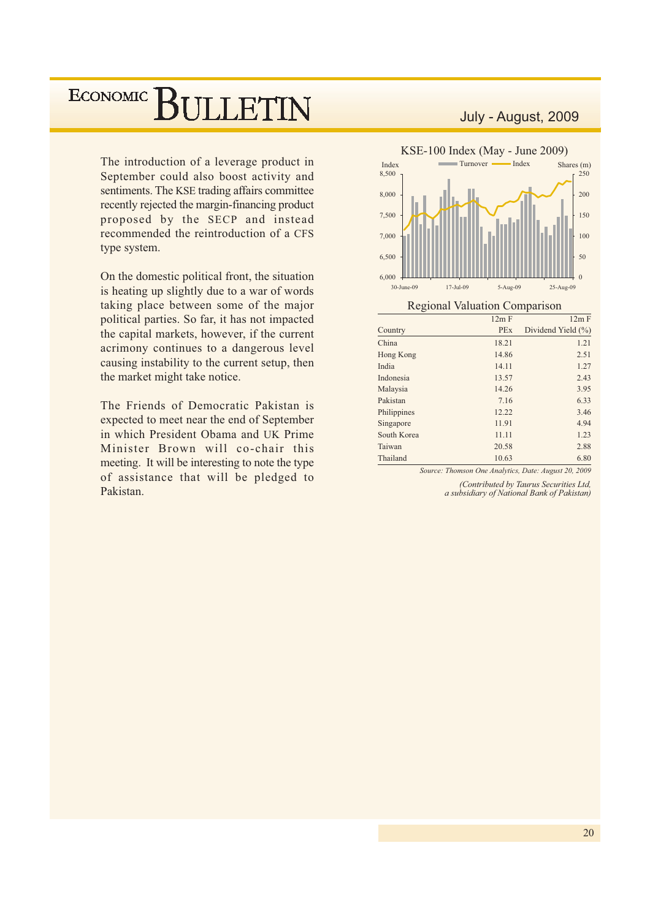The introduction of a leverage product in September could also boost activity and sentiments. The KSE trading affairs committee recently rejected the margin-financing product proposed by the SECP and instead recommended the reintroduction of a CFS type system.

On the domestic political front, the situation is heating up slightly due to a war of words taking place between some of the major political parties. So far, it has not impacted the capital markets, however, if the current acrimony continues to a dangerous level causing instability to the current setup, then the market might take notice.

The Friends of Democratic Pakistan is expected to meet near the end of September in which President Obama and UK Prime Minister Brown will co-chair this meeting. It will be interesting to note the type of assistance that will be pledged to Pakistan

#### July - August, 2009



| $\check{ }$ |            |                    |
|-------------|------------|--------------------|
|             | 12m F      | 12m F              |
| Country     | <b>PEx</b> | Dividend Yield (%) |
| China       | 18.21      | 1.21               |
| Hong Kong   | 14.86      | 2.51               |
| India       | 14.11      | 1.27               |
| Indonesia   | 13.57      | 2.43               |
| Malaysia    | 14.26      | 3.95               |
| Pakistan    | 7.16       | 6.33               |
| Philippines | 12.22      | 3.46               |
| Singapore   | 11.91      | 4.94               |
| South Korea | 11.11      | 1.23               |
| Taiwan      | 20.58      | 2.88               |
| Thailand    | 10.63      | 6.80               |
|             |            |                    |

Source: Thomson One Analytics, Date: August 20, 2009

(Contributed by Taurus Securities Ltd, a subsidiary of National Bank of Pakistan)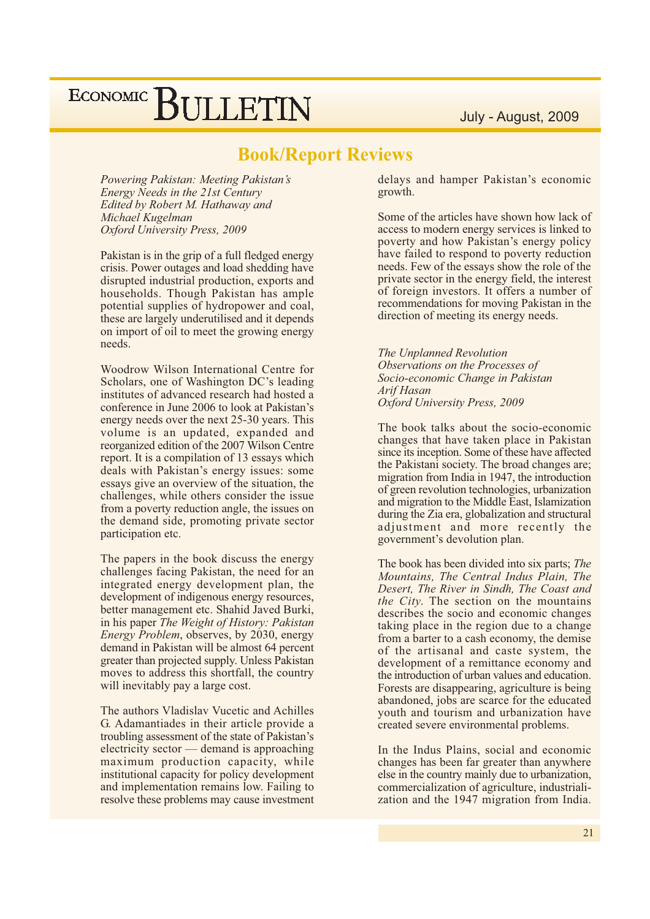#### **Book/Report Reviews**

Powering Pakistan: Meeting Pakistan's Energy Needs in the 21st Century Edited by Robert M. Hathaway and Michael Kugelman Oxford University Press, 2009

Pakistan is in the grip of a full fledged energy crisis. Power outages and load shedding have disrupted industrial production, exports and households. Though Pakistan has ample potential supplies of hydropower and coal, these are largely underutilised and it depends on import of oil to meet the growing energy needs.

Woodrow Wilson International Centre for Scholars, one of Washington DC's leading institutes of advanced research had hosted a conference in June 2006 to look at Pakistan's energy needs over the next 25-30 years. This volume is an updated, expanded and reorganized edition of the 2007 Wilson Centre report. It is a compilation of 13 essays which deals with Pakistan's energy issues: some essays give an overview of the situation, the challenges, while others consider the issue from a poverty reduction angle, the issues on the demand side, promoting private sector participation etc.

The papers in the book discuss the energy challenges facing Pakistan, the need for an integrated energy development plan, the development of indigenous energy resources, better management etc. Shahid Javed Burki, in his paper The Weight of History: Pakistan *Energy Problem, observes, by 2030, energy* demand in Pakistan will be almost 64 percent greater than projected supply. Unless Pakistan moves to address this shortfall, the country will inevitably pay a large cost.

The authors Vladislav Vucetic and Achilles G. Adamantiades in their article provide a troubling assessment of the state of Pakistan's electricity sector — demand is approaching maximum production capacity, while institutional capacity for policy development and implementation remains low. Failing to resolve these problems may cause investment

delays and hamper Pakistan's economic growth.

Some of the articles have shown how lack of access to modern energy services is linked to poverty and how Pakistan's energy policy have failed to respond to poverty reduction needs. Few of the essays show the role of the private sector in the energy field, the interest of foreign investors. It offers a number of recommendations for moving Pakistan in the direction of meeting its energy needs.

The Unplanned Revolution Observations on the Processes of Socio-economic Change in Pakistan Arif Hasan Oxford University Press, 2009

The book talks about the socio-economic changes that have taken place in Pakistan since its inception. Some of these have affected the Pakistani society. The broad changes are; migration from India in 1947, the introduction of green revolution technologies, urbanization and migration to the Middle East, Islamization during the Zia era, globalization and structural adjustment and more recently the government's devolution plan.

The book has been divided into six parts; The Mountains, The Central Indus Plain, The Desert, The River in Sindh, The Coast and the City. The section on the mountains describes the socio and economic changes taking place in the region due to a change from a barter to a cash economy, the demise of the artisanal and caste system, the development of a remittance economy and the introduction of urban values and education. Forests are disappearing, agriculture is being abandoned, jobs are scarce for the educated youth and tourism and urbanization have created severe environmental problems.

In the Indus Plains, social and economic changes has been far greater than anywhere else in the country mainly due to urbanization, commercialization of agriculture, industrialization and the 1947 migration from India.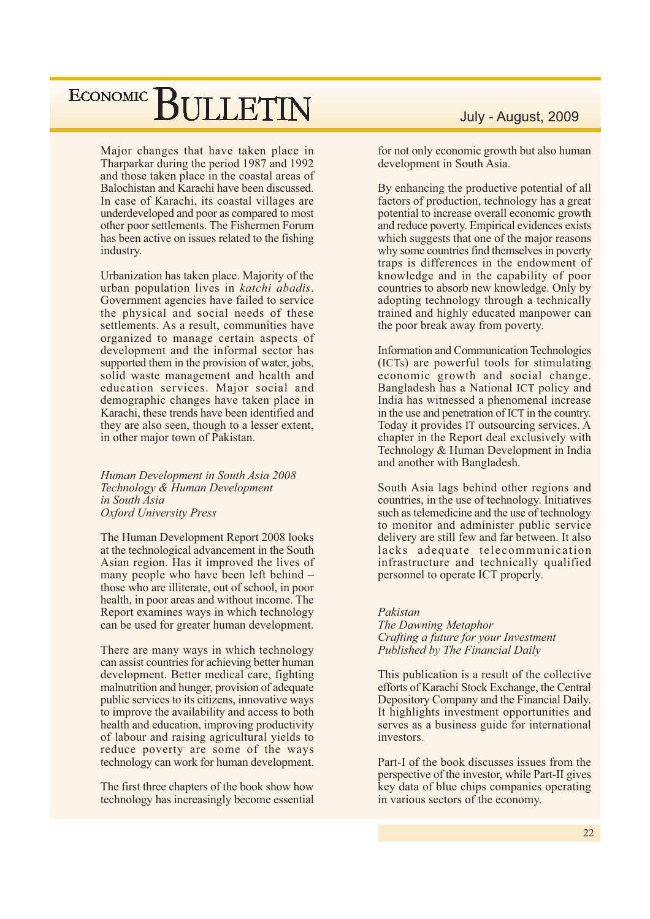Major changes that have taken place in Tharparkar during the period 1987 and 1992 and those taken place in the coastal areas of Balochistan and Karachi have been discussed. In case of Karachi, its coastal villages are underdeveloped and poor as compared to most other poor settlements. The Fishermen Forum has been active on issues related to the fishing industry.

Urbanization has taken place. Majority of the urban population lives in katchi abadis. Government agencies have failed to service the physical and social needs of these settlements. As a result, communities have organized to manage certain aspects of development and the informal sector has supported them in the provision of water, jobs, solid waste management and health and education services. Major social and demographic changes have taken place in Karachi, these trends have been identified and they are also seen, though to a lesser extent, in other major town of Pakistan.

Human Development in South Asia 2008 Technology & Human Development in South Asia **Oxford University Press** 

The Human Development Report 2008 looks at the technological advancement in the South Asian region. Has it improved the lives of many people who have been left behind – those who are illiterate, out of school, in poor health, in poor areas and without income. The Report examines ways in which technology can be used for greater human development.

There are many ways in which technology can assist countries for achieving better human development. Better medical care, fighting malnutrition and hunger, provision of adequate public services to its citizens, innovative ways to improve the availability and access to both health and education, improving productivity of labour and raising agricultural yields to reduce poverty are some of the ways technology can work for human development.

The first three chapters of the book show how technology has increasingly become essential

#### July - August, 2009

for not only economic growth but also human development in South Asia.

By enhancing the productive potential of all factors of production, technology has a great potential to increase overall economic growth and reduce poverty. Empirical evidences exists which suggests that one of the major reasons why some countries find themselves in poverty traps is differences in the endowment of knowledge and in the capability of poor countries to absorb new knowledge. Only by adopting technology through a technically trained and highly educated manpower can the poor break away from poverty.

**Information and Communication Technologies** (ICTs) are powerful tools for stimulating economic growth and social change. Bangladesh has a National ICT policy and India has witnessed a phenomenal increase in the use and penetration of ICT in the country. Today it provides IT outsourcing services. A chapter in the Report deal exclusively with Technology & Human Development in India and another with Bangladesh.

South Asia lags behind other regions and countries, in the use of technology. Initiatives such as telemedicine and the use of technology to monitor and administer public service delivery are still few and far between. It also lacks adequate telecommunication infrastructure and technically qualified personnel to operate ICT properly.

#### Pakistan

The Dawning Metaphor Crafting a future for your Investment Published by The Financial Daily

This publication is a result of the collective efforts of Karachi Stock Exchange, the Central Depository Company and the Financial Daily. It highlights investment opportunities and serves as a business guide for international investors.

Part-I of the book discusses issues from the perspective of the investor, while Part-II gives key data of blue chips companies operating in various sectors of the economy.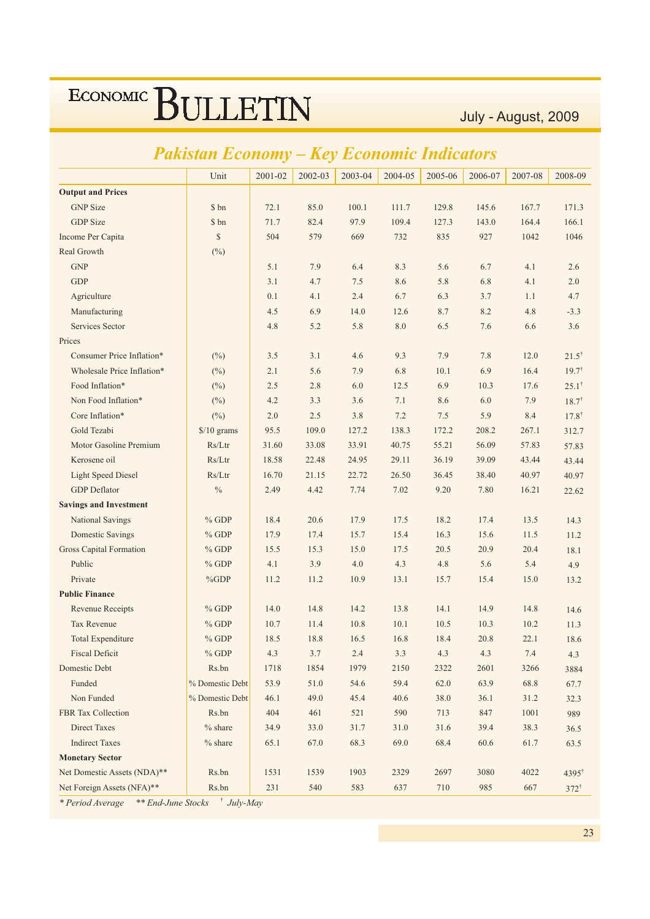July - August, 2009

|                                | акізіан Есоноту      | rey     |         | <i><b>ECONO</b></i> | mic     | <i>Endicators</i> |         |         |                   |
|--------------------------------|----------------------|---------|---------|---------------------|---------|-------------------|---------|---------|-------------------|
|                                | Unit                 | 2001-02 | 2002-03 | 2003-04             | 2004-05 | 2005-06           | 2006-07 | 2007-08 | 2008-09           |
| <b>Output and Prices</b>       |                      |         |         |                     |         |                   |         |         |                   |
| <b>GNP</b> Size                | \$ bn                | 72.1    | 85.0    | 100.1               | 111.7   | 129.8             | 145.6   | 167.7   | 171.3             |
| <b>GDP</b> Size                | \$ bn                | 71.7    | 82.4    | 97.9                | 109.4   | 127.3             | 143.0   | 164.4   | 166.1             |
| Income Per Capita              | $\mathbb{S}$         | 504     | 579     | 669                 | 732     | 835               | 927     | 1042    | 1046              |
| Real Growth                    | $(\%)$               |         |         |                     |         |                   |         |         |                   |
| <b>GNP</b>                     |                      | 5.1     | 7.9     | 6.4                 | 8.3     | 5.6               | 6.7     | 4.1     | 2.6               |
| <b>GDP</b>                     |                      | 3.1     | 4.7     | 7.5                 | 8.6     | 5.8               | 6.8     | 4.1     | 2.0               |
| Agriculture                    |                      | 0.1     | 4.1     | 2.4                 | 6.7     | 6.3               | 3.7     | 1.1     | 4.7               |
| Manufacturing                  |                      | 4.5     | 6.9     | 14.0                | 12.6    | 8.7               | 8.2     | 4.8     | $-3.3$            |
| <b>Services Sector</b>         |                      | 4.8     | 5.2     | 5.8                 | 8.0     | 6.5               | 7.6     | 6.6     | 3.6               |
| Prices                         |                      |         |         |                     |         |                   |         |         |                   |
| Consumer Price Inflation*      | $(\%)$               | 3.5     | 3.1     | 4.6                 | 9.3     | 7.9               | 7.8     | 12.0    | $21.5^{\dagger}$  |
| Wholesale Price Inflation*     | $(\%)$               | 2.1     | 5.6     | 7.9                 | 6.8     | 10.1              | 6.9     | 16.4    | $19.7^{\dagger}$  |
| Food Inflation*                | $(\%)$               | 2.5     | 2.8     | 6.0                 | 12.5    | 6.9               | 10.3    | 17.6    | $25.1^{\dagger}$  |
| Non Food Inflation*            | $(\%)$               | 4.2     | 3.3     | 3.6                 | 7.1     | 8.6               | 6.0     | 7.9     | $18.7^{\dagger}$  |
| Core Inflation*                | $(\%)$               | 2.0     | 2.5     | 3.8                 | 7.2     | 7.5               | 5.9     | 8.4     | $17.8^{\dagger}$  |
| Gold Tezabi                    | $\frac{$}{10}$ grams | 95.5    | 109.0   | 127.2               | 138.3   | 172.2             | 208.2   | 267.1   | 312.7             |
| Motor Gasoline Premium         | Rs/Ltr               | 31.60   | 33.08   | 33.91               | 40.75   | 55.21             | 56.09   | 57.83   | 57.83             |
| Kerosene oil                   | Rs/Ltr               | 18.58   | 22.48   | 24.95               | 29.11   | 36.19             | 39.09   | 43.44   | 43.44             |
| <b>Light Speed Diesel</b>      | Rs/Ltr               | 16.70   | 21.15   | 22.72               | 26.50   | 36.45             | 38.40   | 40.97   | 40.97             |
| <b>GDP</b> Deflator            | $\%$                 | 2.49    | 4.42    | 7.74                | 7.02    | 9.20              | 7.80    | 16.21   | 22.62             |
| <b>Savings and Investment</b>  |                      |         |         |                     |         |                   |         |         |                   |
| National Savings               | $%$ GDP              | 18.4    | 20.6    | 17.9                | 17.5    | 18.2              | 17.4    | 13.5    | 14.3              |
| <b>Domestic Savings</b>        | $%$ GDP              | 17.9    | 17.4    | 15.7                | 15.4    | 16.3              | 15.6    | 11.5    | 11.2              |
| <b>Gross Capital Formation</b> | $%$ GDP              | 15.5    | 15.3    | 15.0                | 17.5    | 20.5              | 20.9    | 20.4    | 18.1              |
| Public                         | $%$ GDP              | 4.1     | 3.9     | 4.0                 | 4.3     | 4.8               | 5.6     | 5.4     | 4.9               |
| Private                        | %GDP                 | 11.2    | 11.2    | 10.9                | 13.1    | 15.7              | 15.4    | 15.0    | 13.2              |
| <b>Public Finance</b>          |                      |         |         |                     |         |                   |         |         |                   |
| <b>Revenue Receipts</b>        | $%$ GDP              | 14.0    | 14.8    | 14.2                | 13.8    | 14.1              | 14.9    | 14.8    | 14.6              |
| <b>Tax Revenue</b>             | $%$ GDP              | 10.7    | 11.4    | 10.8                | 10.1    | 10.5              | 10.3    | 10.2    | 11.3              |
| <b>Total Expenditure</b>       | $%$ GDP              | 18.5    | 18.8    | 16.5                | 16.8    | 18.4              | 20.8    | 22.1    | 18.6              |
| <b>Fiscal Deficit</b>          | $%$ GDP              | 4.3     | 3.7     | 2.4                 | 3.3     | 4.3               | 4.3     | 7.4     | 4.3               |
| Domestic Debt                  | Rs.bn                | 1718    | 1854    | 1979                | 2150    | 2322              | 2601    | 3266    | 3884              |
| Funded                         | % Domestic Debt      | 53.9    | 51.0    | 54.6                | 59.4    | 62.0              | 63.9    | 68.8    | 67.7              |
| Non Funded                     | % Domestic Debt      | 46.1    | 49.0    | 45.4                | 40.6    | 38.0              | 36.1    | 31.2    | 32.3              |
| FBR Tax Collection             | Rs.bn                | 404     | 461     | 521                 | 590     | 713               | 847     | 1001    | 989               |
| <b>Direct Taxes</b>            | $%$ share            | 34.9    | 33.0    | 31.7                | 31.0    | 31.6              | 39.4    | 38.3    | 36.5              |
| <b>Indirect Taxes</b>          | $%$ share            | 65.1    | 67.0    | 68.3                | 69.0    | 68.4              | 60.6    | 61.7    | 63.5              |
| <b>Monetary Sector</b>         |                      |         |         |                     |         |                   |         |         |                   |
| Net Domestic Assets (NDA)**    | Rs.bn                | 1531    | 1539    | 1903                | 2329    | 2697              | 3080    | 4022    | 4395 <sup>†</sup> |
| Net Foreign Assets (NFA)**     | Rs.bn                | 231     | 540     | 583                 | 637     | 710               | 985     | 667     | $372^{\dagger}$   |

#### angania Indian  $D<sub>1</sub>$ .

\* Period Average \*\* End-June Stocks <sup>†</sup> July-May